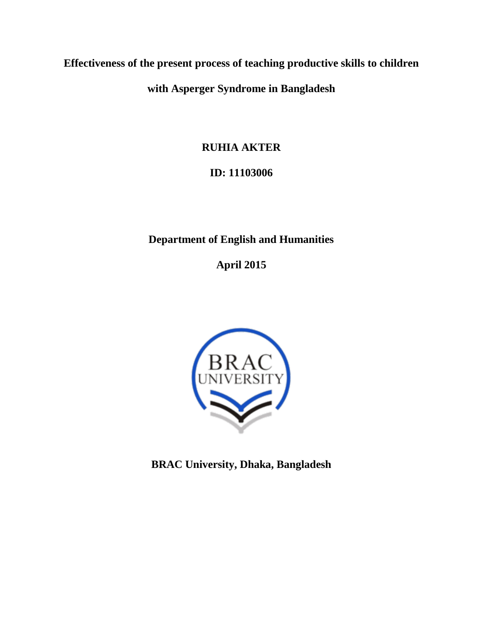**with Asperger Syndrome in Bangladesh**

**RUHIA AKTER**

# **ID: 11103006**

# **Department of English and Humanities**

**April 2015**



**BRAC University, Dhaka, Bangladesh**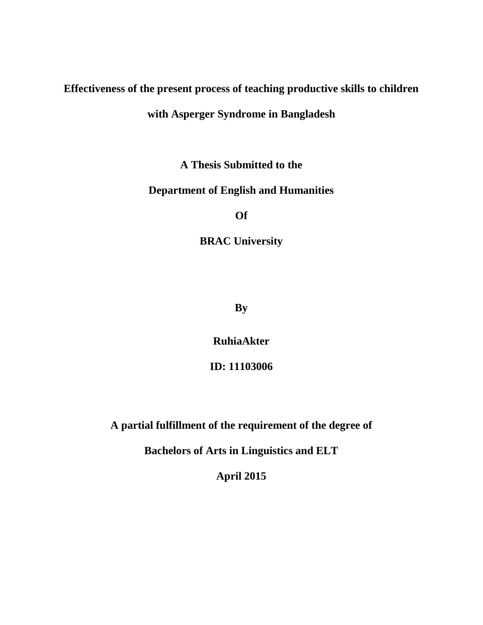## **with Asperger Syndrome in Bangladesh**

**A Thesis Submitted to the** 

## **Department of English and Humanities**

**Of** 

**BRAC University** 

**By**

**RuhiaAkter**

**ID: 11103006**

**A partial fulfillment of the requirement of the degree of**

**Bachelors of Arts in Linguistics and ELT**

**April 2015**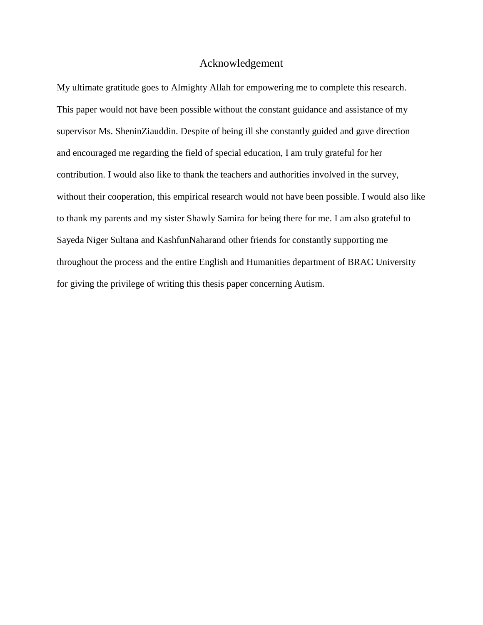## Acknowledgement

My ultimate gratitude goes to Almighty Allah for empowering me to complete this research. This paper would not have been possible without the constant guidance and assistance of my supervisor Ms. SheninZiauddin. Despite of being ill she constantly guided and gave direction and encouraged me regarding the field of special education, I am truly grateful for her contribution. I would also like to thank the teachers and authorities involved in the survey, without their cooperation, this empirical research would not have been possible. I would also like to thank my parents and my sister Shawly Samira for being there for me. I am also grateful to Sayeda Niger Sultana and KashfunNaharand other friends for constantly supporting me throughout the process and the entire English and Humanities department of BRAC University for giving the privilege of writing this thesis paper concerning Autism.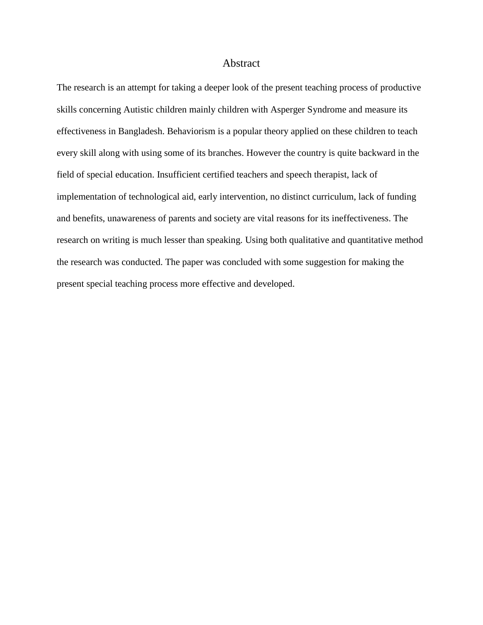#### Abstract

The research is an attempt for taking a deeper look of the present teaching process of productive skills concerning Autistic children mainly children with Asperger Syndrome and measure its effectiveness in Bangladesh. Behaviorism is a popular theory applied on these children to teach every skill along with using some of its branches. However the country is quite backward in the field of special education. Insufficient certified teachers and speech therapist, lack of implementation of technological aid, early intervention, no distinct curriculum, lack of funding and benefits, unawareness of parents and society are vital reasons for its ineffectiveness. The research on writing is much lesser than speaking. Using both qualitative and quantitative method the research was conducted. The paper was concluded with some suggestion for making the present special teaching process more effective and developed.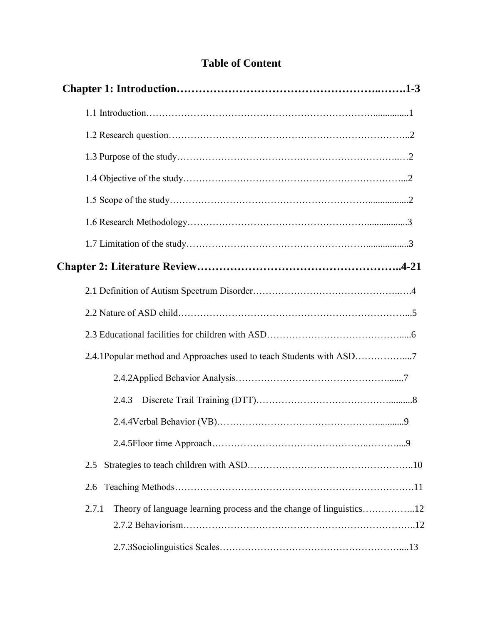# **Table of Content**

| 2.4.1Popular method and Approaches used to teach Students with ASD7          |  |
|------------------------------------------------------------------------------|--|
|                                                                              |  |
| 2.4.3                                                                        |  |
|                                                                              |  |
|                                                                              |  |
| 2.5                                                                          |  |
| 2.6                                                                          |  |
| Theory of language learning process and the change of linguistics12<br>2.7.1 |  |
|                                                                              |  |
|                                                                              |  |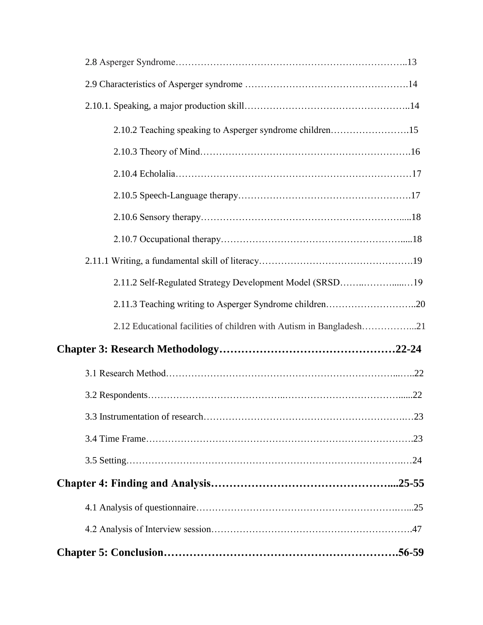| 2.10.2 Teaching speaking to Asperger syndrome children15            |  |
|---------------------------------------------------------------------|--|
|                                                                     |  |
|                                                                     |  |
|                                                                     |  |
|                                                                     |  |
|                                                                     |  |
|                                                                     |  |
| 2.11.2 Self-Regulated Strategy Development Model (SRSD19            |  |
| 2.11.3 Teaching writing to Asperger Syndrome children20             |  |
| 2.12 Educational facilities of children with Autism in Bangladesh21 |  |
|                                                                     |  |
|                                                                     |  |
|                                                                     |  |
|                                                                     |  |
|                                                                     |  |
|                                                                     |  |
|                                                                     |  |
|                                                                     |  |
|                                                                     |  |
|                                                                     |  |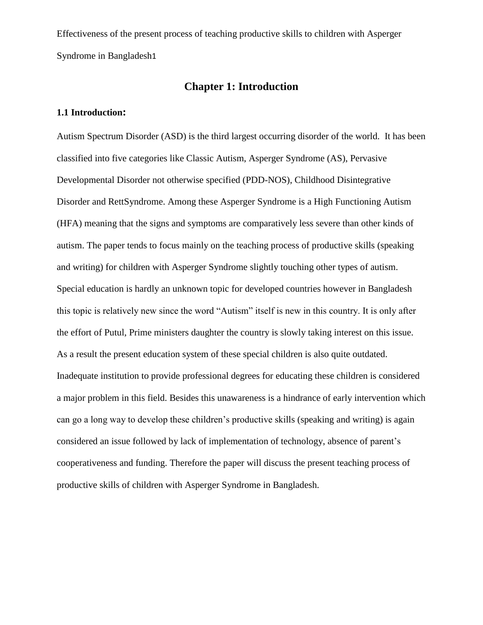## **Chapter 1: Introduction**

## **1.1 Introduction:**

Autism Spectrum Disorder (ASD) is the third largest occurring disorder of the world. It has been classified into five categories like Classic Autism, Asperger Syndrome (AS), Pervasive Developmental Disorder not otherwise specified (PDD-NOS), Childhood Disintegrative Disorder and RettSyndrome. Among these Asperger Syndrome is a High Functioning Autism (HFA) meaning that the signs and symptoms are comparatively less severe than other kinds of autism. The paper tends to focus mainly on the teaching process of productive skills (speaking and writing) for children with Asperger Syndrome slightly touching other types of autism. Special education is hardly an unknown topic for developed countries however in Bangladesh this topic is relatively new since the word "Autism" itself is new in this country. It is only after the effort of Putul, Prime ministers daughter the country is slowly taking interest on this issue. As a result the present education system of these special children is also quite outdated. Inadequate institution to provide professional degrees for educating these children is considered a major problem in this field. Besides this unawareness is a hindrance of early intervention which can go a long way to develop these children"s productive skills (speaking and writing) is again considered an issue followed by lack of implementation of technology, absence of parent"s cooperativeness and funding. Therefore the paper will discuss the present teaching process of productive skills of children with Asperger Syndrome in Bangladesh.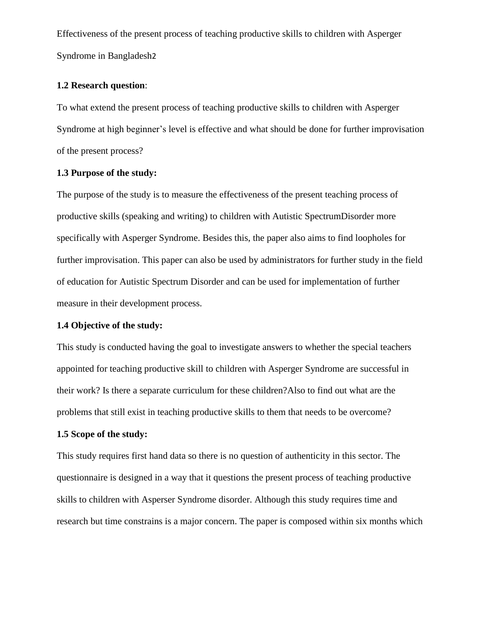#### **1.2 Research question**:

To what extend the present process of teaching productive skills to children with Asperger Syndrome at high beginner's level is effective and what should be done for further improvisation of the present process?

### **1.3 Purpose of the study:**

The purpose of the study is to measure the effectiveness of the present teaching process of productive skills (speaking and writing) to children with Autistic SpectrumDisorder more specifically with Asperger Syndrome. Besides this, the paper also aims to find loopholes for further improvisation. This paper can also be used by administrators for further study in the field of education for Autistic Spectrum Disorder and can be used for implementation of further measure in their development process.

### **1.4 Objective of the study:**

This study is conducted having the goal to investigate answers to whether the special teachers appointed for teaching productive skill to children with Asperger Syndrome are successful in their work? Is there a separate curriculum for these children?Also to find out what are the problems that still exist in teaching productive skills to them that needs to be overcome?

## **1.5 Scope of the study:**

This study requires first hand data so there is no question of authenticity in this sector. The questionnaire is designed in a way that it questions the present process of teaching productive skills to children with Asperser Syndrome disorder. Although this study requires time and research but time constrains is a major concern. The paper is composed within six months which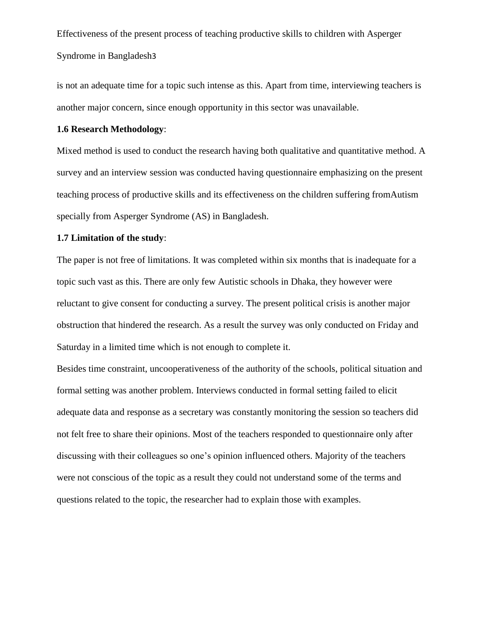is not an adequate time for a topic such intense as this. Apart from time, interviewing teachers is another major concern, since enough opportunity in this sector was unavailable.

#### **1.6 Research Methodology**:

Mixed method is used to conduct the research having both qualitative and quantitative method. A survey and an interview session was conducted having questionnaire emphasizing on the present teaching process of productive skills and its effectiveness on the children suffering fromAutism specially from Asperger Syndrome (AS) in Bangladesh.

#### **1.7 Limitation of the study**:

The paper is not free of limitations. It was completed within six months that is inadequate for a topic such vast as this. There are only few Autistic schools in Dhaka, they however were reluctant to give consent for conducting a survey. The present political crisis is another major obstruction that hindered the research. As a result the survey was only conducted on Friday and Saturday in a limited time which is not enough to complete it.

Besides time constraint, uncooperativeness of the authority of the schools, political situation and formal setting was another problem. Interviews conducted in formal setting failed to elicit adequate data and response as a secretary was constantly monitoring the session so teachers did not felt free to share their opinions. Most of the teachers responded to questionnaire only after discussing with their colleagues so one"s opinion influenced others. Majority of the teachers were not conscious of the topic as a result they could not understand some of the terms and questions related to the topic, the researcher had to explain those with examples.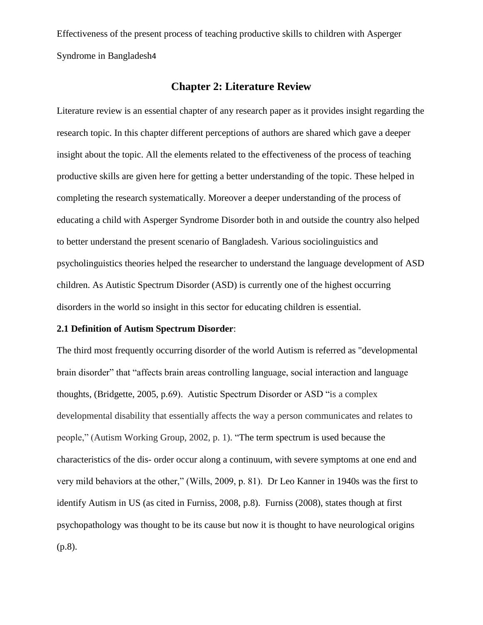## **Chapter 2: Literature Review**

Literature review is an essential chapter of any research paper as it provides insight regarding the research topic. In this chapter different perceptions of authors are shared which gave a deeper insight about the topic. All the elements related to the effectiveness of the process of teaching productive skills are given here for getting a better understanding of the topic. These helped in completing the research systematically. Moreover a deeper understanding of the process of educating a child with Asperger Syndrome Disorder both in and outside the country also helped to better understand the present scenario of Bangladesh. Various sociolinguistics and psycholinguistics theories helped the researcher to understand the language development of ASD children. As Autistic Spectrum Disorder (ASD) is currently one of the highest occurring disorders in the world so insight in this sector for educating children is essential.

### **2.1 Definition of Autism Spectrum Disorder**:

The third most frequently occurring disorder of the world Autism is referred as "developmental brain disorder" that "affects brain areas controlling language, social interaction and language thoughts, (Bridgette, 2005, p.69). Autistic Spectrum Disorder or ASD "is a complex developmental disability that essentially affects the way a person communicates and relates to people," (Autism Working Group, 2002, p. 1). "The term spectrum is used because the characteristics of the dis- order occur along a continuum, with severe symptoms at one end and very mild behaviors at the other," (Wills, 2009, p. 81). Dr Leo Kanner in 1940s was the first to identify Autism in US (as cited in Furniss, 2008, p.8). Furniss (2008), states though at first psychopathology was thought to be its cause but now it is thought to have neurological origins (p.8).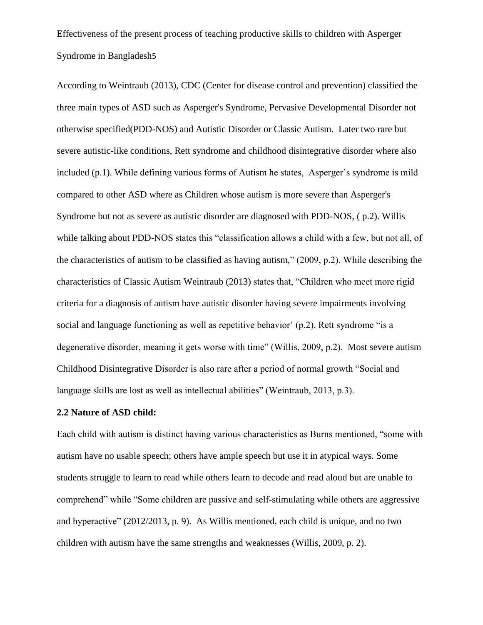According to Weintraub (2013), CDC (Center for disease control and prevention) classified the three main types of ASD such as [Asperger's](http://www.webmd.com/brain/autism/mental-health-aspergers-syndrome) Syndrome, Pervasive Developmental Disorder not otherwise specified[\(PDD-](http://www.webmd.com/brain/autism/autism-spectrum-disorders-pervasive-developmental-disorders)NOS) and Autistic Disorder or Classic Autism. Later two rare but severe autistic-like conditions, Rett syndrome and childhood disintegrative disorder where also included  $(p,1)$ . While defining various forms of Autism he states, Asperger's syndrome is mild compared to other ASD where as Children whose autism is more severe than Asperger's Syndrome but not as severe as autistic disorder are diagnosed with PDD-NOS, ( p.2). Willis while talking about PDD-NOS states this "classification allows a child with a few, but not all, of the characteristics of autism to be classified as having autism," (2009, p.2). While describing the characteristics of Classic Autism Weintraub (2013) states that, "Children who meet more rigid criteria for a diagnosis of autism have autistic disorder having severe impairments involving social and language functioning as well as repetitive behavior' (p.2). Rett syndrome "is a degenerative disorder, meaning it gets worse with time" (Willis, 2009, p.2). Most severe autism Childhood Disintegrative Disorder is also rare after a period of normal growth "Social and language skills are lost as well as intellectual abilities" (Weintraub, 2013, p.3).

### **2.2 Nature of ASD child:**

Each child with autism is distinct having various characteristics as Burns mentioned, "some with autism have no usable speech; others have ample speech but use it in atypical ways. Some students struggle to learn to read while others learn to decode and read aloud but are unable to comprehend" while "Some children are passive and self-stimulating while others are aggressive and hyperactive" (2012/2013, p. 9). As Willis mentioned, each child is unique, and no two children with autism have the same strengths and weaknesses (Willis, 2009, p. 2).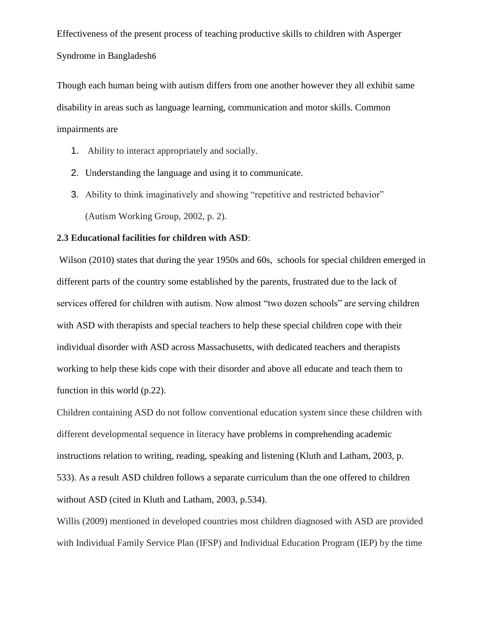Though each human being with autism differs from one another however they all exhibit same disability in areas such as language learning, communication and motor skills. Common impairments are

- 1. Ability to interact appropriately and socially.
- 2. Understanding the language and using it to communicate.
- 3. Ability to think imaginatively and showing "repetitive and restricted behavior" (Autism Working Group, 2002, p. 2).

### **2.3 Educational facilities for children with ASD**:

Wilson (2010) states that during the year 1950s and 60s, schools for special children emerged in different parts of the country some established by the parents, frustrated due to the lack of services offered for children with autism. Now almost "two dozen schools" are serving children with ASD with therapists and special teachers to help these special children cope with their individual disorder with ASD across Massachusetts, with dedicated teachers and therapists working to help these kids cope with their disorder and above all educate and teach them to function in this world (p.22).

Children containing ASD do not follow conventional education system since these children with different developmental sequence in literacy have problems in comprehending academic instructions relation to writing, reading, speaking and listening (Kluth and Latham, 2003, p. 533). As a result ASD children follows a separate curriculum than the one offered to children without ASD (cited in Kluth and Latham, 2003, p.534).

Willis (2009) mentioned in developed countries most children diagnosed with ASD are provided with Individual Family Service Plan (IFSP) and Individual Education Program (IEP) by the time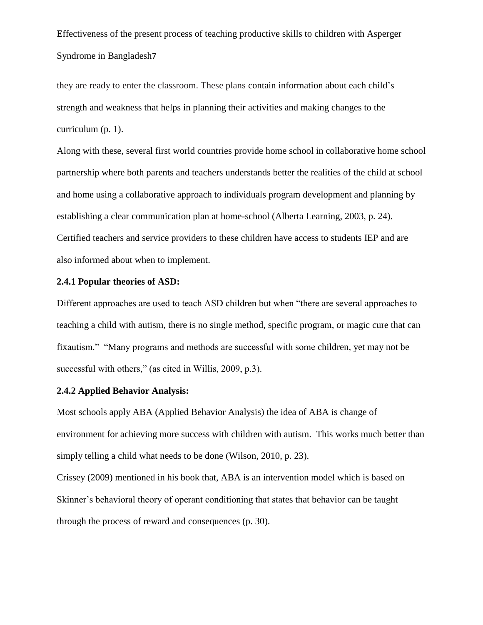they are ready to enter the classroom. These plans contain information about each child"s strength and weakness that helps in planning their activities and making changes to the curriculum (p. 1).

Along with these, several first world countries provide home school in collaborative home school partnership where both parents and teachers understands better the realities of the child at school and home using a collaborative approach to individuals program development and planning by establishing a clear communication plan at home-school (Alberta Learning, 2003, p. 24). Certified teachers and service providers to these children have access to students IEP and are also informed about when to implement.

#### **2.4.1 Popular theories of ASD:**

Different approaches are used to teach ASD children but when "there are several approaches to teaching a child with autism, there is no single method, specific program, or magic cure that can fixautism." "Many programs and methods are successful with some children, yet may not be successful with others," (as cited in Willis, 2009, p.3).

## **2.4.2 Applied Behavior Analysis:**

Most schools apply ABA (Applied Behavior Analysis) the idea of ABA is change of environment for achieving more success with children with autism. This works much better than simply telling a child what needs to be done (Wilson, 2010, p. 23).

Crissey (2009) mentioned in his book that, ABA is an intervention model which is based on Skinner's behavioral theory of operant conditioning that states that behavior can be taught through the process of reward and consequences (p. 30).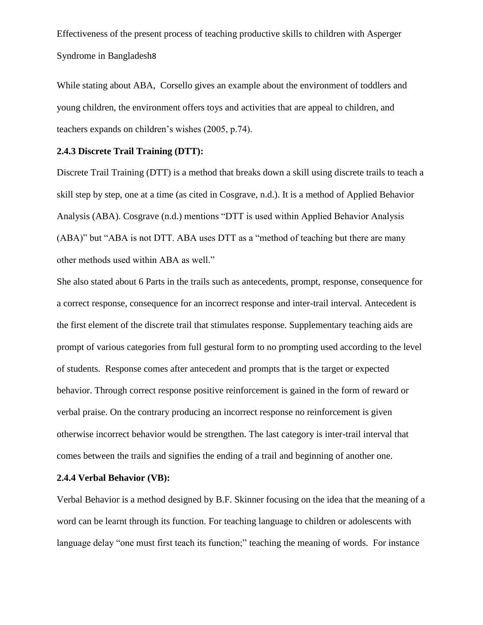While stating about ABA, Corsello gives an example about the environment of toddlers and young children, the environment offers toys and activities that are appeal to children, and teachers expands on children"s wishes (2005, p.74).

## **2.4.3 Discrete Trail Training (DTT):**

Discrete Trail Training (DTT) is a method that breaks down a skill using discrete trails to teach a skill step by step, one at a time (as cited in Cosgrave, n.d.). It is a method of Applied Behavior Analysis (ABA). Cosgrave (n.d.) mentions "DTT is used within Applied Behavior Analysis (ABA)" but "ABA is not DTT. ABA uses DTT as a "method of teaching but there are many other methods used within ABA as well."

She also stated about 6 Parts in the trails such as antecedents, prompt, response, consequence for a correct response, consequence for an incorrect response and inter-trail interval. Antecedent is the first element of the discrete trail that stimulates response. Supplementary teaching aids are prompt of various categories from full gestural form to no prompting used according to the level of students. Response comes after antecedent and prompts that is the target or expected behavior. Through correct response positive reinforcement is gained in the form of reward or verbal praise. On the contrary producing an incorrect response no reinforcement is given otherwise incorrect behavior would be strengthen. The last category is inter-trail interval that comes between the trails and signifies the ending of a trail and beginning of another one.

#### **2.4.4 Verbal Behavior (VB):**

Verbal Behavior is a method designed by B.F. Skinner focusing on the idea that the meaning of a word can be learnt through its function. For teaching language to children or adolescents with language delay "one must first teach its function;" teaching the meaning of words. For instance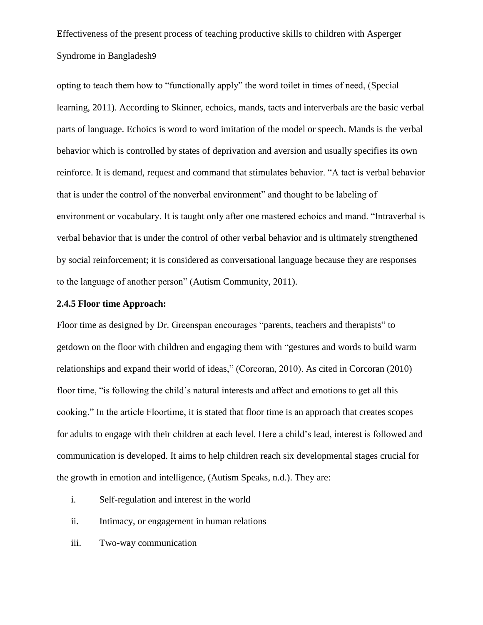opting to teach them how to "functionally apply" the word toilet in times of need, (Special learning, 2011). According to Skinner, echoics, mands, tacts and interverbals are the basic verbal parts of language. Echoics is word to word imitation of the model or speech. Mands is the verbal behavior which is controlled by states of deprivation and aversion and usually specifies its own reinforce. It is demand, request and command that stimulates behavior. "A tact is verbal behavior that is under the control of the nonverbal environment" and thought to be labeling of environment or vocabulary. It is taught only after one mastered echoics and mand. "Intraverbal is verbal behavior that is under the control of other verbal behavior and is ultimately strengthened by social reinforcement; it is considered as conversational language because they are responses to the language of another person" (Autism Community, 2011).

### **2.4.5 Floor time Approach:**

Floor time as designed by Dr. Greenspan encourages "parents, teachers and therapists" to getdown on the floor with children and engaging them with "gestures and words to build warm relationships and expand their world of ideas," (Corcoran, 2010). As cited in Corcoran (2010) floor time, "is following the child"s natural interests and affect and emotions to get all this cooking." In the article Floortime, it is stated that floor time is an approach that creates scopes for adults to engage with their children at each level. Here a child"s lead, interest is followed and communication is developed. It aims to help children reach six developmental stages crucial for the growth in emotion and intelligence, (Autism Speaks, n.d.). They are:

- i. Self-regulation and interest in the world
- ii. Intimacy, or engagement in human relations
- iii. Two-way communication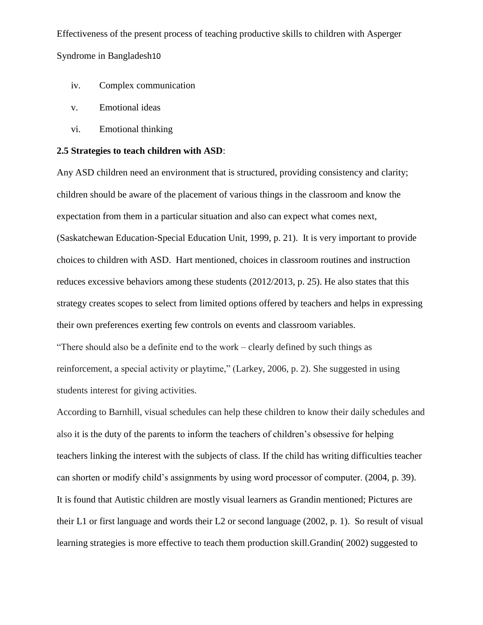- iv. Complex communication
- v. Emotional ideas
- vi. Emotional thinking

#### **2.5 Strategies to teach children with ASD**:

Any ASD children need an environment that is structured, providing consistency and clarity; children should be aware of the placement of various things in the classroom and know the expectation from them in a particular situation and also can expect what comes next, (Saskatchewan Education-Special Education Unit, 1999, p. 21). It is very important to provide choices to children with ASD. Hart mentioned, choices in classroom routines and instruction reduces excessive behaviors among these students (2012/2013, p. 25). He also states that this strategy creates scopes to select from limited options offered by teachers and helps in expressing their own preferences exerting few controls on events and classroom variables. "There should also be a definite end to the work – clearly defined by such things as reinforcement, a special activity or playtime," (Larkey, 2006, p. 2). She suggested in using students interest for giving activities.

According to Barnhill, visual schedules can help these children to know their daily schedules and also it is the duty of the parents to inform the teachers of children"s obsessive for helping teachers linking the interest with the subjects of class. If the child has writing difficulties teacher can shorten or modify child"s assignments by using word processor of computer. (2004, p. 39). It is found that Autistic children are mostly visual learners as Grandin mentioned; Pictures are their L1 or first language and words their L2 or second language (2002, p. 1). So result of visual learning strategies is more effective to teach them production skill.Grandin( 2002) suggested to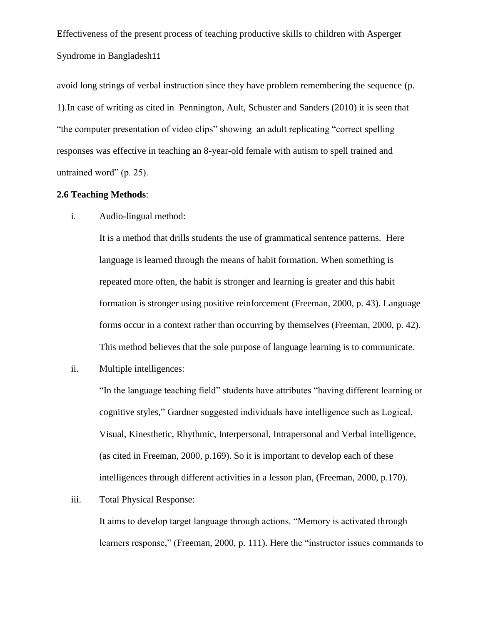avoid long strings of verbal instruction since they have problem remembering the sequence (p. 1).In case of writing as cited in Pennington, Ault, Schuster and Sanders (2010) it is seen that "the computer presentation of video clips" showing an adult replicating "correct spelling responses was effective in teaching an 8-year-old female with autism to spell trained and untrained word" (p. 25).

#### **2.6 Teaching Methods**:

i. Audio-lingual method:

It is a method that drills students the use of grammatical sentence patterns. Here language is learned through the means of habit formation. When something is repeated more often, the habit is stronger and learning is greater and this habit formation is stronger using positive reinforcement (Freeman, 2000, p. 43). Language forms occur in a context rather than occurring by themselves (Freeman, 2000, p. 42). This method believes that the sole purpose of language learning is to communicate.

ii. Multiple intelligences:

"In the language teaching field" students have attributes "having different learning or cognitive styles," Gardner suggested individuals have intelligence such as Logical, Visual, Kinesthetic, Rhythmic, Interpersonal, Intrapersonal and Verbal intelligence, (as cited in Freeman, 2000, p.169). So it is important to develop each of these intelligences through different activities in a lesson plan, (Freeman, 2000, p.170).

## iii. Total Physical Response:

It aims to develop target language through actions. "Memory is activated through learners response," (Freeman, 2000, p. 111). Here the "instructor issues commands to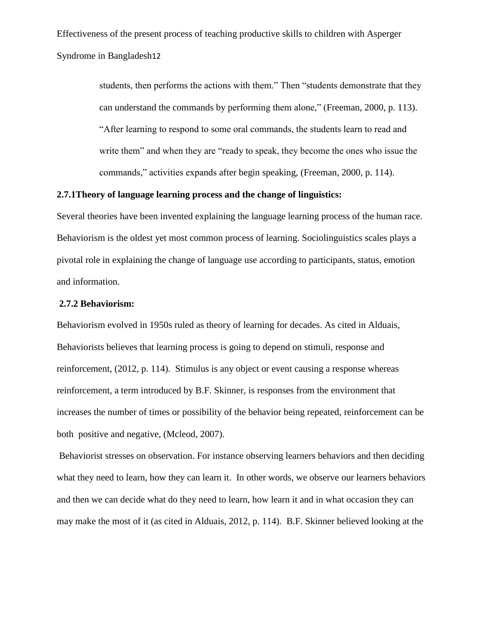> students, then performs the actions with them." Then "students demonstrate that they can understand the commands by performing them alone," (Freeman, 2000, p. 113). "After learning to respond to some oral commands, the students learn to read and write them" and when they are "ready to speak, they become the ones who issue the commands," activities expands after begin speaking, (Freeman, 2000, p. 114).

## **2.7.1Theory of language learning process and the change of linguistics:**

Several theories have been invented explaining the language learning process of the human race. Behaviorism is the oldest yet most common process of learning. Sociolinguistics scales plays a pivotal role in explaining the change of language use according to participants, status, emotion and information.

#### **2.7.2 Behaviorism:**

Behaviorism evolved in 1950s ruled as theory of learning for decades. As cited in Alduais, Behaviorists believes that learning process is going to depend on stimuli, response and reinforcement, (2012, p. 114). Stimulus is any object or event causing a response whereas reinforcement, a term introduced by B.F. Skinner, is responses from the environment that increases the number of times or possibility of the behavior being repeated, reinforcement can be both positive and negative, (Mcleod, 2007).

Behaviorist stresses on observation. For instance observing learners behaviors and then deciding what they need to learn, how they can learn it. In other words, we observe our learners behaviors and then we can decide what do they need to learn, how learn it and in what occasion they can may make the most of it (as cited in Alduais, 2012, p. 114). B.F. Skinner believed looking at the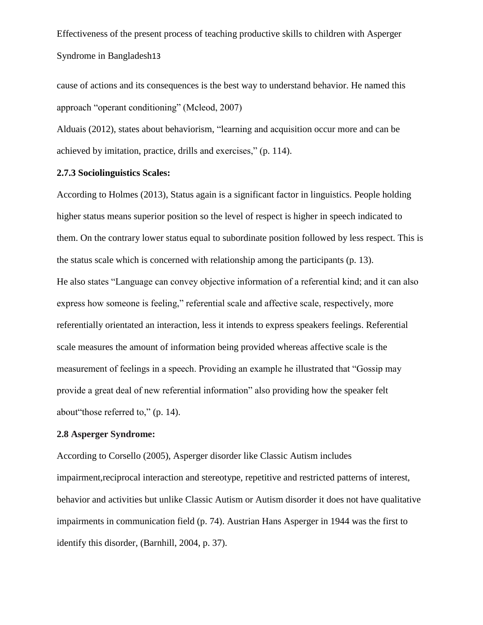cause of actions and its consequences is the best way to understand behavior. He named this approach "operant conditioning" (Mcleod, 2007)

Alduais (2012), states about behaviorism, "learning and acquisition occur more and can be achieved by imitation, practice, drills and exercises," (p. 114).

#### **2.7.3 Sociolinguistics Scales:**

According to Holmes (2013), Status again is a significant factor in linguistics. People holding higher status means superior position so the level of respect is higher in speech indicated to them. On the contrary lower status equal to subordinate position followed by less respect. This is the status scale which is concerned with relationship among the participants (p. 13). He also states "Language can convey objective information of a referential kind; and it can also express how someone is feeling," referential scale and affective scale, respectively, more referentially orientated an interaction, less it intends to express speakers feelings. Referential scale measures the amount of information being provided whereas affective scale is the measurement of feelings in a speech. Providing an example he illustrated that "Gossip may provide a great deal of new referential information" also providing how the speaker felt about"those referred to," (p. 14).

## **2.8 Asperger Syndrome:**

According to Corsello (2005), Asperger disorder like Classic Autism includes impairment,reciprocal interaction and stereotype, repetitive and restricted patterns of interest, behavior and activities but unlike Classic Autism or Autism disorder it does not have qualitative impairments in communication field (p. 74). Austrian Hans Asperger in 1944 was the first to identify this disorder, (Barnhill, 2004, p. 37).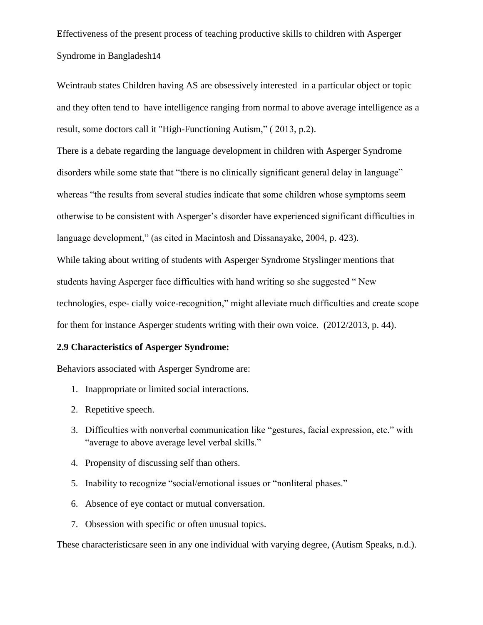Weintraub states Children having AS are obsessively interested in a particular object or topic and they often tend to have intelligence ranging from normal to above average intelligence as a result, some doctors call it "High-Functioning Autism," ( 2013, p.2).

There is a debate regarding the language development in children with Asperger Syndrome disorders while some state that "there is no clinically significant general delay in language" whereas "the results from several studies indicate that some children whose symptoms seem otherwise to be consistent with Asperger"s disorder have experienced significant difficulties in language development," (as cited in Macintosh and Dissanayake, 2004, p. 423). While taking about writing of students with Asperger Syndrome Styslinger mentions that students having Asperger face difficulties with hand writing so she suggested " New technologies, espe- cially voice-recognition," might alleviate much difficulties and create scope

for them for instance Asperger students writing with their own voice. (2012/2013, p. 44).

## **2.9 Characteristics of Asperger Syndrome:**

Behaviors associated with Asperger Syndrome are:

- 1. Inappropriate or limited social interactions.
- 2. Repetitive speech.
- 3. Difficulties with nonverbal communication like "gestures, facial expression, etc." with "average to above average level verbal skills."
- 4. Propensity of discussing self than others.
- 5. Inability to recognize "social/emotional issues or "nonliteral phases."
- 6. Absence of eye contact or mutual conversation.
- 7. Obsession with specific or often unusual topics.

These characteristicsare seen in any one individual with varying degree, (Autism Speaks, n.d.).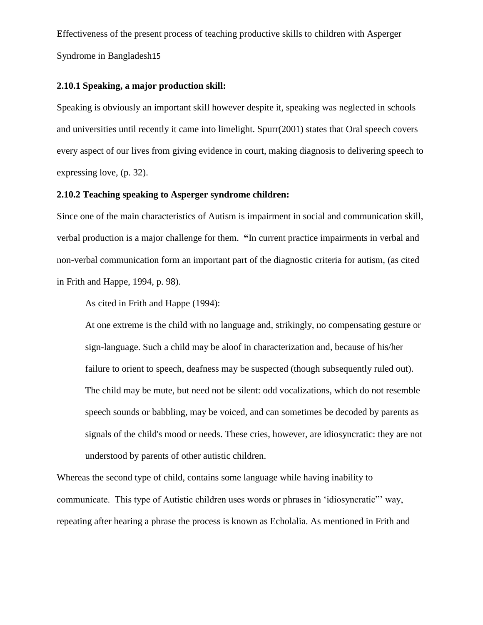#### **2.10.1 Speaking, a major production skill:**

Speaking is obviously an important skill however despite it, speaking was neglected in schools and universities until recently it came into limelight. Spurr(2001) states that Oral speech covers every aspect of our lives from giving evidence in court, making diagnosis to delivering speech to expressing love, (p. 32).

#### **2.10.2 Teaching speaking to Asperger syndrome children:**

Since one of the main characteristics of Autism is impairment in social and communication skill, verbal production is a major challenge for them. **"**In current practice impairments in verbal and non-verbal communication form an important part of the diagnostic criteria for autism, (as cited in Frith and Happe, 1994, p. 98).

As cited in Frith and Happe (1994):

At one extreme is the child with no language and, strikingly, no compensating gesture or sign-language. Such a child may be aloof in characterization and, because of his/her failure to orient to speech, deafness may be suspected (though subsequently ruled out). The child may be mute, but need not be silent: odd vocalizations, which do not resemble speech sounds or babbling, may be voiced, and can sometimes be decoded by parents as signals of the child's mood or needs. These cries, however, are idiosyncratic: they are not understood by parents of other autistic children.

Whereas the second type of child, contains some language while having inability to communicate. This type of Autistic children uses words or phrases in "idiosyncratic"" way, repeating after hearing a phrase the process is known as Echolalia. As mentioned in Frith and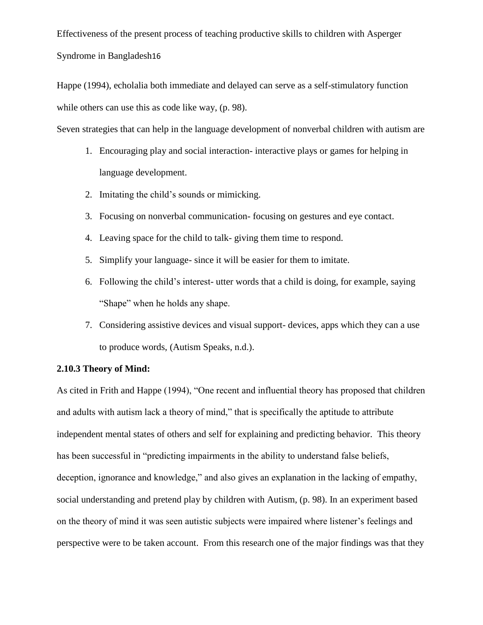Happe (1994), echolalia both immediate and delayed can serve as a self-stimulatory function while others can use this as code like way, (p. 98).

Seven strategies that can help in the language development of nonverbal children with autism are

- 1. Encouraging play and social interaction- interactive plays or games for helping in language development.
- 2. Imitating the child"s sounds or mimicking.
- 3. Focusing on nonverbal communication- focusing on gestures and eye contact.
- 4. Leaving space for the child to talk- giving them time to respond.
- 5. Simplify your language- since it will be easier for them to imitate.
- 6. Following the child"s interest- utter words that a child is doing, for example, saying "Shape" when he holds any shape.
- 7. Considering assistive devices and visual support- devices, apps which they can a use to produce words, (Autism Speaks, n.d.).

## **2.10.3 Theory of Mind:**

As cited in Frith and Happe (1994), "One recent and influential theory has proposed that children and adults with autism lack a theory of mind," that is specifically the aptitude to attribute independent mental states of others and self for explaining and predicting behavior. This theory has been successful in "predicting impairments in the ability to understand false beliefs, deception, ignorance and knowledge," and also gives an explanation in the lacking of empathy, social understanding and pretend play by children with Autism, (p. 98). In an experiment based on the theory of mind it was seen autistic subjects were impaired where listener"s feelings and perspective were to be taken account. From this research one of the major findings was that they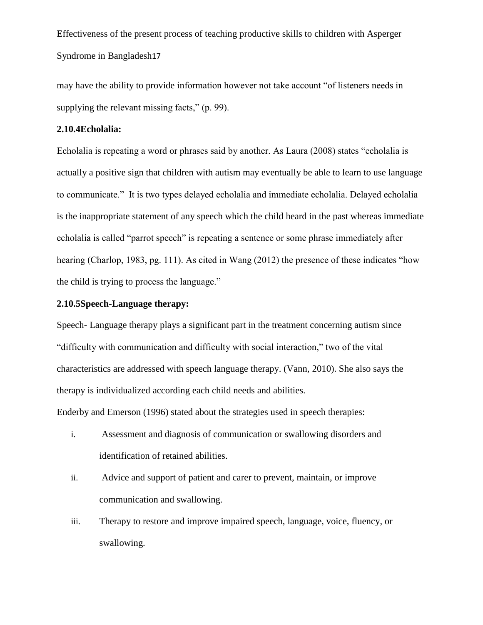may have the ability to provide information however not take account "of listeners needs in supplying the relevant missing facts," (p. 99).

### **2.10.4Echolalia:**

Echolalia is repeating a word or phrases said by another. As Laura (2008) states "echolalia is actually a positive sign that children with autism may eventually be able to learn to use language to communicate." It is two types delayed echolalia and immediate echolalia. Delayed echolalia is the inappropriate statement of any speech which the child heard in the past whereas immediate echolalia is called "parrot speech" is repeating a sentence or some phrase immediately after hearing (Charlop, 1983, pg. 111). As cited in Wang (2012) the presence of these indicates "how the child is trying to process the language."

### **2.10.5Speech-Language therapy:**

Speech- Language therapy plays a significant part in the treatment concerning autism since "difficulty with communication and difficulty with social interaction," two of the vital characteristics are addressed with speech language therapy. (Vann, 2010). She also says the therapy is individualized according each child needs and abilities.

Enderby and Emerson (1996) stated about the strategies used in speech therapies:

- i. Assessment and diagnosis of communication or swallowing disorders and identification of retained abilities.
- ii. Advice and support of patient and carer to prevent, maintain, or improve communication and swallowing.
- iii. Therapy to restore and improve impaired speech, language, voice, fluency, or swallowing.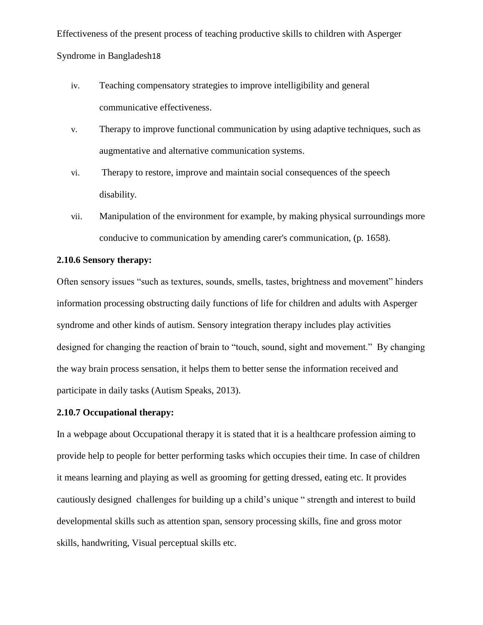- iv. Teaching compensatory strategies to improve intelligibility and general communicative effectiveness.
- v. Therapy to improve functional communication by using adaptive techniques, such as augmentative and alternative communication systems.
- vi. Therapy to restore, improve and maintain social consequences of the speech disability.
- vii. Manipulation of the environment for example, by making physical surroundings more conducive to communication by amending carer's communication, (p. 1658).

## **2.10.6 Sensory therapy:**

Often sensory issues "such as textures, sounds, smells, tastes, brightness and movement" hinders information processing obstructing daily functions of life for children and adults with Asperger syndrome and other kinds of autism. Sensory integration therapy includes play activities designed for changing the reaction of brain to "touch, sound, sight and movement." By changing the way brain process sensation, it helps them to better sense the information received and participate in daily tasks (Autism Speaks, 2013).

## **2.10.7 Occupational therapy:**

In a webpage about Occupational therapy it is stated that it is a healthcare profession aiming to provide help to people for better performing tasks which occupies their time. In case of children it means learning and playing as well as grooming for getting dressed, eating etc. It provides cautiously designed challenges for building up a child"s unique " strength and interest to build developmental skills such as attention span, sensory processing skills, fine and gross motor skills, handwriting, Visual perceptual skills etc.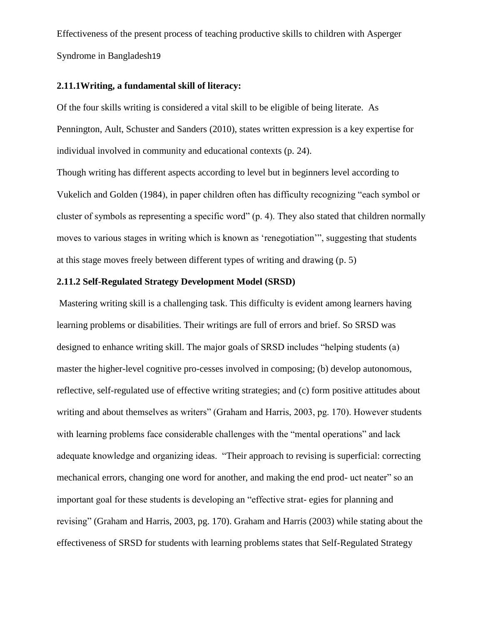#### **2.11.1Writing, a fundamental skill of literacy:**

Of the four skills writing is considered a vital skill to be eligible of being literate. As Pennington, Ault, Schuster and Sanders (2010), states written expression is a key expertise for individual involved in community and educational contexts (p. 24).

Though writing has different aspects according to level but in beginners level according to Vukelich and Golden (1984), in paper children often has difficulty recognizing "each symbol or cluster of symbols as representing a specific word" (p. 4). They also stated that children normally moves to various stages in writing which is known as "renegotiation"", suggesting that students at this stage moves freely between different types of writing and drawing (p. 5)

#### **2.11.2 Self-Regulated Strategy Development Model (SRSD)**

Mastering writing skill is a challenging task. This difficulty is evident among learners having learning problems or disabilities. Their writings are full of errors and brief. So SRSD was designed to enhance writing skill. The major goals of SRSD includes "helping students (a) master the higher-level cognitive pro-cesses involved in composing; (b) develop autonomous, reflective, self-regulated use of effective writing strategies; and (c) form positive attitudes about writing and about themselves as writers" (Graham and Harris, 2003, pg. 170). However students with learning problems face considerable challenges with the "mental operations" and lack adequate knowledge and organizing ideas. "Their approach to revising is superficial: correcting mechanical errors, changing one word for another, and making the end prod- uct neater" so an important goal for these students is developing an "effective strat- egies for planning and revising" (Graham and Harris, 2003, pg. 170). Graham and Harris (2003) while stating about the effectiveness of SRSD for students with learning problems states that Self-Regulated Strategy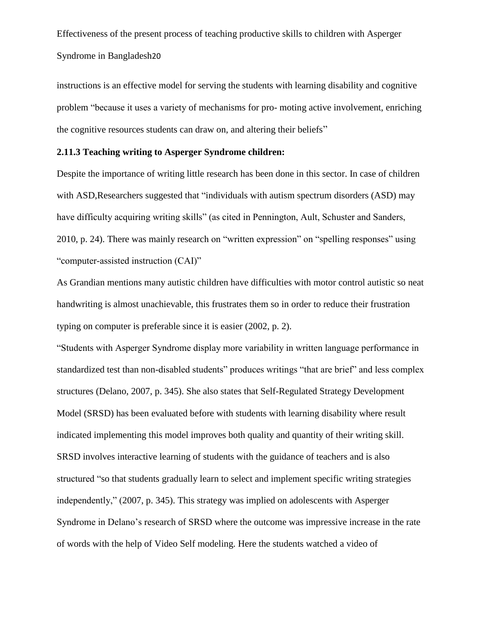instructions is an effective model for serving the students with learning disability and cognitive problem "because it uses a variety of mechanisms for pro- moting active involvement, enriching the cognitive resources students can draw on, and altering their beliefs"

## **2.11.3 Teaching writing to Asperger Syndrome children:**

Despite the importance of writing little research has been done in this sector. In case of children with ASD, Researchers suggested that "individuals with autism spectrum disorders (ASD) may have difficulty acquiring writing skills" (as cited in Pennington, Ault, Schuster and Sanders, 2010, p. 24). There was mainly research on "written expression" on "spelling responses" using "computer-assisted instruction (CAI)"

As Grandian mentions many autistic children have difficulties with motor control autistic so neat handwriting is almost unachievable, this frustrates them so in order to reduce their frustration typing on computer is preferable since it is easier (2002, p. 2).

"Students with Asperger Syndrome display more variability in written language performance in standardized test than non-disabled students" produces writings "that are brief" and less complex structures (Delano, 2007, p. 345). She also states that Self-Regulated Strategy Development Model (SRSD) has been evaluated before with students with learning disability where result indicated implementing this model improves both quality and quantity of their writing skill. SRSD involves interactive learning of students with the guidance of teachers and is also structured "so that students gradually learn to select and implement specific writing strategies independently," (2007, p. 345). This strategy was implied on adolescents with Asperger Syndrome in Delano's research of SRSD where the outcome was impressive increase in the rate of words with the help of Video Self modeling. Here the students watched a video of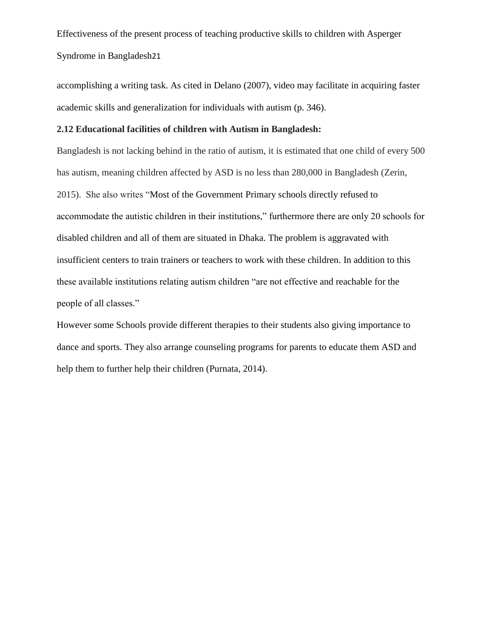accomplishing a writing task. As cited in Delano (2007), video may facilitate in acquiring faster academic skills and generalization for individuals with autism (p. 346).

## **2.12 Educational facilities of children with Autism in Bangladesh:**

Bangladesh is not lacking behind in the ratio of autism, it is estimated that one child of every 500 has autism, meaning children affected by ASD is no less than 280,000 in Bangladesh (Zerin, 2015). She also writes "Most of the Government Primary schools directly refused to accommodate the autistic children in their institutions," furthermore there are only 20 schools for disabled children and all of them are situated in Dhaka. The problem is aggravated with insufficient centers to train trainers or teachers to work with these children. In addition to this these available institutions relating autism children "are not effective and reachable for the people of all classes."

However some Schools provide different therapies to their students also giving importance to dance and sports. They also arrange counseling programs for parents to educate them ASD and help them to further help their children (Purnata, 2014).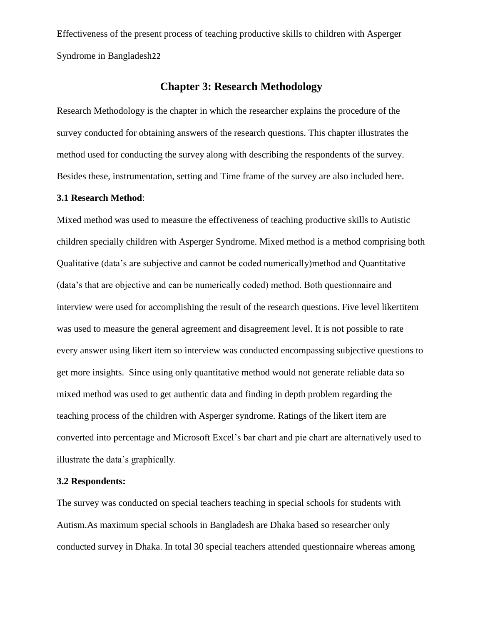## **Chapter 3: Research Methodology**

Research Methodology is the chapter in which the researcher explains the procedure of the survey conducted for obtaining answers of the research questions. This chapter illustrates the method used for conducting the survey along with describing the respondents of the survey. Besides these, instrumentation, setting and Time frame of the survey are also included here.

#### **3.1 Research Method**:

Mixed method was used to measure the effectiveness of teaching productive skills to Autistic children specially children with Asperger Syndrome. Mixed method is a method comprising both Qualitative (data"s are subjective and cannot be coded numerically)method and Quantitative (data"s that are objective and can be numerically coded) method. Both questionnaire and interview were used for accomplishing the result of the research questions. Five level likertitem was used to measure the general agreement and disagreement level. It is not possible to rate every answer using likert item so interview was conducted encompassing subjective questions to get more insights. Since using only quantitative method would not generate reliable data so mixed method was used to get authentic data and finding in depth problem regarding the teaching process of the children with Asperger syndrome. Ratings of the likert item are converted into percentage and Microsoft Excel"s bar chart and pie chart are alternatively used to illustrate the data"s graphically.

### **3.2 Respondents:**

The survey was conducted on special teachers teaching in special schools for students with Autism.As maximum special schools in Bangladesh are Dhaka based so researcher only conducted survey in Dhaka. In total 30 special teachers attended questionnaire whereas among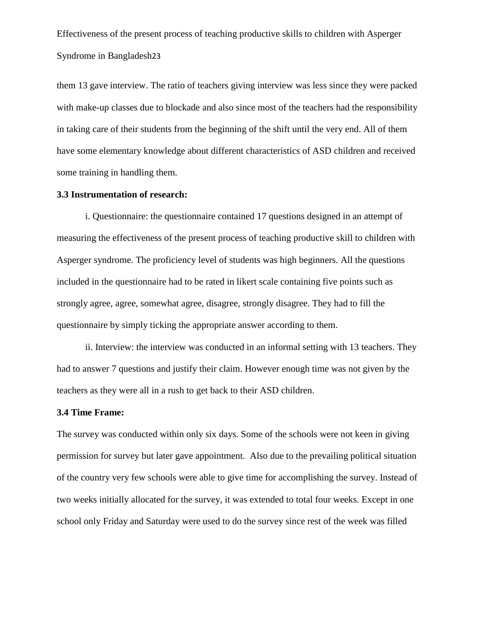them 13 gave interview. The ratio of teachers giving interview was less since they were packed with make-up classes due to blockade and also since most of the teachers had the responsibility in taking care of their students from the beginning of the shift until the very end. All of them have some elementary knowledge about different characteristics of ASD children and received some training in handling them.

#### **3.3 Instrumentation of research:**

i. Questionnaire: the questionnaire contained 17 questions designed in an attempt of measuring the effectiveness of the present process of teaching productive skill to children with Asperger syndrome. The proficiency level of students was high beginners. All the questions included in the questionnaire had to be rated in likert scale containing five points such as strongly agree, agree, somewhat agree, disagree, strongly disagree. They had to fill the questionnaire by simply ticking the appropriate answer according to them.

ii. Interview: the interview was conducted in an informal setting with 13 teachers. They had to answer 7 questions and justify their claim. However enough time was not given by the teachers as they were all in a rush to get back to their ASD children.

### **3.4 Time Frame:**

The survey was conducted within only six days. Some of the schools were not keen in giving permission for survey but later gave appointment. Also due to the prevailing political situation of the country very few schools were able to give time for accomplishing the survey. Instead of two weeks initially allocated for the survey, it was extended to total four weeks. Except in one school only Friday and Saturday were used to do the survey since rest of the week was filled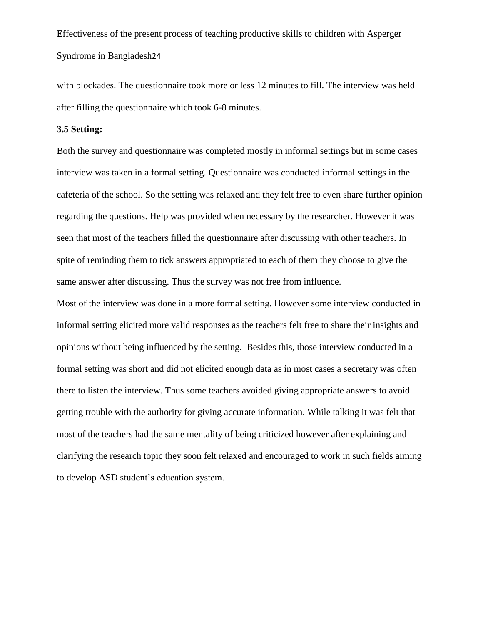with blockades. The questionnaire took more or less 12 minutes to fill. The interview was held after filling the questionnaire which took 6-8 minutes.

#### **3.5 Setting:**

Both the survey and questionnaire was completed mostly in informal settings but in some cases interview was taken in a formal setting. Questionnaire was conducted informal settings in the cafeteria of the school. So the setting was relaxed and they felt free to even share further opinion regarding the questions. Help was provided when necessary by the researcher. However it was seen that most of the teachers filled the questionnaire after discussing with other teachers. In spite of reminding them to tick answers appropriated to each of them they choose to give the same answer after discussing. Thus the survey was not free from influence.

Most of the interview was done in a more formal setting. However some interview conducted in informal setting elicited more valid responses as the teachers felt free to share their insights and opinions without being influenced by the setting. Besides this, those interview conducted in a formal setting was short and did not elicited enough data as in most cases a secretary was often there to listen the interview. Thus some teachers avoided giving appropriate answers to avoid getting trouble with the authority for giving accurate information. While talking it was felt that most of the teachers had the same mentality of being criticized however after explaining and clarifying the research topic they soon felt relaxed and encouraged to work in such fields aiming to develop ASD student"s education system.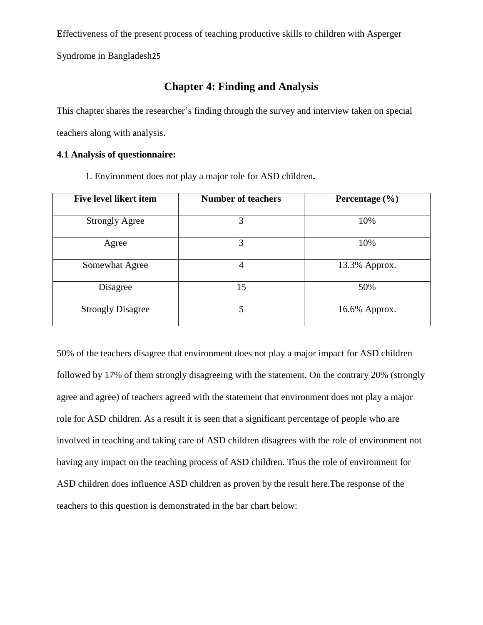Syndrome in Bangladesh25

## **Chapter 4: Finding and Analysis**

This chapter shares the researcher"s finding through the survey and interview taken on special teachers along with analysis.

## **4.1 Analysis of questionnaire:**

1. Environment does not play a major role for ASD children**.** 

| <b>Five level likert item</b> | <b>Number of teachers</b> | Percentage $(\% )$ |
|-------------------------------|---------------------------|--------------------|
| <b>Strongly Agree</b>         | 3                         | 10%                |
| Agree                         | 3                         | 10%                |
| Somewhat Agree                | 4                         | 13.3% Approx.      |
| Disagree                      | 15                        | 50%                |
| <b>Strongly Disagree</b>      | 5                         | 16.6% Approx.      |

50% of the teachers disagree that environment does not play a major impact for ASD children followed by 17% of them strongly disagreeing with the statement. On the contrary 20% (strongly agree and agree) of teachers agreed with the statement that environment does not play a major role for ASD children. As a result it is seen that a significant percentage of people who are involved in teaching and taking care of ASD children disagrees with the role of environment not having any impact on the teaching process of ASD children. Thus the role of environment for ASD children does influence ASD children as proven by the result here.The response of the teachers to this question is demonstrated in the bar chart below: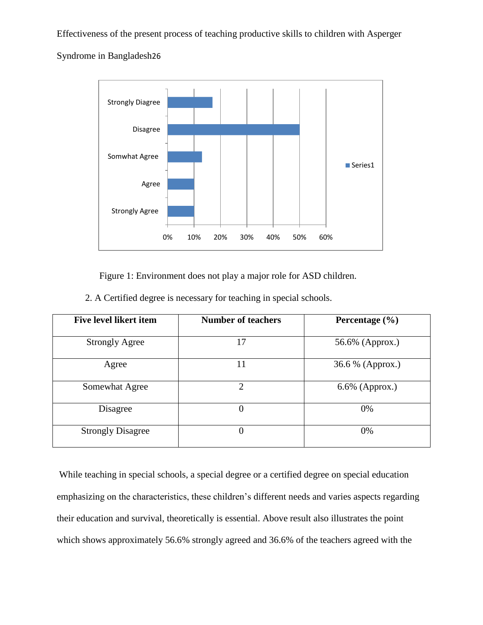Syndrome in Bangladesh26



Figure 1: Environment does not play a major role for ASD children.

2. A Certified degree is necessary for teaching in special schools.

| <b>Five level likert item</b> | <b>Number of teachers</b>   | Percentage $(\% )$ |
|-------------------------------|-----------------------------|--------------------|
| <b>Strongly Agree</b>         | 17                          | 56.6% (Approx.)    |
| Agree                         | 11                          | 36.6 % (Approx.)   |
| Somewhat Agree                | $\mathcal{D}_{\mathcal{L}}$ | $6.6\%$ (Approx.)  |
| Disagree                      | $\theta$                    | 0%                 |
| <b>Strongly Disagree</b>      | $\theta$                    | 0%                 |

While teaching in special schools, a special degree or a certified degree on special education emphasizing on the characteristics, these children"s different needs and varies aspects regarding their education and survival, theoretically is essential. Above result also illustrates the point which shows approximately 56.6% strongly agreed and 36.6% of the teachers agreed with the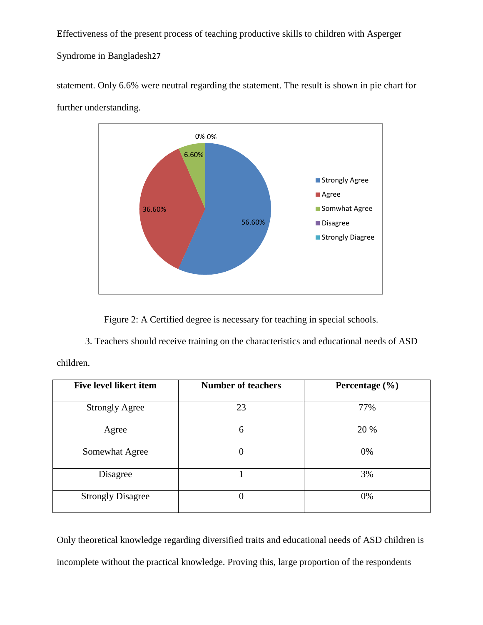Syndrome in Bangladesh27



statement. Only 6.6% were neutral regarding the statement. The result is shown in pie chart for further understanding.

Figure 2: A Certified degree is necessary for teaching in special schools.

3. Teachers should receive training on the characteristics and educational needs of ASD

children.

| <b>Five level likert item</b> | <b>Number of teachers</b> | Percentage $(\% )$ |
|-------------------------------|---------------------------|--------------------|
| <b>Strongly Agree</b>         | 23                        | 77%                |
| Agree                         | 6                         | 20 %               |
| Somewhat Agree                | $\Omega$                  | 0%                 |
| Disagree                      |                           | 3%                 |
| <b>Strongly Disagree</b>      | $\overline{0}$            | 0%                 |

Only theoretical knowledge regarding diversified traits and educational needs of ASD children is incomplete without the practical knowledge. Proving this, large proportion of the respondents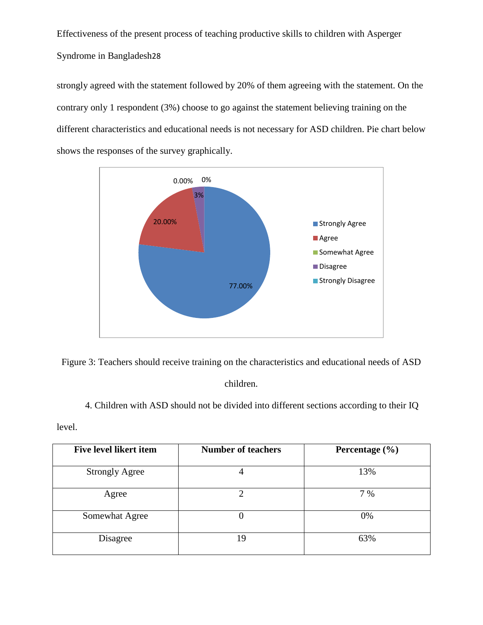strongly agreed with the statement followed by 20% of them agreeing with the statement. On the contrary only 1 respondent (3%) choose to go against the statement believing training on the different characteristics and educational needs is not necessary for ASD children. Pie chart below shows the responses of the survey graphically.



Figure 3: Teachers should receive training on the characteristics and educational needs of ASD

children.

4. Children with ASD should not be divided into different sections according to their IQ

level.

| Five level likert item | <b>Number of teachers</b> | Percentage $(\% )$ |
|------------------------|---------------------------|--------------------|
| <b>Strongly Agree</b>  |                           | 13%                |
| Agree                  |                           | 7 %                |
| Somewhat Agree         |                           | 0%                 |
| Disagree               | 19                        | 63%                |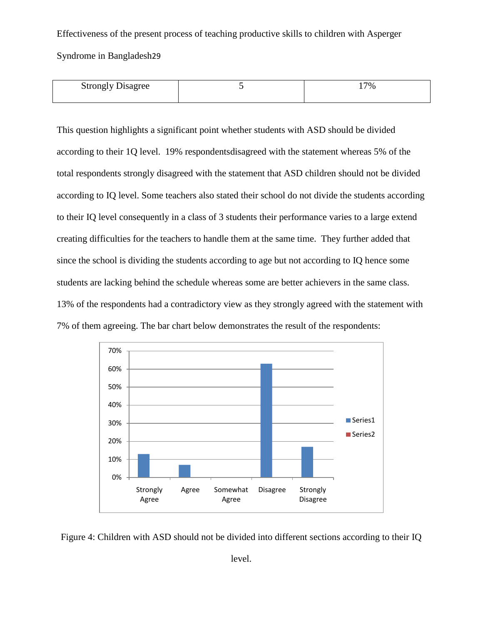Syndrome in Bangladesh29

| Strongly<br>ر $\cup$ isagree | 7% |
|------------------------------|----|
|                              |    |

This question highlights a significant point whether students with ASD should be divided according to their 1Q level. 19% respondentsdisagreed with the statement whereas 5% of the total respondents strongly disagreed with the statement that ASD children should not be divided according to IQ level. Some teachers also stated their school do not divide the students according to their IQ level consequently in a class of 3 students their performance varies to a large extend creating difficulties for the teachers to handle them at the same time. They further added that since the school is dividing the students according to age but not according to IQ hence some students are lacking behind the schedule whereas some are better achievers in the same class. 13% of the respondents had a contradictory view as they strongly agreed with the statement with 7% of them agreeing. The bar chart below demonstrates the result of the respondents:



Figure 4: Children with ASD should not be divided into different sections according to their IQ

level.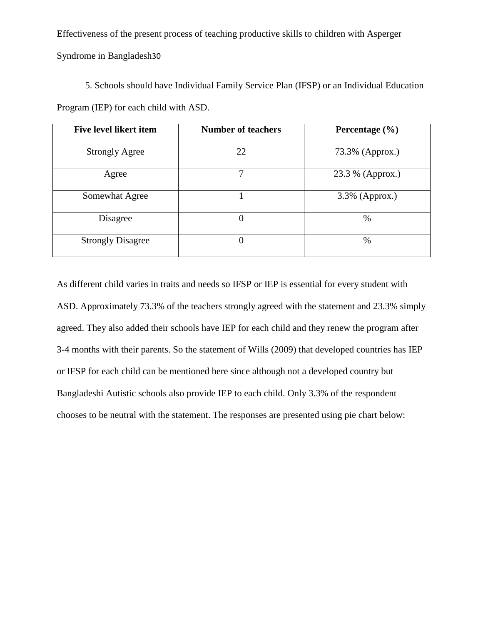Syndrome in Bangladesh30

| 5. Schools should have Individual Family Service Plan (IFSP) or an Individual Education |  |
|-----------------------------------------------------------------------------------------|--|
| Program (IEP) for each child with ASD.                                                  |  |

| Five level likert item   | <b>Number of teachers</b> | Percentage $(\% )$ |
|--------------------------|---------------------------|--------------------|
| <b>Strongly Agree</b>    | 22                        | 73.3% (Approx.)    |
| Agree                    | 7                         | 23.3 % (Approx.)   |
| Somewhat Agree           |                           | 3.3% (Approx.)     |
| Disagree                 | $\Omega$                  | $\%$               |
| <b>Strongly Disagree</b> | $\Omega$                  | %                  |

As different child varies in traits and needs so IFSP or IEP is essential for every student with ASD. Approximately 73.3% of the teachers strongly agreed with the statement and 23.3% simply agreed. They also added their schools have IEP for each child and they renew the program after 3-4 months with their parents. So the statement of Wills (2009) that developed countries has IEP or IFSP for each child can be mentioned here since although not a developed country but Bangladeshi Autistic schools also provide IEP to each child. Only 3.3% of the respondent chooses to be neutral with the statement. The responses are presented using pie chart below: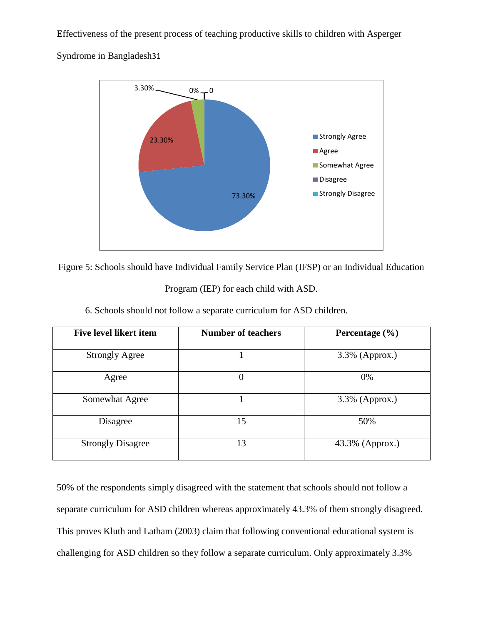Syndrome in Bangladesh31



Figure 5: Schools should have Individual Family Service Plan (IFSP) or an Individual Education

Program (IEP) for each child with ASD.

| Five level likert item   | <b>Number of teachers</b> | Percentage $(\% )$ |
|--------------------------|---------------------------|--------------------|
| <b>Strongly Agree</b>    |                           | $3.3\%$ (Approx.)  |
| Agree                    | $\overline{0}$            | 0%                 |
| Somewhat Agree           |                           | $3.3\%$ (Approx.)  |
| Disagree                 | 15                        | 50%                |
| <b>Strongly Disagree</b> | 13                        | 43.3% (Approx.)    |

6. Schools should not follow a separate curriculum for ASD children.

50% of the respondents simply disagreed with the statement that schools should not follow a separate curriculum for ASD children whereas approximately 43.3% of them strongly disagreed. This proves Kluth and Latham (2003) claim that following conventional educational system is challenging for ASD children so they follow a separate curriculum. Only approximately 3.3%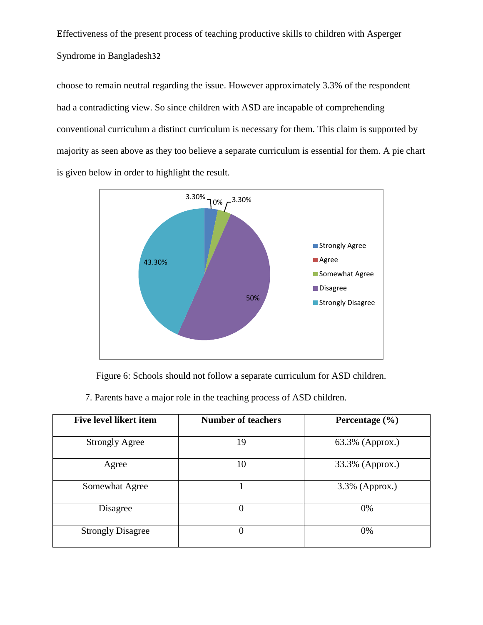choose to remain neutral regarding the issue. However approximately 3.3% of the respondent had a contradicting view. So since children with ASD are incapable of comprehending conventional curriculum a distinct curriculum is necessary for them. This claim is supported by majority as seen above as they too believe a separate curriculum is essential for them. A pie chart is given below in order to highlight the result.



Figure 6: Schools should not follow a separate curriculum for ASD children.

7. Parents have a major role in the teaching process of ASD children.

| <b>Five level likert item</b> | <b>Number of teachers</b> | Percentage $(\% )$ |
|-------------------------------|---------------------------|--------------------|
| <b>Strongly Agree</b>         | 19                        | 63.3% (Approx.)    |
| Agree                         | 10                        | 33.3% (Approx.)    |
| Somewhat Agree                |                           | 3.3% (Approx.)     |
| Disagree                      | $\theta$                  | 0%                 |
| <b>Strongly Disagree</b>      | $\overline{0}$            | 0%                 |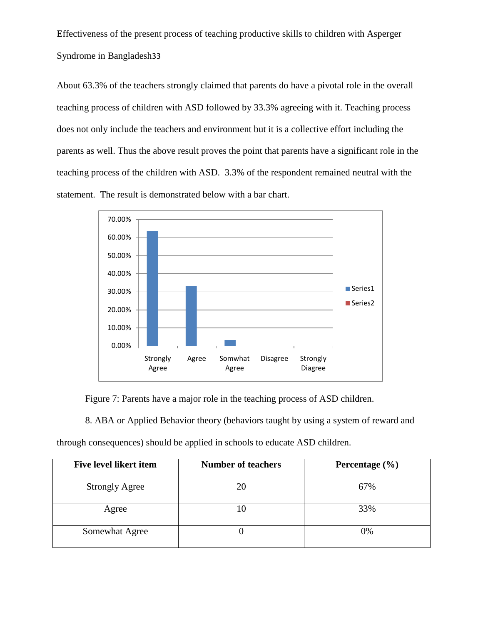About 63.3% of the teachers strongly claimed that parents do have a pivotal role in the overall teaching process of children with ASD followed by 33.3% agreeing with it. Teaching process does not only include the teachers and environment but it is a collective effort including the parents as well. Thus the above result proves the point that parents have a significant role in the teaching process of the children with ASD. 3.3% of the respondent remained neutral with the statement. The result is demonstrated below with a bar chart.



Figure 7: Parents have a major role in the teaching process of ASD children.

8. ABA or Applied Behavior theory (behaviors taught by using a system of reward and

through consequences) should be applied in schools to educate ASD children.

| <b>Five level likert item</b> | <b>Number of teachers</b> | Percentage $(\% )$ |
|-------------------------------|---------------------------|--------------------|
| <b>Strongly Agree</b>         | 20                        | 67%                |
| Agree                         |                           | 33%                |
| Somewhat Agree                |                           | 0%                 |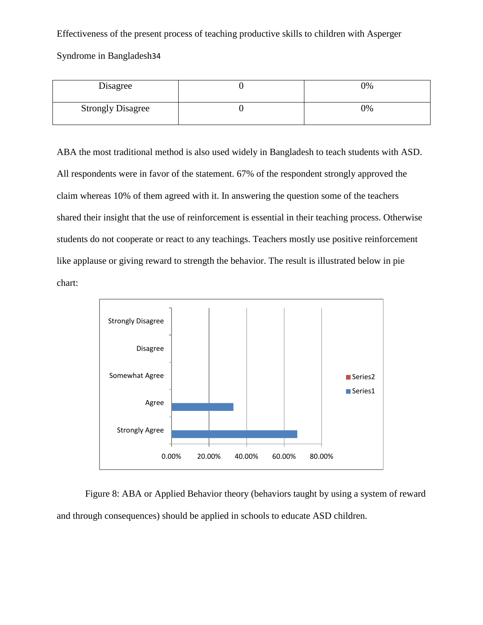Syndrome in Bangladesh34

| Disagree                 | 0% |
|--------------------------|----|
| <b>Strongly Disagree</b> | 0% |

ABA the most traditional method is also used widely in Bangladesh to teach students with ASD. All respondents were in favor of the statement. 67% of the respondent strongly approved the claim whereas 10% of them agreed with it. In answering the question some of the teachers shared their insight that the use of reinforcement is essential in their teaching process. Otherwise students do not cooperate or react to any teachings. Teachers mostly use positive reinforcement like applause or giving reward to strength the behavior. The result is illustrated below in pie chart:



Figure 8: ABA or Applied Behavior theory (behaviors taught by using a system of reward and through consequences) should be applied in schools to educate ASD children.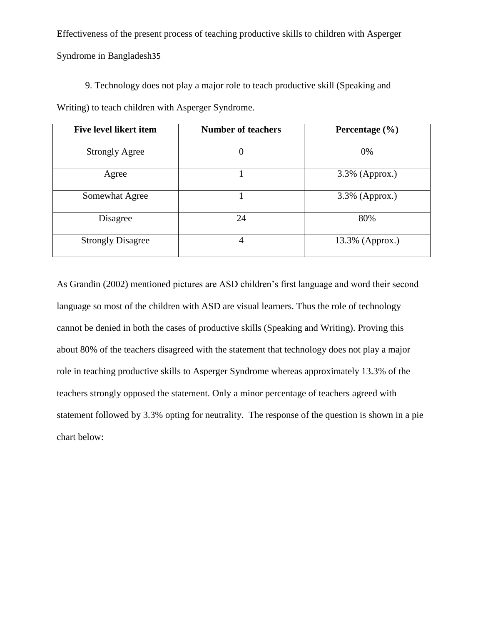9. Technology does not play a major role to teach productive skill (Speaking and Writing) to teach children with Asperger Syndrome.

| <b>Five level likert item</b> | <b>Number of teachers</b> | Percentage $(\% )$ |
|-------------------------------|---------------------------|--------------------|
| <b>Strongly Agree</b>         | 0                         | 0%                 |
| Agree                         |                           | 3.3% (Approx.)     |
| Somewhat Agree                |                           | 3.3% (Approx.)     |
| Disagree                      | 24                        | 80%                |
| <b>Strongly Disagree</b>      | 4                         | $13.3\%$ (Approx.) |

As Grandin (2002) mentioned pictures are ASD children"s first language and word their second language so most of the children with ASD are visual learners. Thus the role of technology cannot be denied in both the cases of productive skills (Speaking and Writing). Proving this about 80% of the teachers disagreed with the statement that technology does not play a major role in teaching productive skills to Asperger Syndrome whereas approximately 13.3% of the teachers strongly opposed the statement. Only a minor percentage of teachers agreed with statement followed by 3.3% opting for neutrality. The response of the question is shown in a pie chart below: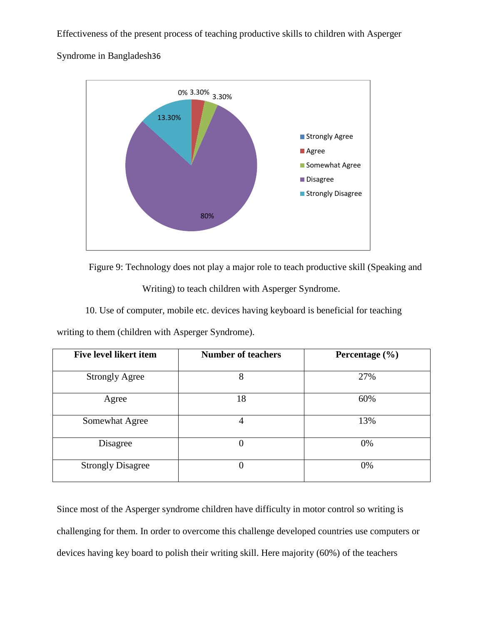Syndrome in Bangladesh36



Figure 9: Technology does not play a major role to teach productive skill (Speaking and

Writing) to teach children with Asperger Syndrome.

10. Use of computer, mobile etc. devices having keyboard is beneficial for teaching

writing to them (children with Asperger Syndrome).

| <b>Five level likert item</b> | <b>Number of teachers</b> | Percentage $(\% )$ |
|-------------------------------|---------------------------|--------------------|
| <b>Strongly Agree</b>         | 8                         | 27%                |
| Agree                         | 18                        | 60%                |
| Somewhat Agree                | 4                         | 13%                |
| Disagree                      | $\Omega$                  | 0%                 |
| <b>Strongly Disagree</b>      | $\Omega$                  | 0%                 |

Since most of the Asperger syndrome children have difficulty in motor control so writing is challenging for them. In order to overcome this challenge developed countries use computers or devices having key board to polish their writing skill. Here majority (60%) of the teachers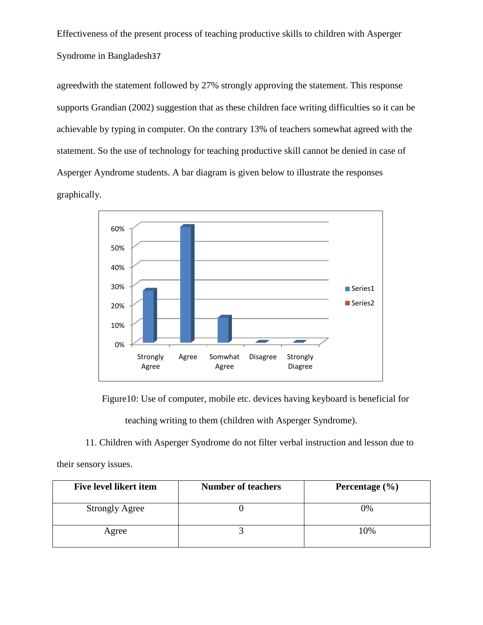agreedwith the statement followed by 27% strongly approving the statement. This response supports Grandian (2002) suggestion that as these children face writing difficulties so it can be achievable by typing in computer. On the contrary 13% of teachers somewhat agreed with the statement. So the use of technology for teaching productive skill cannot be denied in case of Asperger Ayndrome students. A bar diagram is given below to illustrate the responses graphically.



Figure10: Use of computer, mobile etc. devices having keyboard is beneficial for

teaching writing to them (children with Asperger Syndrome).

11. Children with Asperger Syndrome do not filter verbal instruction and lesson due to

their sensory issues.

| Five level likert item | <b>Number of teachers</b> | Percentage $(\% )$ |
|------------------------|---------------------------|--------------------|
| <b>Strongly Agree</b>  |                           | 0%                 |
| Agree                  |                           | 10%                |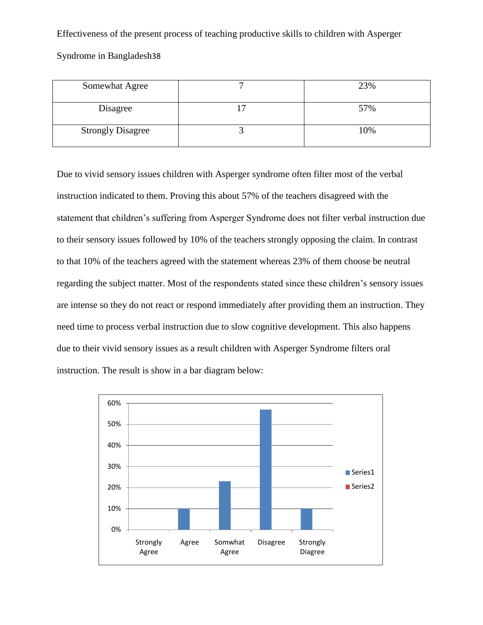Syndrome in Bangladesh38

| Somewhat Agree           | 23% |
|--------------------------|-----|
| Disagree                 | 57% |
| <b>Strongly Disagree</b> | 10% |

Due to vivid sensory issues children with Asperger syndrome often filter most of the verbal instruction indicated to them. Proving this about 57% of the teachers disagreed with the statement that children"s suffering from Asperger Syndrome does not filter verbal instruction due to their sensory issues followed by 10% of the teachers strongly opposing the claim. In contrast to that 10% of the teachers agreed with the statement whereas 23% of them choose be neutral regarding the subject matter. Most of the respondents stated since these children"s sensory issues are intense so they do not react or respond immediately after providing them an instruction. They need time to process verbal instruction due to slow cognitive development. This also happens due to their vivid sensory issues as a result children with Asperger Syndrome filters oral instruction. The result is show in a bar diagram below:

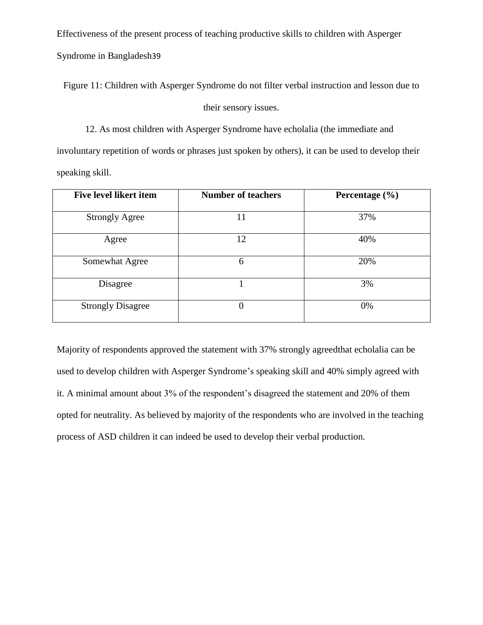Syndrome in Bangladesh39

Figure 11: Children with Asperger Syndrome do not filter verbal instruction and lesson due to

### their sensory issues.

12. As most children with Asperger Syndrome have echolalia (the immediate and involuntary repetition of words or phrases just spoken by others), it can be used to develop their speaking skill.

| <b>Five level likert item</b> | <b>Number of teachers</b> | Percentage $(\% )$ |
|-------------------------------|---------------------------|--------------------|
| <b>Strongly Agree</b>         | 11                        | 37%                |
| Agree                         | 12                        | 40%                |
| Somewhat Agree                | 6                         | 20%                |
| Disagree                      |                           | 3%                 |
| <b>Strongly Disagree</b>      | 0                         | 0%                 |

Majority of respondents approved the statement with 37% strongly agreedthat echolalia can be used to develop children with Asperger Syndrome's speaking skill and 40% simply agreed with it. A minimal amount about 3% of the respondent's disagreed the statement and 20% of them opted for neutrality. As believed by majority of the respondents who are involved in the teaching process of ASD children it can indeed be used to develop their verbal production.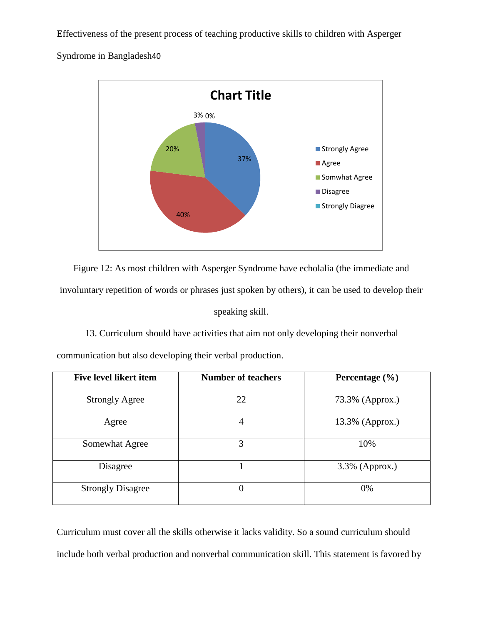Syndrome in Bangladesh40



Figure 12: As most children with Asperger Syndrome have echolalia (the immediate and involuntary repetition of words or phrases just spoken by others), it can be used to develop their speaking skill.

# 13. Curriculum should have activities that aim not only developing their nonverbal

communication but also developing their verbal production.

| <b>Five level likert item</b> | <b>Number of teachers</b> | Percentage $(\% )$ |
|-------------------------------|---------------------------|--------------------|
| <b>Strongly Agree</b>         | 22                        | 73.3% (Approx.)    |
| Agree                         | 4                         | $13.3\%$ (Approx.) |
| Somewhat Agree                | 3                         | 10%                |
| Disagree                      |                           | 3.3% (Approx.)     |
| <b>Strongly Disagree</b>      | $\overline{0}$            | 0%                 |

Curriculum must cover all the skills otherwise it lacks validity. So a sound curriculum should include both verbal production and nonverbal communication skill. This statement is favored by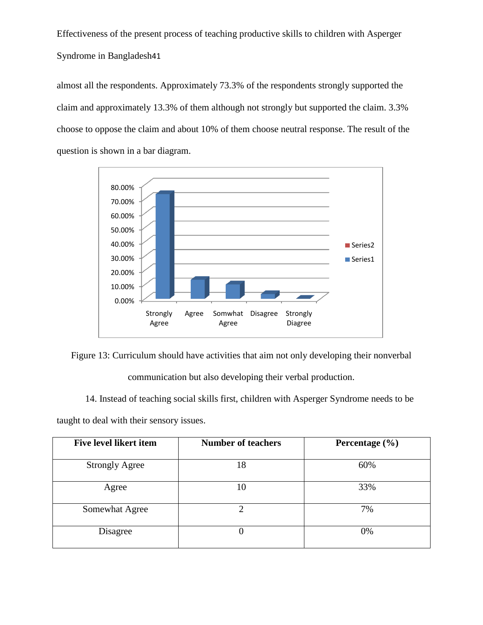almost all the respondents. Approximately 73.3% of the respondents strongly supported the claim and approximately 13.3% of them although not strongly but supported the claim. 3.3% choose to oppose the claim and about 10% of them choose neutral response. The result of the question is shown in a bar diagram.



Figure 13: Curriculum should have activities that aim not only developing their nonverbal

communication but also developing their verbal production.

14. Instead of teaching social skills first, children with Asperger Syndrome needs to be

**Five level likert item Number of teachers Percentage** (%) Strongly Agree 18 18 60% Agree 10 10 33% Somewhat Agree 2 2 7% Disagree 0 0 0%

taught to deal with their sensory issues.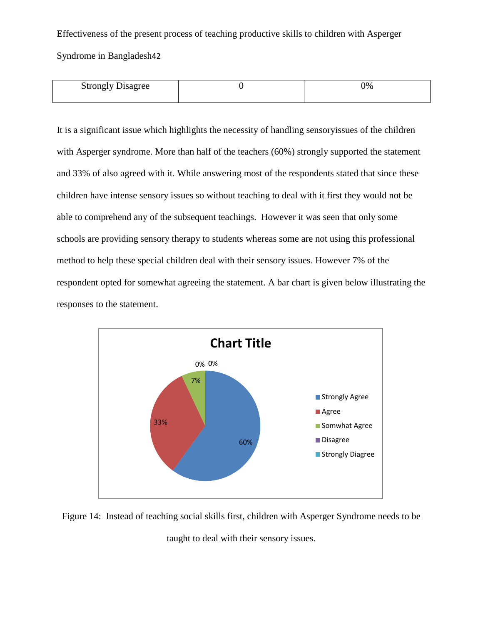Syndrome in Bangladesh42

| <b>Strongly Disagree</b> | 0% |
|--------------------------|----|
|                          |    |

It is a significant issue which highlights the necessity of handling sensoryissues of the children with Asperger syndrome. More than half of the teachers (60%) strongly supported the statement and 33% of also agreed with it. While answering most of the respondents stated that since these children have intense sensory issues so without teaching to deal with it first they would not be able to comprehend any of the subsequent teachings. However it was seen that only some schools are providing sensory therapy to students whereas some are not using this professional method to help these special children deal with their sensory issues. However 7% of the respondent opted for somewhat agreeing the statement. A bar chart is given below illustrating the responses to the statement.



Figure 14: Instead of teaching social skills first, children with Asperger Syndrome needs to be taught to deal with their sensory issues.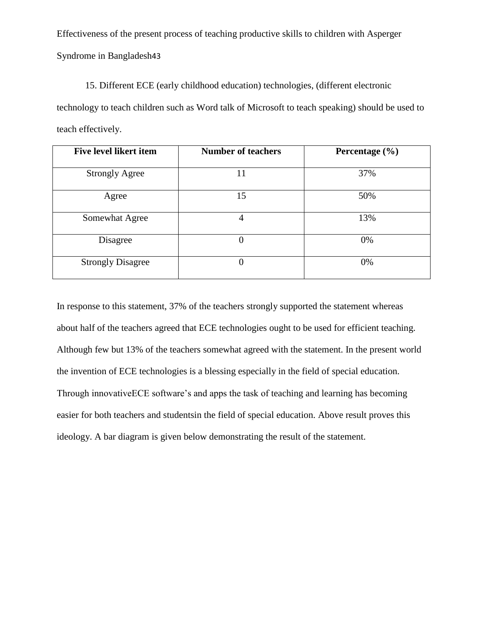15. Different ECE (early childhood education) technologies, (different electronic technology to teach children such as Word talk of Microsoft to teach speaking) should be used to teach effectively.

| <b>Five level likert item</b> | <b>Number of teachers</b> | Percentage $(\% )$ |
|-------------------------------|---------------------------|--------------------|
| <b>Strongly Agree</b>         | 11                        | 37%                |
| Agree                         | 15                        | 50%                |
| Somewhat Agree                |                           | 13%                |
| Disagree                      | 0                         | 0%                 |
| <b>Strongly Disagree</b>      |                           | 0%                 |

In response to this statement, 37% of the teachers strongly supported the statement whereas about half of the teachers agreed that ECE technologies ought to be used for efficient teaching. Although few but 13% of the teachers somewhat agreed with the statement. In the present world the invention of ECE technologies is a blessing especially in the field of special education. Through innovativeECE software"s and apps the task of teaching and learning has becoming easier for both teachers and studentsin the field of special education. Above result proves this ideology. A bar diagram is given below demonstrating the result of the statement.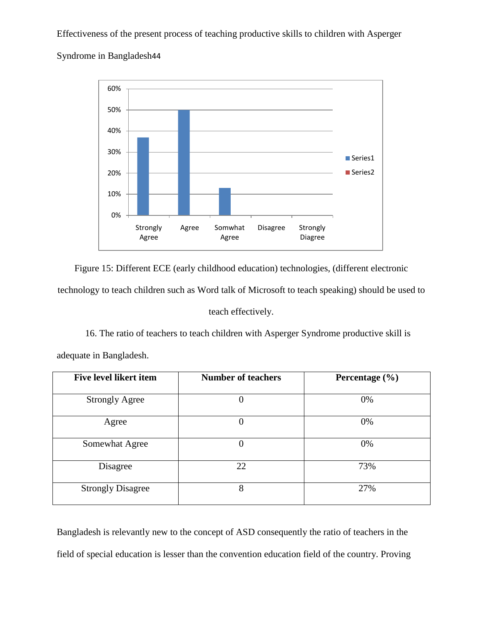Syndrome in Bangladesh44



Figure 15: Different ECE (early childhood education) technologies, (different electronic technology to teach children such as Word talk of Microsoft to teach speaking) should be used to teach effectively.

16. The ratio of teachers to teach children with Asperger Syndrome productive skill is adequate in Bangladesh.

**Five level likert item Number of teachers Percentage (%)** Strongly Agree 0 0% Agree  $0$  0% Somewhat Agree  $0$  0% Disagree 22 73% Strongly Disagree 8 27%

Bangladesh is relevantly new to the concept of ASD consequently the ratio of teachers in the field of special education is lesser than the convention education field of the country. Proving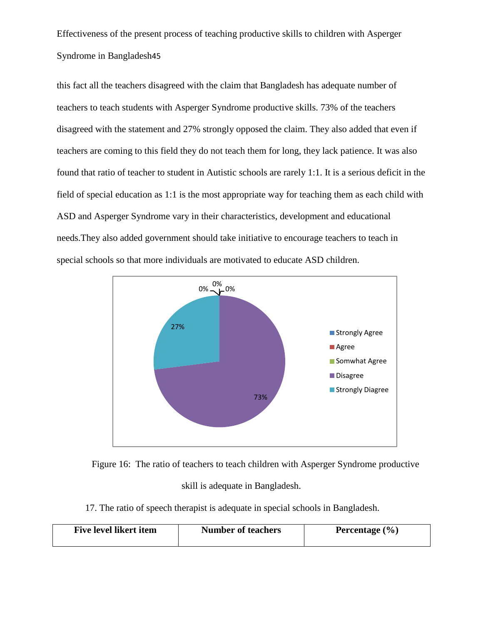this fact all the teachers disagreed with the claim that Bangladesh has adequate number of teachers to teach students with Asperger Syndrome productive skills. 73% of the teachers disagreed with the statement and 27% strongly opposed the claim. They also added that even if teachers are coming to this field they do not teach them for long, they lack patience. It was also found that ratio of teacher to student in Autistic schools are rarely 1:1. It is a serious deficit in the field of special education as 1:1 is the most appropriate way for teaching them as each child with ASD and Asperger Syndrome vary in their characteristics, development and educational needs.They also added government should take initiative to encourage teachers to teach in special schools so that more individuals are motivated to educate ASD children.



Figure 16: The ratio of teachers to teach children with Asperger Syndrome productive skill is adequate in Bangladesh.

17. The ratio of speech therapist is adequate in special schools in Bangladesh.

| Five level likert item | <b>Number of teachers</b> | Percentage $(\% )$ |
|------------------------|---------------------------|--------------------|
|                        |                           |                    |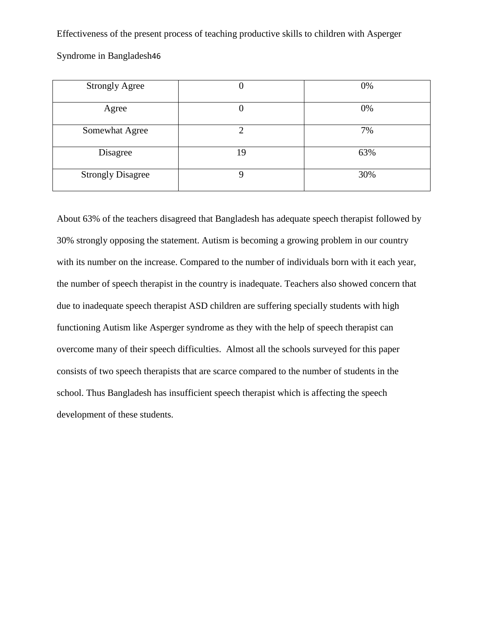| <b>Strongly Agree</b>    |    | 0%  |
|--------------------------|----|-----|
| Agree                    |    | 0%  |
| Somewhat Agree           | ി  | 7%  |
| Disagree                 | 19 | 63% |
| <b>Strongly Disagree</b> |    | 30% |

Syndrome in Bangladesh46

About 63% of the teachers disagreed that Bangladesh has adequate speech therapist followed by 30% strongly opposing the statement. Autism is becoming a growing problem in our country with its number on the increase. Compared to the number of individuals born with it each year, the number of speech therapist in the country is inadequate. Teachers also showed concern that due to inadequate speech therapist ASD children are suffering specially students with high functioning Autism like Asperger syndrome as they with the help of speech therapist can overcome many of their speech difficulties. Almost all the schools surveyed for this paper consists of two speech therapists that are scarce compared to the number of students in the school. Thus Bangladesh has insufficient speech therapist which is affecting the speech development of these students.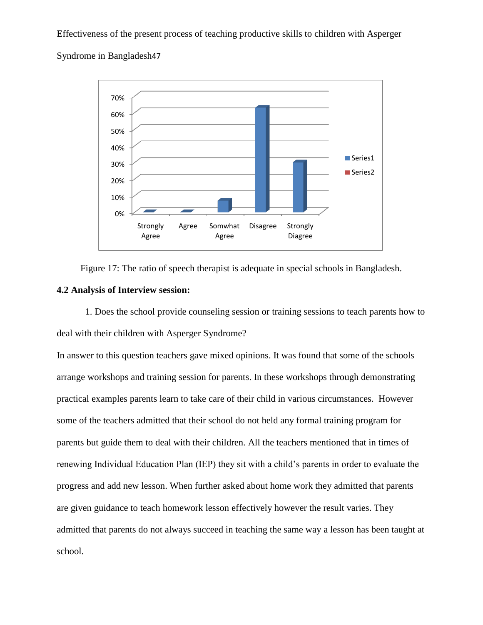Syndrome in Bangladesh47



Figure 17: The ratio of speech therapist is adequate in special schools in Bangladesh.

#### **4.2 Analysis of Interview session:**

1. Does the school provide counseling session or training sessions to teach parents how to deal with their children with Asperger Syndrome?

In answer to this question teachers gave mixed opinions. It was found that some of the schools arrange workshops and training session for parents. In these workshops through demonstrating practical examples parents learn to take care of their child in various circumstances. However some of the teachers admitted that their school do not held any formal training program for parents but guide them to deal with their children. All the teachers mentioned that in times of renewing Individual Education Plan (IEP) they sit with a child"s parents in order to evaluate the progress and add new lesson. When further asked about home work they admitted that parents are given guidance to teach homework lesson effectively however the result varies. They admitted that parents do not always succeed in teaching the same way a lesson has been taught at school.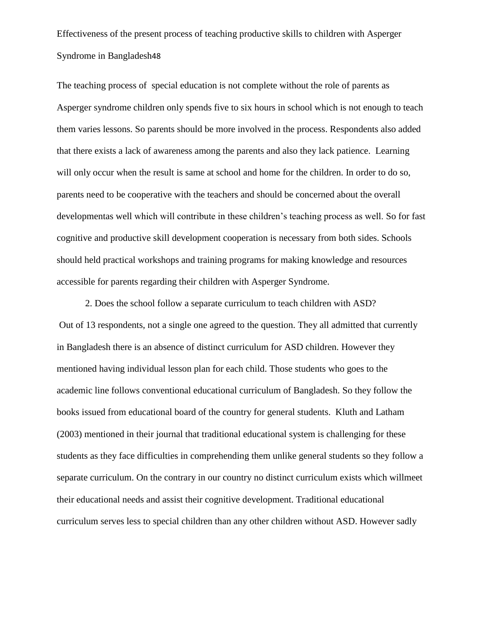The teaching process of special education is not complete without the role of parents as Asperger syndrome children only spends five to six hours in school which is not enough to teach them varies lessons. So parents should be more involved in the process. Respondents also added that there exists a lack of awareness among the parents and also they lack patience. Learning will only occur when the result is same at school and home for the children. In order to do so, parents need to be cooperative with the teachers and should be concerned about the overall developmentas well which will contribute in these children"s teaching process as well. So for fast cognitive and productive skill development cooperation is necessary from both sides. Schools should held practical workshops and training programs for making knowledge and resources accessible for parents regarding their children with Asperger Syndrome.

2. Does the school follow a separate curriculum to teach children with ASD? Out of 13 respondents, not a single one agreed to the question. They all admitted that currently in Bangladesh there is an absence of distinct curriculum for ASD children. However they mentioned having individual lesson plan for each child. Those students who goes to the academic line follows conventional educational curriculum of Bangladesh. So they follow the books issued from educational board of the country for general students. Kluth and Latham (2003) mentioned in their journal that traditional educational system is challenging for these students as they face difficulties in comprehending them unlike general students so they follow a separate curriculum. On the contrary in our country no distinct curriculum exists which willmeet their educational needs and assist their cognitive development. Traditional educational curriculum serves less to special children than any other children without ASD. However sadly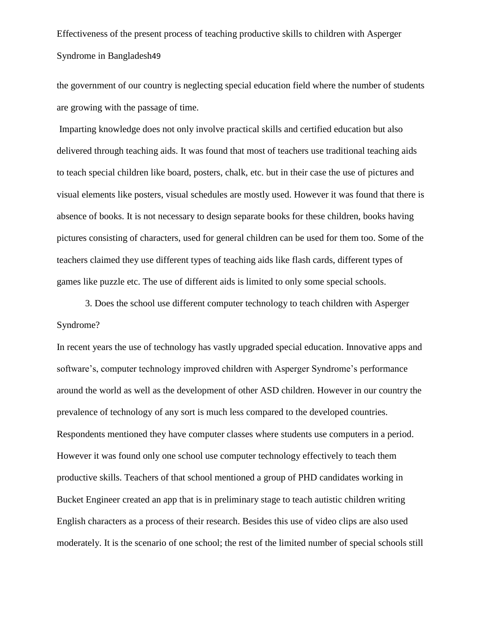the government of our country is neglecting special education field where the number of students are growing with the passage of time.

Imparting knowledge does not only involve practical skills and certified education but also delivered through teaching aids. It was found that most of teachers use traditional teaching aids to teach special children like board, posters, chalk, etc. but in their case the use of pictures and visual elements like posters, visual schedules are mostly used. However it was found that there is absence of books. It is not necessary to design separate books for these children, books having pictures consisting of characters, used for general children can be used for them too. Some of the teachers claimed they use different types of teaching aids like flash cards, different types of games like puzzle etc. The use of different aids is limited to only some special schools.

3. Does the school use different computer technology to teach children with Asperger Syndrome?

In recent years the use of technology has vastly upgraded special education. Innovative apps and software's, computer technology improved children with Asperger Syndrome's performance around the world as well as the development of other ASD children. However in our country the prevalence of technology of any sort is much less compared to the developed countries. Respondents mentioned they have computer classes where students use computers in a period. However it was found only one school use computer technology effectively to teach them productive skills. Teachers of that school mentioned a group of PHD candidates working in Bucket Engineer created an app that is in preliminary stage to teach autistic children writing English characters as a process of their research. Besides this use of video clips are also used moderately. It is the scenario of one school; the rest of the limited number of special schools still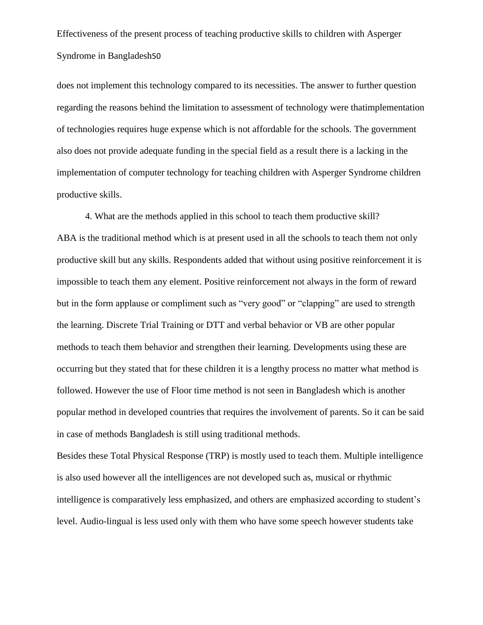does not implement this technology compared to its necessities. The answer to further question regarding the reasons behind the limitation to assessment of technology were thatimplementation of technologies requires huge expense which is not affordable for the schools. The government also does not provide adequate funding in the special field as a result there is a lacking in the implementation of computer technology for teaching children with Asperger Syndrome children productive skills.

4. What are the methods applied in this school to teach them productive skill? ABA is the traditional method which is at present used in all the schools to teach them not only productive skill but any skills. Respondents added that without using positive reinforcement it is impossible to teach them any element. Positive reinforcement not always in the form of reward but in the form applause or compliment such as "very good" or "clapping" are used to strength the learning. Discrete Trial Training or DTT and verbal behavior or VB are other popular methods to teach them behavior and strengthen their learning. Developments using these are occurring but they stated that for these children it is a lengthy process no matter what method is followed. However the use of Floor time method is not seen in Bangladesh which is another popular method in developed countries that requires the involvement of parents. So it can be said in case of methods Bangladesh is still using traditional methods.

Besides these Total Physical Response (TRP) is mostly used to teach them. Multiple intelligence is also used however all the intelligences are not developed such as, musical or rhythmic intelligence is comparatively less emphasized, and others are emphasized according to student"s level. Audio-lingual is less used only with them who have some speech however students take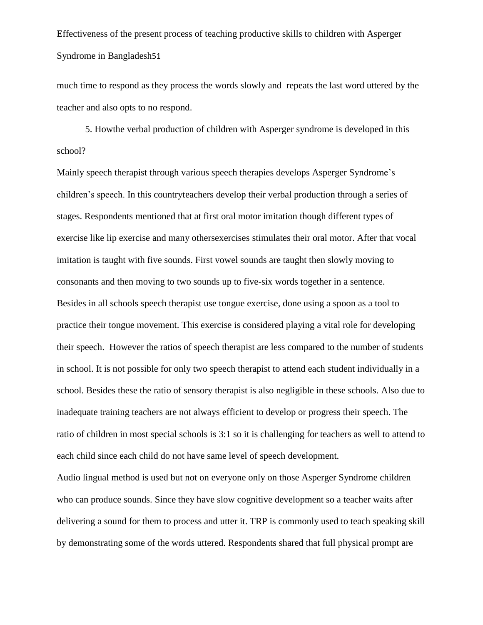much time to respond as they process the words slowly and repeats the last word uttered by the teacher and also opts to no respond.

5. Howthe verbal production of children with Asperger syndrome is developed in this school?

Mainly speech therapist through various speech therapies develops Asperger Syndrome"s children"s speech. In this countryteachers develop their verbal production through a series of stages. Respondents mentioned that at first oral motor imitation though different types of exercise like lip exercise and many othersexercises stimulates their oral motor. After that vocal imitation is taught with five sounds. First vowel sounds are taught then slowly moving to consonants and then moving to two sounds up to five-six words together in a sentence. Besides in all schools speech therapist use tongue exercise, done using a spoon as a tool to practice their tongue movement. This exercise is considered playing a vital role for developing their speech. However the ratios of speech therapist are less compared to the number of students in school. It is not possible for only two speech therapist to attend each student individually in a school. Besides these the ratio of sensory therapist is also negligible in these schools. Also due to inadequate training teachers are not always efficient to develop or progress their speech. The ratio of children in most special schools is 3:1 so it is challenging for teachers as well to attend to each child since each child do not have same level of speech development.

Audio lingual method is used but not on everyone only on those Asperger Syndrome children who can produce sounds. Since they have slow cognitive development so a teacher waits after delivering a sound for them to process and utter it. TRP is commonly used to teach speaking skill by demonstrating some of the words uttered. Respondents shared that full physical prompt are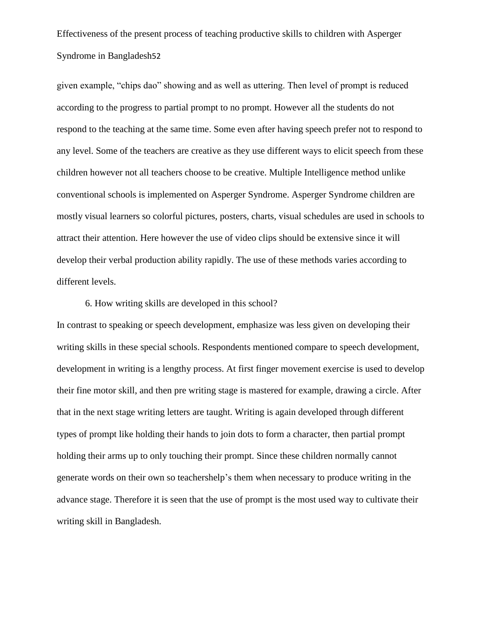given example, "chips dao" showing and as well as uttering. Then level of prompt is reduced according to the progress to partial prompt to no prompt. However all the students do not respond to the teaching at the same time. Some even after having speech prefer not to respond to any level. Some of the teachers are creative as they use different ways to elicit speech from these children however not all teachers choose to be creative. Multiple Intelligence method unlike conventional schools is implemented on Asperger Syndrome. Asperger Syndrome children are mostly visual learners so colorful pictures, posters, charts, visual schedules are used in schools to attract their attention. Here however the use of video clips should be extensive since it will develop their verbal production ability rapidly. The use of these methods varies according to different levels.

6. How writing skills are developed in this school?

In contrast to speaking or speech development, emphasize was less given on developing their writing skills in these special schools. Respondents mentioned compare to speech development, development in writing is a lengthy process. At first finger movement exercise is used to develop their fine motor skill, and then pre writing stage is mastered for example, drawing a circle. After that in the next stage writing letters are taught. Writing is again developed through different types of prompt like holding their hands to join dots to form a character, then partial prompt holding their arms up to only touching their prompt. Since these children normally cannot generate words on their own so teachershelp"s them when necessary to produce writing in the advance stage. Therefore it is seen that the use of prompt is the most used way to cultivate their writing skill in Bangladesh.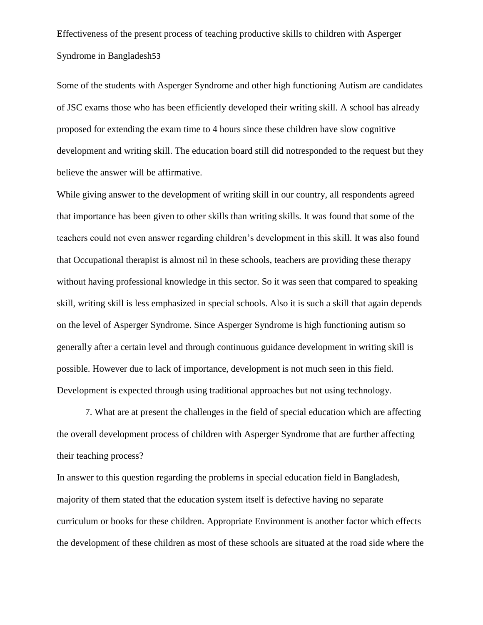Some of the students with Asperger Syndrome and other high functioning Autism are candidates of JSC exams those who has been efficiently developed their writing skill. A school has already proposed for extending the exam time to 4 hours since these children have slow cognitive development and writing skill. The education board still did notresponded to the request but they believe the answer will be affirmative.

While giving answer to the development of writing skill in our country, all respondents agreed that importance has been given to other skills than writing skills. It was found that some of the teachers could not even answer regarding children"s development in this skill. It was also found that Occupational therapist is almost nil in these schools, teachers are providing these therapy without having professional knowledge in this sector. So it was seen that compared to speaking skill, writing skill is less emphasized in special schools. Also it is such a skill that again depends on the level of Asperger Syndrome. Since Asperger Syndrome is high functioning autism so generally after a certain level and through continuous guidance development in writing skill is possible. However due to lack of importance, development is not much seen in this field. Development is expected through using traditional approaches but not using technology.

7. What are at present the challenges in the field of special education which are affecting the overall development process of children with Asperger Syndrome that are further affecting their teaching process?

In answer to this question regarding the problems in special education field in Bangladesh, majority of them stated that the education system itself is defective having no separate curriculum or books for these children. Appropriate Environment is another factor which effects the development of these children as most of these schools are situated at the road side where the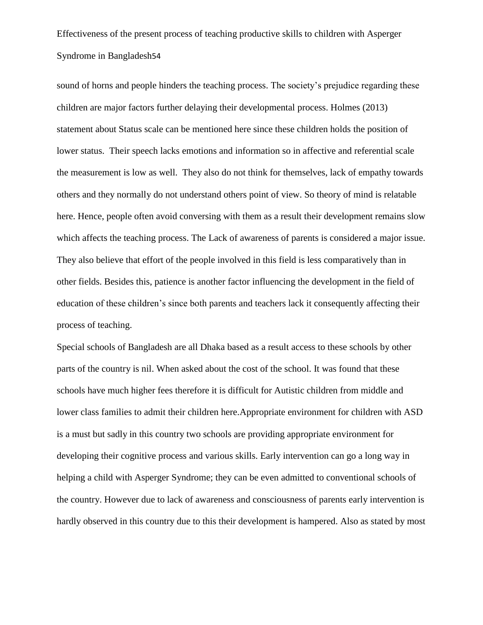sound of horns and people hinders the teaching process. The society"s prejudice regarding these children are major factors further delaying their developmental process. Holmes (2013) statement about Status scale can be mentioned here since these children holds the position of lower status. Their speech lacks emotions and information so in affective and referential scale the measurement is low as well. They also do not think for themselves, lack of empathy towards others and they normally do not understand others point of view. So theory of mind is relatable here. Hence, people often avoid conversing with them as a result their development remains slow which affects the teaching process. The Lack of awareness of parents is considered a major issue. They also believe that effort of the people involved in this field is less comparatively than in other fields. Besides this, patience is another factor influencing the development in the field of education of these children"s since both parents and teachers lack it consequently affecting their process of teaching.

Special schools of Bangladesh are all Dhaka based as a result access to these schools by other parts of the country is nil. When asked about the cost of the school. It was found that these schools have much higher fees therefore it is difficult for Autistic children from middle and lower class families to admit their children here.Appropriate environment for children with ASD is a must but sadly in this country two schools are providing appropriate environment for developing their cognitive process and various skills. Early intervention can go a long way in helping a child with Asperger Syndrome; they can be even admitted to conventional schools of the country. However due to lack of awareness and consciousness of parents early intervention is hardly observed in this country due to this their development is hampered. Also as stated by most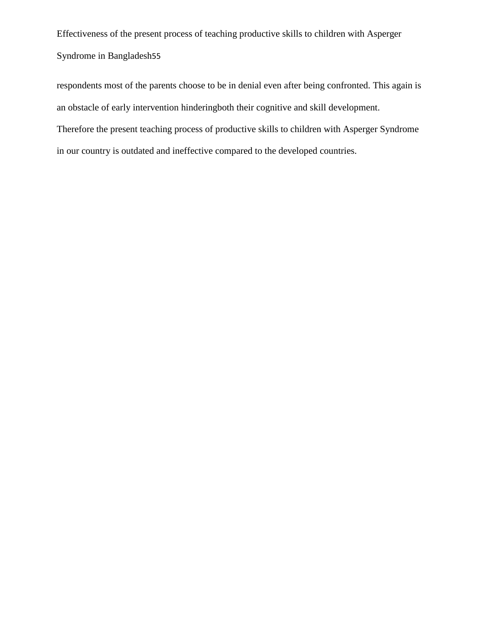respondents most of the parents choose to be in denial even after being confronted. This again is an obstacle of early intervention hinderingboth their cognitive and skill development. Therefore the present teaching process of productive skills to children with Asperger Syndrome in our country is outdated and ineffective compared to the developed countries.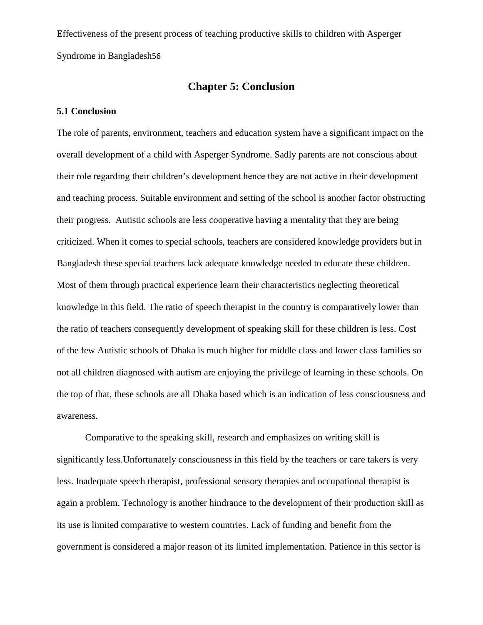## **Chapter 5: Conclusion**

## **5.1 Conclusion**

The role of parents, environment, teachers and education system have a significant impact on the overall development of a child with Asperger Syndrome. Sadly parents are not conscious about their role regarding their children"s development hence they are not active in their development and teaching process. Suitable environment and setting of the school is another factor obstructing their progress. Autistic schools are less cooperative having a mentality that they are being criticized. When it comes to special schools, teachers are considered knowledge providers but in Bangladesh these special teachers lack adequate knowledge needed to educate these children. Most of them through practical experience learn their characteristics neglecting theoretical knowledge in this field. The ratio of speech therapist in the country is comparatively lower than the ratio of teachers consequently development of speaking skill for these children is less. Cost of the few Autistic schools of Dhaka is much higher for middle class and lower class families so not all children diagnosed with autism are enjoying the privilege of learning in these schools. On the top of that, these schools are all Dhaka based which is an indication of less consciousness and awareness.

Comparative to the speaking skill, research and emphasizes on writing skill is significantly less.Unfortunately consciousness in this field by the teachers or care takers is very less. Inadequate speech therapist, professional sensory therapies and occupational therapist is again a problem. Technology is another hindrance to the development of their production skill as its use is limited comparative to western countries. Lack of funding and benefit from the government is considered a major reason of its limited implementation. Patience in this sector is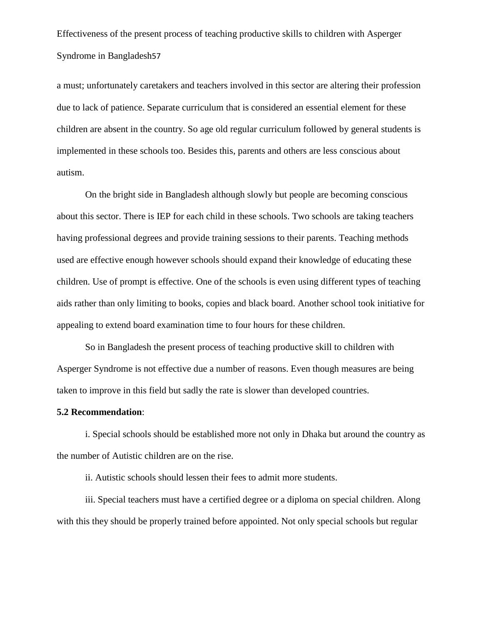a must; unfortunately caretakers and teachers involved in this sector are altering their profession due to lack of patience. Separate curriculum that is considered an essential element for these children are absent in the country. So age old regular curriculum followed by general students is implemented in these schools too. Besides this, parents and others are less conscious about autism.

On the bright side in Bangladesh although slowly but people are becoming conscious about this sector. There is IEP for each child in these schools. Two schools are taking teachers having professional degrees and provide training sessions to their parents. Teaching methods used are effective enough however schools should expand their knowledge of educating these children. Use of prompt is effective. One of the schools is even using different types of teaching aids rather than only limiting to books, copies and black board. Another school took initiative for appealing to extend board examination time to four hours for these children.

So in Bangladesh the present process of teaching productive skill to children with Asperger Syndrome is not effective due a number of reasons. Even though measures are being taken to improve in this field but sadly the rate is slower than developed countries.

### **5.2 Recommendation**:

i. Special schools should be established more not only in Dhaka but around the country as the number of Autistic children are on the rise.

ii. Autistic schools should lessen their fees to admit more students.

iii. Special teachers must have a certified degree or a diploma on special children. Along with this they should be properly trained before appointed. Not only special schools but regular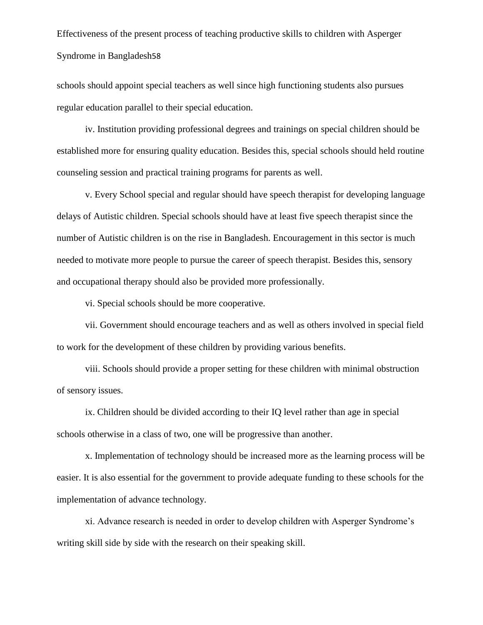schools should appoint special teachers as well since high functioning students also pursues regular education parallel to their special education.

iv. Institution providing professional degrees and trainings on special children should be established more for ensuring quality education. Besides this, special schools should held routine counseling session and practical training programs for parents as well.

v. Every School special and regular should have speech therapist for developing language delays of Autistic children. Special schools should have at least five speech therapist since the number of Autistic children is on the rise in Bangladesh. Encouragement in this sector is much needed to motivate more people to pursue the career of speech therapist. Besides this, sensory and occupational therapy should also be provided more professionally.

vi. Special schools should be more cooperative.

vii. Government should encourage teachers and as well as others involved in special field to work for the development of these children by providing various benefits.

viii. Schools should provide a proper setting for these children with minimal obstruction of sensory issues.

ix. Children should be divided according to their IQ level rather than age in special schools otherwise in a class of two, one will be progressive than another.

x. Implementation of technology should be increased more as the learning process will be easier. It is also essential for the government to provide adequate funding to these schools for the implementation of advance technology.

xi. Advance research is needed in order to develop children with Asperger Syndrome"s writing skill side by side with the research on their speaking skill.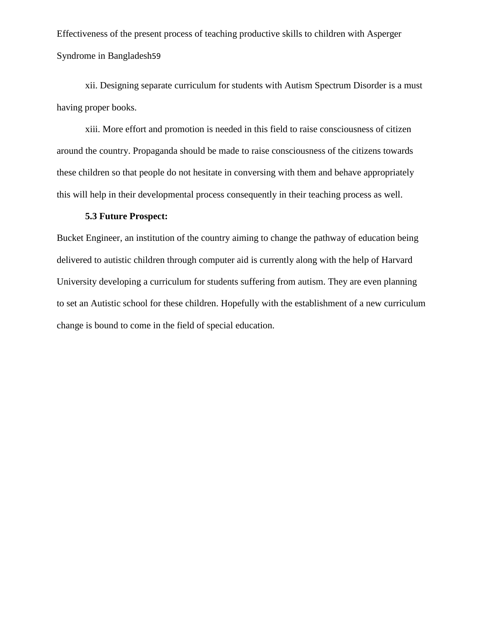xii. Designing separate curriculum for students with Autism Spectrum Disorder is a must having proper books.

xiii. More effort and promotion is needed in this field to raise consciousness of citizen around the country. Propaganda should be made to raise consciousness of the citizens towards these children so that people do not hesitate in conversing with them and behave appropriately this will help in their developmental process consequently in their teaching process as well.

#### **5.3 Future Prospect:**

Bucket Engineer, an institution of the country aiming to change the pathway of education being delivered to autistic children through computer aid is currently along with the help of Harvard University developing a curriculum for students suffering from autism. They are even planning to set an Autistic school for these children. Hopefully with the establishment of a new curriculum change is bound to come in the field of special education.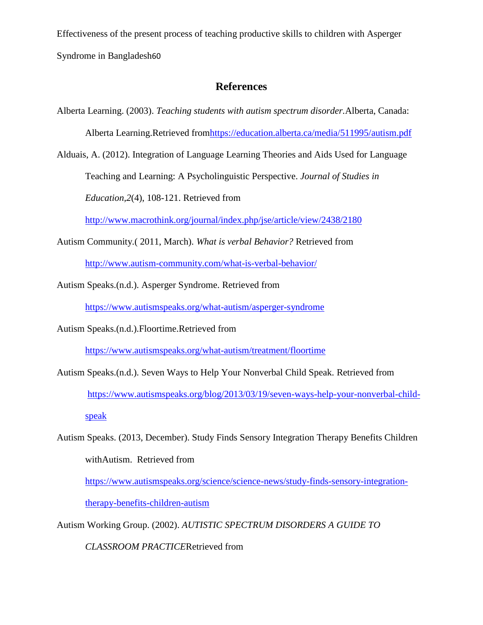# **References**

Alberta Learning. (2003). *Teaching students with autism spectrum disorder.*Alberta, Canada:

Alberta Learning.Retrieved fro[mhttps://education.alberta.ca/media/511995/autism.pdf](https://education.alberta.ca/media/511995/autism.pdf)

Alduais, A. (2012). Integration of Language Learning Theories and Aids Used for Language

Teaching and Learning: A Psycholinguistic Perspective. *Journal of Studies in* 

*Education,2*(4), 108-121. Retrieved from

<http://www.macrothink.org/journal/index.php/jse/article/view/2438/2180>

- Autism Community.( 2011, March). *What is verbal Behavior?* Retrieved from <http://www.autism-community.com/what-is-verbal-behavior/>
- Autism Speaks.(n.d.). Asperger Syndrome. Retrieved from

<https://www.autismspeaks.org/what-autism/asperger-syndrome>

Autism Speaks.(n.d.).Floortime.Retrieved from

<https://www.autismspeaks.org/what-autism/treatment/floortime>

Autism Speaks.(n.d.). Seven Ways to Help Your Nonverbal Child Speak. Retrieved from [https://www.autismspeaks.org/blog/2013/03/19/seven-ways-help-your-nonverbal-child](https://www.autismspeaks.org/blog/2013/03/19/seven-ways-help-your-nonverbal-child-speak)[speak](https://www.autismspeaks.org/blog/2013/03/19/seven-ways-help-your-nonverbal-child-speak)

Autism Speaks. (2013, December). Study Finds Sensory Integration Therapy Benefits Children withAutism. Retrieved from [https://www.autismspeaks.org/science/science-news/study-finds-sensory-integration-](https://www.autismspeaks.org/science/science-news/study-finds-sensory-integration-therapy-benefits-children-autism)

[therapy-benefits-children-autism](https://www.autismspeaks.org/science/science-news/study-finds-sensory-integration-therapy-benefits-children-autism)

Autism Working Group. (2002). *AUTISTIC SPECTRUM DISORDERS A GUIDE TO* 

*CLASSROOM PRACTICE*Retrieved from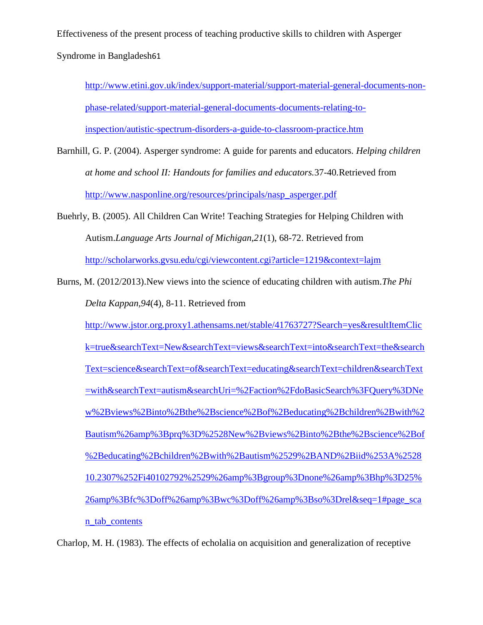[http://www.etini.gov.uk/index/support-material/support-material-general-documents-non](http://www.etini.gov.uk/index/support-material/support-material-general-documents-non-phase-related/support-material-general-documents-documents-relating-to-inspection/autistic-spectrum-disorders-a-guide-to-classroom-practice.htm)[phase-related/support-material-general-documents-documents-relating-to](http://www.etini.gov.uk/index/support-material/support-material-general-documents-non-phase-related/support-material-general-documents-documents-relating-to-inspection/autistic-spectrum-disorders-a-guide-to-classroom-practice.htm)[inspection/autistic-spectrum-disorders-a-guide-to-classroom-practice.htm](http://www.etini.gov.uk/index/support-material/support-material-general-documents-non-phase-related/support-material-general-documents-documents-relating-to-inspection/autistic-spectrum-disorders-a-guide-to-classroom-practice.htm)

- Barnhill, G. P. (2004). Asperger syndrome: A guide for parents and educators. *Helping children at home and school II: Handouts for families and educators.*37-40*.*Retrieved from [http://www.nasponline.org/resources/principals/nasp\\_asperger.pdf](http://www.nasponline.org/resources/principals/nasp_asperger.pdf)
- Buehrly, B. (2005). All Children Can Write! Teaching Strategies for Helping Children with Autism.*Language Arts Journal of Michigan,21*(1), 68-72. Retrieved from <http://scholarworks.gvsu.edu/cgi/viewcontent.cgi?article=1219&context=lajm>
- Burns, M. (2012/2013).New views into the science of educating children with autism.*The Phi Delta Kappan,94*(4), 8-11. Retrieved from

[http://www.jstor.org.proxy1.athensams.net/stable/41763727?Search=yes&resultItemClic](http://www.jstor.org.proxy1.athensams.net/stable/41763727?Search=yes&resultItemClick=true&searchText=New&searchText=views&searchText=into&searchText=the&searchText=science&searchText=of&searchText=educating&searchText=children&searchText=with&searchText=autism&searchUri=%2Faction%2FdoBasicSearch%3FQuery%3DNew%2Bviews%2Binto%2Bthe%2Bscience%2Bof%2Beducating%2Bchildren%2Bwith%2Bautism%26amp%3Bprq%3D%2528New%2Bviews%2Binto%2Bthe%2Bscience%2Bof%2Beducating%2Bchildren%2Bwith%2Bautism%2529%2BAND%2Biid%253A%252810.2307%252Fi40102792%2529%26amp%3Bgroup%3Dnone%26amp%3Bhp%3D25%26amp%3Bfc%3Doff%26amp%3Bwc%3Doff%26amp%3Bso%3Drel&seq=1#page_scan_tab_contents) [k=true&searchText=New&searchText=views&searchText=into&searchText=the&search](http://www.jstor.org.proxy1.athensams.net/stable/41763727?Search=yes&resultItemClick=true&searchText=New&searchText=views&searchText=into&searchText=the&searchText=science&searchText=of&searchText=educating&searchText=children&searchText=with&searchText=autism&searchUri=%2Faction%2FdoBasicSearch%3FQuery%3DNew%2Bviews%2Binto%2Bthe%2Bscience%2Bof%2Beducating%2Bchildren%2Bwith%2Bautism%26amp%3Bprq%3D%2528New%2Bviews%2Binto%2Bthe%2Bscience%2Bof%2Beducating%2Bchildren%2Bwith%2Bautism%2529%2BAND%2Biid%253A%252810.2307%252Fi40102792%2529%26amp%3Bgroup%3Dnone%26amp%3Bhp%3D25%26amp%3Bfc%3Doff%26amp%3Bwc%3Doff%26amp%3Bso%3Drel&seq=1#page_scan_tab_contents) [Text=science&searchText=of&searchText=educating&searchText=children&searchText](http://www.jstor.org.proxy1.athensams.net/stable/41763727?Search=yes&resultItemClick=true&searchText=New&searchText=views&searchText=into&searchText=the&searchText=science&searchText=of&searchText=educating&searchText=children&searchText=with&searchText=autism&searchUri=%2Faction%2FdoBasicSearch%3FQuery%3DNew%2Bviews%2Binto%2Bthe%2Bscience%2Bof%2Beducating%2Bchildren%2Bwith%2Bautism%26amp%3Bprq%3D%2528New%2Bviews%2Binto%2Bthe%2Bscience%2Bof%2Beducating%2Bchildren%2Bwith%2Bautism%2529%2BAND%2Biid%253A%252810.2307%252Fi40102792%2529%26amp%3Bgroup%3Dnone%26amp%3Bhp%3D25%26amp%3Bfc%3Doff%26amp%3Bwc%3Doff%26amp%3Bso%3Drel&seq=1#page_scan_tab_contents) [=with&searchText=autism&searchUri=%2Faction%2FdoBasicSearch%3FQuery%3DNe](http://www.jstor.org.proxy1.athensams.net/stable/41763727?Search=yes&resultItemClick=true&searchText=New&searchText=views&searchText=into&searchText=the&searchText=science&searchText=of&searchText=educating&searchText=children&searchText=with&searchText=autism&searchUri=%2Faction%2FdoBasicSearch%3FQuery%3DNew%2Bviews%2Binto%2Bthe%2Bscience%2Bof%2Beducating%2Bchildren%2Bwith%2Bautism%26amp%3Bprq%3D%2528New%2Bviews%2Binto%2Bthe%2Bscience%2Bof%2Beducating%2Bchildren%2Bwith%2Bautism%2529%2BAND%2Biid%253A%252810.2307%252Fi40102792%2529%26amp%3Bgroup%3Dnone%26amp%3Bhp%3D25%26amp%3Bfc%3Doff%26amp%3Bwc%3Doff%26amp%3Bso%3Drel&seq=1#page_scan_tab_contents) [w%2Bviews%2Binto%2Bthe%2Bscience%2Bof%2Beducating%2Bchildren%2Bwith%2](http://www.jstor.org.proxy1.athensams.net/stable/41763727?Search=yes&resultItemClick=true&searchText=New&searchText=views&searchText=into&searchText=the&searchText=science&searchText=of&searchText=educating&searchText=children&searchText=with&searchText=autism&searchUri=%2Faction%2FdoBasicSearch%3FQuery%3DNew%2Bviews%2Binto%2Bthe%2Bscience%2Bof%2Beducating%2Bchildren%2Bwith%2Bautism%26amp%3Bprq%3D%2528New%2Bviews%2Binto%2Bthe%2Bscience%2Bof%2Beducating%2Bchildren%2Bwith%2Bautism%2529%2BAND%2Biid%253A%252810.2307%252Fi40102792%2529%26amp%3Bgroup%3Dnone%26amp%3Bhp%3D25%26amp%3Bfc%3Doff%26amp%3Bwc%3Doff%26amp%3Bso%3Drel&seq=1#page_scan_tab_contents) [Bautism%26amp%3Bprq%3D%2528New%2Bviews%2Binto%2Bthe%2Bscience%2Bof](http://www.jstor.org.proxy1.athensams.net/stable/41763727?Search=yes&resultItemClick=true&searchText=New&searchText=views&searchText=into&searchText=the&searchText=science&searchText=of&searchText=educating&searchText=children&searchText=with&searchText=autism&searchUri=%2Faction%2FdoBasicSearch%3FQuery%3DNew%2Bviews%2Binto%2Bthe%2Bscience%2Bof%2Beducating%2Bchildren%2Bwith%2Bautism%26amp%3Bprq%3D%2528New%2Bviews%2Binto%2Bthe%2Bscience%2Bof%2Beducating%2Bchildren%2Bwith%2Bautism%2529%2BAND%2Biid%253A%252810.2307%252Fi40102792%2529%26amp%3Bgroup%3Dnone%26amp%3Bhp%3D25%26amp%3Bfc%3Doff%26amp%3Bwc%3Doff%26amp%3Bso%3Drel&seq=1#page_scan_tab_contents) [%2Beducating%2Bchildren%2Bwith%2Bautism%2529%2BAND%2Biid%253A%2528](http://www.jstor.org.proxy1.athensams.net/stable/41763727?Search=yes&resultItemClick=true&searchText=New&searchText=views&searchText=into&searchText=the&searchText=science&searchText=of&searchText=educating&searchText=children&searchText=with&searchText=autism&searchUri=%2Faction%2FdoBasicSearch%3FQuery%3DNew%2Bviews%2Binto%2Bthe%2Bscience%2Bof%2Beducating%2Bchildren%2Bwith%2Bautism%26amp%3Bprq%3D%2528New%2Bviews%2Binto%2Bthe%2Bscience%2Bof%2Beducating%2Bchildren%2Bwith%2Bautism%2529%2BAND%2Biid%253A%252810.2307%252Fi40102792%2529%26amp%3Bgroup%3Dnone%26amp%3Bhp%3D25%26amp%3Bfc%3Doff%26amp%3Bwc%3Doff%26amp%3Bso%3Drel&seq=1#page_scan_tab_contents) [10.2307%252Fi40102792%2529%26amp%3Bgroup%3Dnone%26amp%3Bhp%3D25%](http://www.jstor.org.proxy1.athensams.net/stable/41763727?Search=yes&resultItemClick=true&searchText=New&searchText=views&searchText=into&searchText=the&searchText=science&searchText=of&searchText=educating&searchText=children&searchText=with&searchText=autism&searchUri=%2Faction%2FdoBasicSearch%3FQuery%3DNew%2Bviews%2Binto%2Bthe%2Bscience%2Bof%2Beducating%2Bchildren%2Bwith%2Bautism%26amp%3Bprq%3D%2528New%2Bviews%2Binto%2Bthe%2Bscience%2Bof%2Beducating%2Bchildren%2Bwith%2Bautism%2529%2BAND%2Biid%253A%252810.2307%252Fi40102792%2529%26amp%3Bgroup%3Dnone%26amp%3Bhp%3D25%26amp%3Bfc%3Doff%26amp%3Bwc%3Doff%26amp%3Bso%3Drel&seq=1#page_scan_tab_contents) [26amp%3Bfc%3Doff%26amp%3Bwc%3Doff%26amp%3Bso%3Drel&seq=1#page\\_sca](http://www.jstor.org.proxy1.athensams.net/stable/41763727?Search=yes&resultItemClick=true&searchText=New&searchText=views&searchText=into&searchText=the&searchText=science&searchText=of&searchText=educating&searchText=children&searchText=with&searchText=autism&searchUri=%2Faction%2FdoBasicSearch%3FQuery%3DNew%2Bviews%2Binto%2Bthe%2Bscience%2Bof%2Beducating%2Bchildren%2Bwith%2Bautism%26amp%3Bprq%3D%2528New%2Bviews%2Binto%2Bthe%2Bscience%2Bof%2Beducating%2Bchildren%2Bwith%2Bautism%2529%2BAND%2Biid%253A%252810.2307%252Fi40102792%2529%26amp%3Bgroup%3Dnone%26amp%3Bhp%3D25%26amp%3Bfc%3Doff%26amp%3Bwc%3Doff%26amp%3Bso%3Drel&seq=1#page_scan_tab_contents) [n\\_tab\\_contents](http://www.jstor.org.proxy1.athensams.net/stable/41763727?Search=yes&resultItemClick=true&searchText=New&searchText=views&searchText=into&searchText=the&searchText=science&searchText=of&searchText=educating&searchText=children&searchText=with&searchText=autism&searchUri=%2Faction%2FdoBasicSearch%3FQuery%3DNew%2Bviews%2Binto%2Bthe%2Bscience%2Bof%2Beducating%2Bchildren%2Bwith%2Bautism%26amp%3Bprq%3D%2528New%2Bviews%2Binto%2Bthe%2Bscience%2Bof%2Beducating%2Bchildren%2Bwith%2Bautism%2529%2BAND%2Biid%253A%252810.2307%252Fi40102792%2529%26amp%3Bgroup%3Dnone%26amp%3Bhp%3D25%26amp%3Bfc%3Doff%26amp%3Bwc%3Doff%26amp%3Bso%3Drel&seq=1#page_scan_tab_contents)

Charlop, M. H. (1983). The effects of echolalia on acquisition and generalization of receptive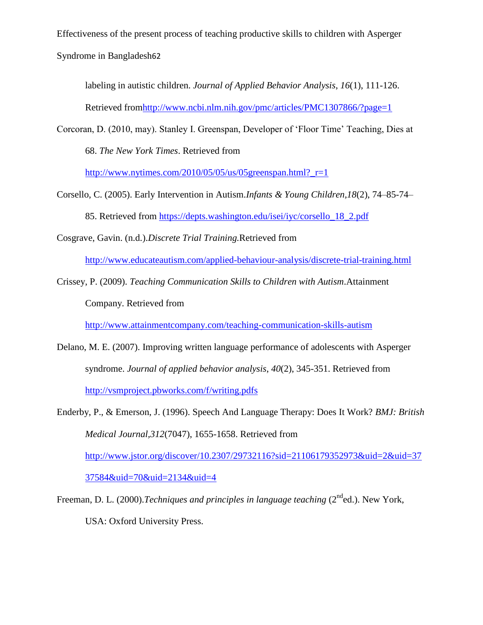labeling in autistic children. *Journal of Applied Behavior Analysis*, *16*(1), 111-126. Retrieved fro[mhttp://www.ncbi.nlm.nih.gov/pmc/articles/PMC1307866/?page=1](http://www.ncbi.nlm.nih.gov/pmc/articles/PMC1307866/?page=1)

Corcoran, D. (2010, may). Stanley I. Greenspan, Developer of "Floor Time" Teaching, Dies at 68. *The New York Times*. Retrieved from

http://www.nytimes.com/2010/05/05/us/05greenspan.html? $r=1$ 

Corsello, C. (2005). Early Intervention in Autism.*Infants & Young Children,18*(2), 74–85-74– 85. Retrieved from [https://depts.washington.edu/isei/iyc/corsello\\_18\\_2.pdf](https://depts.washington.edu/isei/iyc/corsello_18_2.pdf)

Cosgrave, Gavin. (n.d.).*Discrete Trial Training.*Retrieved from

<http://www.educateautism.com/applied-behaviour-analysis/discrete-trial-training.html>

Crissey, P. (2009). *Teaching Communication Skills to Children with Autism*.Attainment

Company. Retrieved from

<http://www.attainmentcompany.com/teaching-communication-skills-autism>

Delano, M. E. (2007). Improving written language performance of adolescents with Asperger syndrome. *Journal of applied behavior analysis*, *40*(2), 345-351. Retrieved from [http://vsmproject.pbworks.com/f/writing.pdfs](http://vsmproject.pbworks.com/f/writing.pdf)

Freeman, D. L. (2000).*Techniques and principles in language teaching* (2<sup>nd</sup>ed.). New York, USA: Oxford University Press.

Enderby, P., & Emerson, J. (1996). Speech And Language Therapy: Does It Work? *BMJ: British Medical Journal,312*(7047), 1655-1658. Retrieved from [http://www.jstor.org/discover/10.2307/29732116?sid=21106179352973&uid=2&uid=37](http://www.jstor.org/discover/10.2307/29732116?sid=21106179352973&uid=2&uid=3737584&uid=70&uid=2134&uid=4) [37584&uid=70&uid=2134&uid=4](http://www.jstor.org/discover/10.2307/29732116?sid=21106179352973&uid=2&uid=3737584&uid=70&uid=2134&uid=4)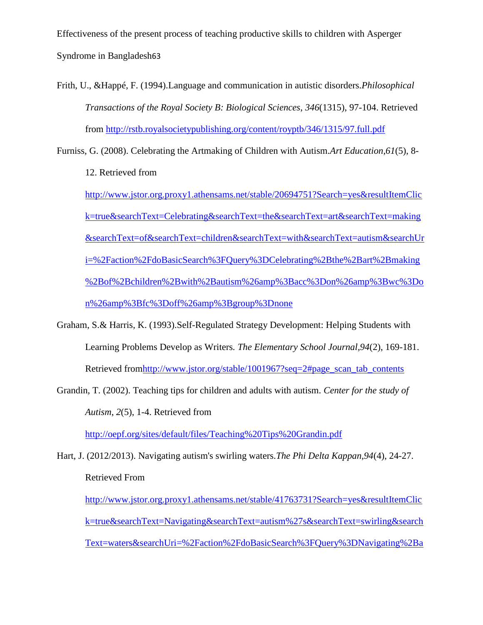Frith, U., &Happé, F. (1994).Language and communication in autistic disorders.*Philosophical Transactions of the Royal Society B: Biological Sciences*, *346*(1315), 97-104. Retrieved from<http://rstb.royalsocietypublishing.org/content/royptb/346/1315/97.full.pdf>

Furniss, G. (2008). Celebrating the Artmaking of Children with Autism.*Art Education,61*(5), 8-

12. Retrieved from

[http://www.jstor.org.proxy1.athensams.net/stable/20694751?Search=yes&resultItemClic](http://www.jstor.org.proxy1.athensams.net/stable/20694751?Search=yes&resultItemClick=true&searchText=Celebrating&searchText=the&searchText=art&searchText=making&searchText=of&searchText=children&searchText=with&searchText=autism&searchUri=%2Faction%2FdoBasicSearch%3FQuery%3DCelebrating%2Bthe%2Bart%2Bmaking%2Bof%2Bchildren%2Bwith%2Bautism%26amp%3Bacc%3Don%26amp%3Bwc%3Don%26amp%3Bfc%3Doff%26amp%3Bgroup%3Dnone) [k=true&searchText=Celebrating&searchText=the&searchText=art&searchText=making](http://www.jstor.org.proxy1.athensams.net/stable/20694751?Search=yes&resultItemClick=true&searchText=Celebrating&searchText=the&searchText=art&searchText=making&searchText=of&searchText=children&searchText=with&searchText=autism&searchUri=%2Faction%2FdoBasicSearch%3FQuery%3DCelebrating%2Bthe%2Bart%2Bmaking%2Bof%2Bchildren%2Bwith%2Bautism%26amp%3Bacc%3Don%26amp%3Bwc%3Don%26amp%3Bfc%3Doff%26amp%3Bgroup%3Dnone) [&searchText=of&searchText=children&searchText=with&searchText=autism&searchUr](http://www.jstor.org.proxy1.athensams.net/stable/20694751?Search=yes&resultItemClick=true&searchText=Celebrating&searchText=the&searchText=art&searchText=making&searchText=of&searchText=children&searchText=with&searchText=autism&searchUri=%2Faction%2FdoBasicSearch%3FQuery%3DCelebrating%2Bthe%2Bart%2Bmaking%2Bof%2Bchildren%2Bwith%2Bautism%26amp%3Bacc%3Don%26amp%3Bwc%3Don%26amp%3Bfc%3Doff%26amp%3Bgroup%3Dnone) [i=%2Faction%2FdoBasicSearch%3FQuery%3DCelebrating%2Bthe%2Bart%2Bmaking](http://www.jstor.org.proxy1.athensams.net/stable/20694751?Search=yes&resultItemClick=true&searchText=Celebrating&searchText=the&searchText=art&searchText=making&searchText=of&searchText=children&searchText=with&searchText=autism&searchUri=%2Faction%2FdoBasicSearch%3FQuery%3DCelebrating%2Bthe%2Bart%2Bmaking%2Bof%2Bchildren%2Bwith%2Bautism%26amp%3Bacc%3Don%26amp%3Bwc%3Don%26amp%3Bfc%3Doff%26amp%3Bgroup%3Dnone) [%2Bof%2Bchildren%2Bwith%2Bautism%26amp%3Bacc%3Don%26amp%3Bwc%3Do](http://www.jstor.org.proxy1.athensams.net/stable/20694751?Search=yes&resultItemClick=true&searchText=Celebrating&searchText=the&searchText=art&searchText=making&searchText=of&searchText=children&searchText=with&searchText=autism&searchUri=%2Faction%2FdoBasicSearch%3FQuery%3DCelebrating%2Bthe%2Bart%2Bmaking%2Bof%2Bchildren%2Bwith%2Bautism%26amp%3Bacc%3Don%26amp%3Bwc%3Don%26amp%3Bfc%3Doff%26amp%3Bgroup%3Dnone) [n%26amp%3Bfc%3Doff%26amp%3Bgroup%3Dnone](http://www.jstor.org.proxy1.athensams.net/stable/20694751?Search=yes&resultItemClick=true&searchText=Celebrating&searchText=the&searchText=art&searchText=making&searchText=of&searchText=children&searchText=with&searchText=autism&searchUri=%2Faction%2FdoBasicSearch%3FQuery%3DCelebrating%2Bthe%2Bart%2Bmaking%2Bof%2Bchildren%2Bwith%2Bautism%26amp%3Bacc%3Don%26amp%3Bwc%3Don%26amp%3Bfc%3Doff%26amp%3Bgroup%3Dnone)

- Graham, S.& Harris, K. (1993).Self-Regulated Strategy Development: Helping Students with Learning Problems Develop as Writers*. The Elementary School Journal,94*(2), 169-181. Retrieved fro[mhttp://www.jstor.org/stable/1001967?seq=2#page\\_scan\\_tab\\_contents](http://www.jstor.org/stable/1001967?seq=2#page_scan_tab_contents)
- Grandin, T. (2002). Teaching tips for children and adults with autism. *Center for the study of Autism*, *2*(5), 1-4. Retrieved from

http://oepf.org/sites/default/files/Teaching%20Tips%20Grandin.pdf

Hart, J. (2012/2013). Navigating autism's swirling waters.*The Phi Delta Kappan,94*(4), 24-27. Retrieved From

[http://www.jstor.org.proxy1.athensams.net/stable/41763731?Search=yes&resultItemClic](http://www.jstor.org.proxy1.athensams.net/stable/41763731?Search=yes&resultItemClick=true&searchText=Navigating&searchText=autism%27s&searchText=swirling&searchText=waters&searchUri=%2Faction%2FdoBasicSearch%3FQuery%3DNavigating%2Bautism%2527s%2Bswirling%2Bwaters%26amp%3Bprq%3D%2528Navigating%2Bautism%2527s%2Bswirling%2Bwaters%2529%2BAND%2Biid%253A%252810.2307%252Fi20205233%2529%26amp%3Bgroup%3Dnone%26amp%3Bwc%3Doff%26amp%3Bfc%3Doff%26amp%3Bhp%3D25%26amp%3Bso%3Drel) [k=true&searchText=Navigating&searchText=autism%27s&searchText=swirling&search](http://www.jstor.org.proxy1.athensams.net/stable/41763731?Search=yes&resultItemClick=true&searchText=Navigating&searchText=autism%27s&searchText=swirling&searchText=waters&searchUri=%2Faction%2FdoBasicSearch%3FQuery%3DNavigating%2Bautism%2527s%2Bswirling%2Bwaters%26amp%3Bprq%3D%2528Navigating%2Bautism%2527s%2Bswirling%2Bwaters%2529%2BAND%2Biid%253A%252810.2307%252Fi20205233%2529%26amp%3Bgroup%3Dnone%26amp%3Bwc%3Doff%26amp%3Bfc%3Doff%26amp%3Bhp%3D25%26amp%3Bso%3Drel) [Text=waters&searchUri=%2Faction%2FdoBasicSearch%3FQuery%3DNavigating%2Ba](http://www.jstor.org.proxy1.athensams.net/stable/41763731?Search=yes&resultItemClick=true&searchText=Navigating&searchText=autism%27s&searchText=swirling&searchText=waters&searchUri=%2Faction%2FdoBasicSearch%3FQuery%3DNavigating%2Bautism%2527s%2Bswirling%2Bwaters%26amp%3Bprq%3D%2528Navigating%2Bautism%2527s%2Bswirling%2Bwaters%2529%2BAND%2Biid%253A%252810.2307%252Fi20205233%2529%26amp%3Bgroup%3Dnone%26amp%3Bwc%3Doff%26amp%3Bfc%3Doff%26amp%3Bhp%3D25%26amp%3Bso%3Drel)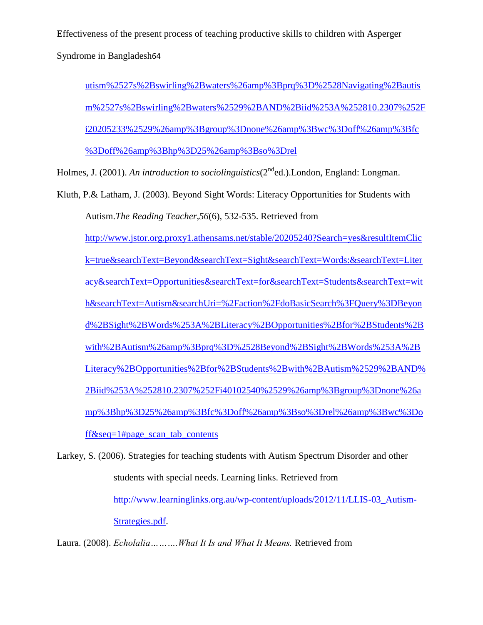Syndrome in Bangladesh64

utism%2527s%2Bswirling%2Bwaters%26amp%3Bprq%3D%2528Navigating%2Bautis m%2527s%2Bswirling%2Bwaters%2529%2BAND%2Biid%253A%252810.2307%252F i20205233%2529%26amp%3Bgroup%3Dnone%26amp%3Bwc%3Doff%26amp%3Bfc %3Doff%26amp%3Bhp%3D25%26amp%3Bso%3Drel

Holmes, J. (2001). *An introduction to sociolinguistics*(2<sup>nd</sup>ed.). London, England: Longman.

Kluth, P.& Latham, J. (2003). Beyond Sight Words: Literacy Opportunities for Students with Autism.*The Reading Teacher,56*(6), 532-535. Retrieved from [http://www.jstor.org.proxy1.athensams.net/stable/20205240?Search=yes&resultItemClic](http://www.jstor.org.proxy1.athensams.net/stable/20205240?Search=yes&resultItemClick=true&searchText=Beyond&searchText=Sight&searchText=Words:&searchText=Literacy&searchText=Opportunities&searchText=for&searchText=Students&searchText=with&searchText=Autism&searchUri=%2Faction%2FdoBasicSearch%3FQuery%3DBeyond%2BSight%2BWords%253A%2BLiteracy%2BOpportunities%2Bfor%2BStudents%2Bwith%2BAutism%26amp%3Bprq%3D%2528Beyond%2BSight%2BWords%253A%2BLiteracy%2BOpportunities%2Bfor%2BStudents%2Bwith%2BAutism%2529%2BAND%2Biid%253A%252810.2307%252Fi40102540%2529%26amp%3Bgroup%3Dnone%26amp%3Bhp%3D25%26amp%3Bfc%3Doff%26amp%3Bso%3Drel%26amp%3Bwc%3Doff&seq=1#page_scan_tab_contents) [k=true&searchText=Beyond&searchText=Sight&searchText=Words:&searchText=Liter](http://www.jstor.org.proxy1.athensams.net/stable/20205240?Search=yes&resultItemClick=true&searchText=Beyond&searchText=Sight&searchText=Words:&searchText=Literacy&searchText=Opportunities&searchText=for&searchText=Students&searchText=with&searchText=Autism&searchUri=%2Faction%2FdoBasicSearch%3FQuery%3DBeyond%2BSight%2BWords%253A%2BLiteracy%2BOpportunities%2Bfor%2BStudents%2Bwith%2BAutism%26amp%3Bprq%3D%2528Beyond%2BSight%2BWords%253A%2BLiteracy%2BOpportunities%2Bfor%2BStudents%2Bwith%2BAutism%2529%2BAND%2Biid%253A%252810.2307%252Fi40102540%2529%26amp%3Bgroup%3Dnone%26amp%3Bhp%3D25%26amp%3Bfc%3Doff%26amp%3Bso%3Drel%26amp%3Bwc%3Doff&seq=1#page_scan_tab_contents) [acy&searchText=Opportunities&searchText=for&searchText=Students&searchText=wit](http://www.jstor.org.proxy1.athensams.net/stable/20205240?Search=yes&resultItemClick=true&searchText=Beyond&searchText=Sight&searchText=Words:&searchText=Literacy&searchText=Opportunities&searchText=for&searchText=Students&searchText=with&searchText=Autism&searchUri=%2Faction%2FdoBasicSearch%3FQuery%3DBeyond%2BSight%2BWords%253A%2BLiteracy%2BOpportunities%2Bfor%2BStudents%2Bwith%2BAutism%26amp%3Bprq%3D%2528Beyond%2BSight%2BWords%253A%2BLiteracy%2BOpportunities%2Bfor%2BStudents%2Bwith%2BAutism%2529%2BAND%2Biid%253A%252810.2307%252Fi40102540%2529%26amp%3Bgroup%3Dnone%26amp%3Bhp%3D25%26amp%3Bfc%3Doff%26amp%3Bso%3Drel%26amp%3Bwc%3Doff&seq=1#page_scan_tab_contents) [h&searchText=Autism&searchUri=%2Faction%2FdoBasicSearch%3FQuery%3DBeyon](http://www.jstor.org.proxy1.athensams.net/stable/20205240?Search=yes&resultItemClick=true&searchText=Beyond&searchText=Sight&searchText=Words:&searchText=Literacy&searchText=Opportunities&searchText=for&searchText=Students&searchText=with&searchText=Autism&searchUri=%2Faction%2FdoBasicSearch%3FQuery%3DBeyond%2BSight%2BWords%253A%2BLiteracy%2BOpportunities%2Bfor%2BStudents%2Bwith%2BAutism%26amp%3Bprq%3D%2528Beyond%2BSight%2BWords%253A%2BLiteracy%2BOpportunities%2Bfor%2BStudents%2Bwith%2BAutism%2529%2BAND%2Biid%253A%252810.2307%252Fi40102540%2529%26amp%3Bgroup%3Dnone%26amp%3Bhp%3D25%26amp%3Bfc%3Doff%26amp%3Bso%3Drel%26amp%3Bwc%3Doff&seq=1#page_scan_tab_contents) [d%2BSight%2BWords%253A%2BLiteracy%2BOpportunities%2Bfor%2BStudents%2B](http://www.jstor.org.proxy1.athensams.net/stable/20205240?Search=yes&resultItemClick=true&searchText=Beyond&searchText=Sight&searchText=Words:&searchText=Literacy&searchText=Opportunities&searchText=for&searchText=Students&searchText=with&searchText=Autism&searchUri=%2Faction%2FdoBasicSearch%3FQuery%3DBeyond%2BSight%2BWords%253A%2BLiteracy%2BOpportunities%2Bfor%2BStudents%2Bwith%2BAutism%26amp%3Bprq%3D%2528Beyond%2BSight%2BWords%253A%2BLiteracy%2BOpportunities%2Bfor%2BStudents%2Bwith%2BAutism%2529%2BAND%2Biid%253A%252810.2307%252Fi40102540%2529%26amp%3Bgroup%3Dnone%26amp%3Bhp%3D25%26amp%3Bfc%3Doff%26amp%3Bso%3Drel%26amp%3Bwc%3Doff&seq=1#page_scan_tab_contents) [with%2BAutism%26amp%3Bprq%3D%2528Beyond%2BSight%2BWords%253A%2B](http://www.jstor.org.proxy1.athensams.net/stable/20205240?Search=yes&resultItemClick=true&searchText=Beyond&searchText=Sight&searchText=Words:&searchText=Literacy&searchText=Opportunities&searchText=for&searchText=Students&searchText=with&searchText=Autism&searchUri=%2Faction%2FdoBasicSearch%3FQuery%3DBeyond%2BSight%2BWords%253A%2BLiteracy%2BOpportunities%2Bfor%2BStudents%2Bwith%2BAutism%26amp%3Bprq%3D%2528Beyond%2BSight%2BWords%253A%2BLiteracy%2BOpportunities%2Bfor%2BStudents%2Bwith%2BAutism%2529%2BAND%2Biid%253A%252810.2307%252Fi40102540%2529%26amp%3Bgroup%3Dnone%26amp%3Bhp%3D25%26amp%3Bfc%3Doff%26amp%3Bso%3Drel%26amp%3Bwc%3Doff&seq=1#page_scan_tab_contents) [Literacy%2BOpportunities%2Bfor%2BStudents%2Bwith%2BAutism%2529%2BAND%](http://www.jstor.org.proxy1.athensams.net/stable/20205240?Search=yes&resultItemClick=true&searchText=Beyond&searchText=Sight&searchText=Words:&searchText=Literacy&searchText=Opportunities&searchText=for&searchText=Students&searchText=with&searchText=Autism&searchUri=%2Faction%2FdoBasicSearch%3FQuery%3DBeyond%2BSight%2BWords%253A%2BLiteracy%2BOpportunities%2Bfor%2BStudents%2Bwith%2BAutism%26amp%3Bprq%3D%2528Beyond%2BSight%2BWords%253A%2BLiteracy%2BOpportunities%2Bfor%2BStudents%2Bwith%2BAutism%2529%2BAND%2Biid%253A%252810.2307%252Fi40102540%2529%26amp%3Bgroup%3Dnone%26amp%3Bhp%3D25%26amp%3Bfc%3Doff%26amp%3Bso%3Drel%26amp%3Bwc%3Doff&seq=1#page_scan_tab_contents) [2Biid%253A%252810.2307%252Fi40102540%2529%26amp%3Bgroup%3Dnone%26a](http://www.jstor.org.proxy1.athensams.net/stable/20205240?Search=yes&resultItemClick=true&searchText=Beyond&searchText=Sight&searchText=Words:&searchText=Literacy&searchText=Opportunities&searchText=for&searchText=Students&searchText=with&searchText=Autism&searchUri=%2Faction%2FdoBasicSearch%3FQuery%3DBeyond%2BSight%2BWords%253A%2BLiteracy%2BOpportunities%2Bfor%2BStudents%2Bwith%2BAutism%26amp%3Bprq%3D%2528Beyond%2BSight%2BWords%253A%2BLiteracy%2BOpportunities%2Bfor%2BStudents%2Bwith%2BAutism%2529%2BAND%2Biid%253A%252810.2307%252Fi40102540%2529%26amp%3Bgroup%3Dnone%26amp%3Bhp%3D25%26amp%3Bfc%3Doff%26amp%3Bso%3Drel%26amp%3Bwc%3Doff&seq=1#page_scan_tab_contents) [mp%3Bhp%3D25%26amp%3Bfc%3Doff%26amp%3Bso%3Drel%26amp%3Bwc%3Do](http://www.jstor.org.proxy1.athensams.net/stable/20205240?Search=yes&resultItemClick=true&searchText=Beyond&searchText=Sight&searchText=Words:&searchText=Literacy&searchText=Opportunities&searchText=for&searchText=Students&searchText=with&searchText=Autism&searchUri=%2Faction%2FdoBasicSearch%3FQuery%3DBeyond%2BSight%2BWords%253A%2BLiteracy%2BOpportunities%2Bfor%2BStudents%2Bwith%2BAutism%26amp%3Bprq%3D%2528Beyond%2BSight%2BWords%253A%2BLiteracy%2BOpportunities%2Bfor%2BStudents%2Bwith%2BAutism%2529%2BAND%2Biid%253A%252810.2307%252Fi40102540%2529%26amp%3Bgroup%3Dnone%26amp%3Bhp%3D25%26amp%3Bfc%3Doff%26amp%3Bso%3Drel%26amp%3Bwc%3Doff&seq=1#page_scan_tab_contents) [ff&seq=1#page\\_scan\\_tab\\_contents](http://www.jstor.org.proxy1.athensams.net/stable/20205240?Search=yes&resultItemClick=true&searchText=Beyond&searchText=Sight&searchText=Words:&searchText=Literacy&searchText=Opportunities&searchText=for&searchText=Students&searchText=with&searchText=Autism&searchUri=%2Faction%2FdoBasicSearch%3FQuery%3DBeyond%2BSight%2BWords%253A%2BLiteracy%2BOpportunities%2Bfor%2BStudents%2Bwith%2BAutism%26amp%3Bprq%3D%2528Beyond%2BSight%2BWords%253A%2BLiteracy%2BOpportunities%2Bfor%2BStudents%2Bwith%2BAutism%2529%2BAND%2Biid%253A%252810.2307%252Fi40102540%2529%26amp%3Bgroup%3Dnone%26amp%3Bhp%3D25%26amp%3Bfc%3Doff%26amp%3Bso%3Drel%26amp%3Bwc%3Doff&seq=1#page_scan_tab_contents)

Larkey, S. (2006). Strategies for teaching students with Autism Spectrum Disorder and other students with special needs. Learning links. Retrieved from [http://www.learninglinks.org.au/wp-content/uploads/2012/11/LLIS-03\\_Autism-](http://www.learninglinks.org.au/wp-content/uploads/2012/11/LLIS-03_Autism-Strategies.pdf)[Strategies.pdf.](http://www.learninglinks.org.au/wp-content/uploads/2012/11/LLIS-03_Autism-Strategies.pdf)

Laura. (2008). *Echolalia……….What It Is and What It Means.* Retrieved from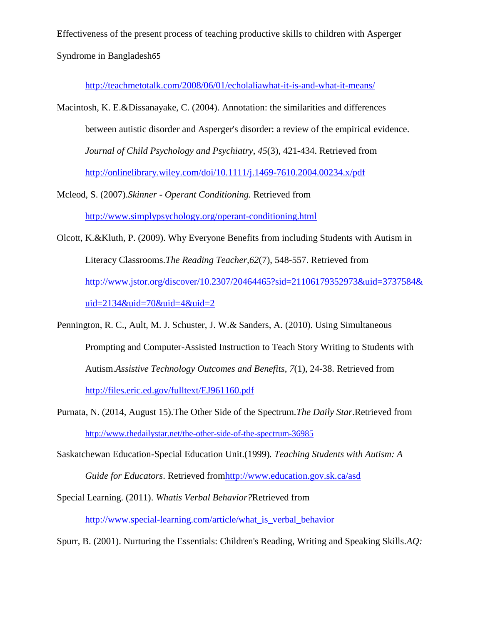<http://teachmetotalk.com/2008/06/01/echolaliawhat-it-is-and-what-it-means/>

- Macintosh, K. E.&Dissanayake, C. (2004). Annotation: the similarities and differences between autistic disorder and Asperger's disorder: a review of the empirical evidence. *Journal of Child Psychology and Psychiatry*, *45*(3), 421-434. Retrieved from <http://onlinelibrary.wiley.com/doi/10.1111/j.1469-7610.2004.00234.x/pdf>
- Mcleod, S. (2007).*Skinner - Operant Conditioning.* Retrieved from <http://www.simplypsychology.org/operant-conditioning.html>
- Olcott, K.&Kluth, P. (2009). Why Everyone Benefits from including Students with Autism in Literacy Classrooms.*The Reading Teacher,62*(7), 548-557. Retrieved from [http://www.jstor.org/discover/10.2307/20464465?sid=21106179352973&uid=3737584&](http://www.jstor.org/discover/10.2307/20464465?sid=21106179352973&uid=3737584&uid=2134&uid=70&uid=4&uid=2) [uid=2134&uid=70&uid=4&uid=2](http://www.jstor.org/discover/10.2307/20464465?sid=21106179352973&uid=3737584&uid=2134&uid=70&uid=4&uid=2)
- Pennington, R. C., Ault, M. J. Schuster, J. W.& Sanders, A. (2010). Using Simultaneous Prompting and Computer-Assisted Instruction to Teach Story Writing to Students with Autism.*Assistive Technology Outcomes and Benefits*, *7*(1), 24-38. Retrieved from <http://files.eric.ed.gov/fulltext/EJ961160.pdf>
- Purnata, N. (2014, August 15).The Other Side of the Spectrum*.The Daily Star*.Retrieved from <http://www.thedailystar.net/the-other-side-of-the-spectrum-36985>
- Saskatchewan Education-Special Education Unit.(1999)*. Teaching Students with Autism: A Guide for Educators*. Retrieved fro[mhttp://www.education.gov.sk.ca/asd](http://www.education.gov.sk.ca/asd)
- Special Learning. (2011). *Whatis Verbal Behavior?*Retrieved from http://www.special-learning.com/article/what is verbal behavior

Spurr, B. (2001). Nurturing the Essentials: Children's Reading, Writing and Speaking Skills.*AQ:*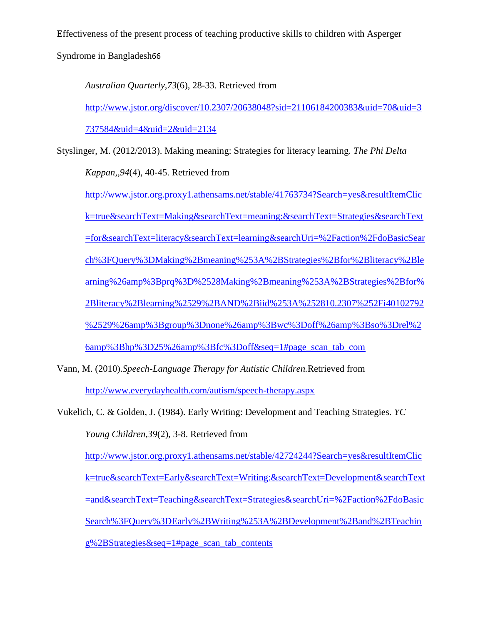Syndrome in Bangladesh66

*Australian Quarterly,73*(6), 28-33. Retrieved from

[http://www.jstor.org/discover/10.2307/20638048?sid=21106184200383&uid=70&uid=3](http://www.jstor.org/discover/10.2307/20638048?sid=21106184200383&uid=70&uid=3737584&uid=4&uid=2&uid=2134) [737584&uid=4&uid=2&uid=2134](http://www.jstor.org/discover/10.2307/20638048?sid=21106184200383&uid=70&uid=3737584&uid=4&uid=2&uid=2134)

Styslinger, M. (2012/2013). Making meaning: Strategies for literacy learning. *The Phi Delta Kappan,,94*(4), 40-45. Retrieved from

[http://www.jstor.org.proxy1.athensams.net/stable/41763734?Search=yes&resultItemClic](http://www.jstor.org.proxy1.athensams.net/stable/41763734?Search=yes&resultItemClick=true&searchText=Making&searchText=meaning:&searchText=Strategies&searchText=for&searchText=literacy&searchText=learning&searchUri=%2Faction%2FdoBasicSearch%3FQuery%3DMaking%2Bmeaning%253A%2BStrategies%2Bfor%2Bliteracy%2Blearning%26amp%3Bprq%3D%2528Making%2Bmeaning%253A%2BStrategies%2Bfor%2Bliteracy%2Blearning%2529%2BAND%2Biid%253A%252810.2307%252Fi40102792%2529%26amp%3Bgroup%3Dnone%26amp%3Bwc%3Doff%26amp%3Bso%3Drel%26amp%3Bhp%3D25%26amp%3Bfc%3Doff&seq=1#page_scan_tab_com) [k=true&searchText=Making&searchText=meaning:&searchText=Strategies&searchText](http://www.jstor.org.proxy1.athensams.net/stable/41763734?Search=yes&resultItemClick=true&searchText=Making&searchText=meaning:&searchText=Strategies&searchText=for&searchText=literacy&searchText=learning&searchUri=%2Faction%2FdoBasicSearch%3FQuery%3DMaking%2Bmeaning%253A%2BStrategies%2Bfor%2Bliteracy%2Blearning%26amp%3Bprq%3D%2528Making%2Bmeaning%253A%2BStrategies%2Bfor%2Bliteracy%2Blearning%2529%2BAND%2Biid%253A%252810.2307%252Fi40102792%2529%26amp%3Bgroup%3Dnone%26amp%3Bwc%3Doff%26amp%3Bso%3Drel%26amp%3Bhp%3D25%26amp%3Bfc%3Doff&seq=1#page_scan_tab_com) [=for&searchText=literacy&searchText=learning&searchUri=%2Faction%2FdoBasicSear](http://www.jstor.org.proxy1.athensams.net/stable/41763734?Search=yes&resultItemClick=true&searchText=Making&searchText=meaning:&searchText=Strategies&searchText=for&searchText=literacy&searchText=learning&searchUri=%2Faction%2FdoBasicSearch%3FQuery%3DMaking%2Bmeaning%253A%2BStrategies%2Bfor%2Bliteracy%2Blearning%26amp%3Bprq%3D%2528Making%2Bmeaning%253A%2BStrategies%2Bfor%2Bliteracy%2Blearning%2529%2BAND%2Biid%253A%252810.2307%252Fi40102792%2529%26amp%3Bgroup%3Dnone%26amp%3Bwc%3Doff%26amp%3Bso%3Drel%26amp%3Bhp%3D25%26amp%3Bfc%3Doff&seq=1#page_scan_tab_com) [ch%3FQuery%3DMaking%2Bmeaning%253A%2BStrategies%2Bfor%2Bliteracy%2Ble](http://www.jstor.org.proxy1.athensams.net/stable/41763734?Search=yes&resultItemClick=true&searchText=Making&searchText=meaning:&searchText=Strategies&searchText=for&searchText=literacy&searchText=learning&searchUri=%2Faction%2FdoBasicSearch%3FQuery%3DMaking%2Bmeaning%253A%2BStrategies%2Bfor%2Bliteracy%2Blearning%26amp%3Bprq%3D%2528Making%2Bmeaning%253A%2BStrategies%2Bfor%2Bliteracy%2Blearning%2529%2BAND%2Biid%253A%252810.2307%252Fi40102792%2529%26amp%3Bgroup%3Dnone%26amp%3Bwc%3Doff%26amp%3Bso%3Drel%26amp%3Bhp%3D25%26amp%3Bfc%3Doff&seq=1#page_scan_tab_com) [arning%26amp%3Bprq%3D%2528Making%2Bmeaning%253A%2BStrategies%2Bfor%](http://www.jstor.org.proxy1.athensams.net/stable/41763734?Search=yes&resultItemClick=true&searchText=Making&searchText=meaning:&searchText=Strategies&searchText=for&searchText=literacy&searchText=learning&searchUri=%2Faction%2FdoBasicSearch%3FQuery%3DMaking%2Bmeaning%253A%2BStrategies%2Bfor%2Bliteracy%2Blearning%26amp%3Bprq%3D%2528Making%2Bmeaning%253A%2BStrategies%2Bfor%2Bliteracy%2Blearning%2529%2BAND%2Biid%253A%252810.2307%252Fi40102792%2529%26amp%3Bgroup%3Dnone%26amp%3Bwc%3Doff%26amp%3Bso%3Drel%26amp%3Bhp%3D25%26amp%3Bfc%3Doff&seq=1#page_scan_tab_com) [2Bliteracy%2Blearning%2529%2BAND%2Biid%253A%252810.2307%252Fi40102792](http://www.jstor.org.proxy1.athensams.net/stable/41763734?Search=yes&resultItemClick=true&searchText=Making&searchText=meaning:&searchText=Strategies&searchText=for&searchText=literacy&searchText=learning&searchUri=%2Faction%2FdoBasicSearch%3FQuery%3DMaking%2Bmeaning%253A%2BStrategies%2Bfor%2Bliteracy%2Blearning%26amp%3Bprq%3D%2528Making%2Bmeaning%253A%2BStrategies%2Bfor%2Bliteracy%2Blearning%2529%2BAND%2Biid%253A%252810.2307%252Fi40102792%2529%26amp%3Bgroup%3Dnone%26amp%3Bwc%3Doff%26amp%3Bso%3Drel%26amp%3Bhp%3D25%26amp%3Bfc%3Doff&seq=1#page_scan_tab_com) [%2529%26amp%3Bgroup%3Dnone%26amp%3Bwc%3Doff%26amp%3Bso%3Drel%2](http://www.jstor.org.proxy1.athensams.net/stable/41763734?Search=yes&resultItemClick=true&searchText=Making&searchText=meaning:&searchText=Strategies&searchText=for&searchText=literacy&searchText=learning&searchUri=%2Faction%2FdoBasicSearch%3FQuery%3DMaking%2Bmeaning%253A%2BStrategies%2Bfor%2Bliteracy%2Blearning%26amp%3Bprq%3D%2528Making%2Bmeaning%253A%2BStrategies%2Bfor%2Bliteracy%2Blearning%2529%2BAND%2Biid%253A%252810.2307%252Fi40102792%2529%26amp%3Bgroup%3Dnone%26amp%3Bwc%3Doff%26amp%3Bso%3Drel%26amp%3Bhp%3D25%26amp%3Bfc%3Doff&seq=1#page_scan_tab_com) [6amp%3Bhp%3D25%26amp%3Bfc%3Doff&seq=1#page\\_scan\\_tab\\_com](http://www.jstor.org.proxy1.athensams.net/stable/41763734?Search=yes&resultItemClick=true&searchText=Making&searchText=meaning:&searchText=Strategies&searchText=for&searchText=literacy&searchText=learning&searchUri=%2Faction%2FdoBasicSearch%3FQuery%3DMaking%2Bmeaning%253A%2BStrategies%2Bfor%2Bliteracy%2Blearning%26amp%3Bprq%3D%2528Making%2Bmeaning%253A%2BStrategies%2Bfor%2Bliteracy%2Blearning%2529%2BAND%2Biid%253A%252810.2307%252Fi40102792%2529%26amp%3Bgroup%3Dnone%26amp%3Bwc%3Doff%26amp%3Bso%3Drel%26amp%3Bhp%3D25%26amp%3Bfc%3Doff&seq=1#page_scan_tab_com)

- Vann, M. (2010).*Speech-Language Therapy for Autistic Children.*Retrieved from <http://www.everydayhealth.com/autism/speech-therapy.aspx>
- Vukelich, C. & Golden, J. (1984). Early Writing: Development and Teaching Strategies. *YC Young Children,39*(2), 3-8. Retrieved from [http://www.jstor.org.proxy1.athensams.net/stable/42724244?Search=yes&resultItemClic](http://www.jstor.org.proxy1.athensams.net/stable/42724244?Search=yes&resultItemClick=true&searchText=Early&searchText=Writing:&searchText=Development&searchText=and&searchText=Teaching&searchText=Strategies&searchUri=%2Faction%2FdoBasicSearch%3FQuery%3DEarly%2BWriting%253A%2BDevelopment%2Band%2BTeaching%2BStrategies&seq=1#page_scan_tab_contents) [k=true&searchText=Early&searchText=Writing:&searchText=Development&searchText](http://www.jstor.org.proxy1.athensams.net/stable/42724244?Search=yes&resultItemClick=true&searchText=Early&searchText=Writing:&searchText=Development&searchText=and&searchText=Teaching&searchText=Strategies&searchUri=%2Faction%2FdoBasicSearch%3FQuery%3DEarly%2BWriting%253A%2BDevelopment%2Band%2BTeaching%2BStrategies&seq=1#page_scan_tab_contents) [=and&searchText=Teaching&searchText=Strategies&searchUri=%2Faction%2FdoBasic](http://www.jstor.org.proxy1.athensams.net/stable/42724244?Search=yes&resultItemClick=true&searchText=Early&searchText=Writing:&searchText=Development&searchText=and&searchText=Teaching&searchText=Strategies&searchUri=%2Faction%2FdoBasicSearch%3FQuery%3DEarly%2BWriting%253A%2BDevelopment%2Band%2BTeaching%2BStrategies&seq=1#page_scan_tab_contents) [Search%3FQuery%3DEarly%2BWriting%253A%2BDevelopment%2Band%2BTeachin](http://www.jstor.org.proxy1.athensams.net/stable/42724244?Search=yes&resultItemClick=true&searchText=Early&searchText=Writing:&searchText=Development&searchText=and&searchText=Teaching&searchText=Strategies&searchUri=%2Faction%2FdoBasicSearch%3FQuery%3DEarly%2BWriting%253A%2BDevelopment%2Band%2BTeaching%2BStrategies&seq=1#page_scan_tab_contents) [g%2BStrategies&seq=1#page\\_scan\\_tab\\_contents](http://www.jstor.org.proxy1.athensams.net/stable/42724244?Search=yes&resultItemClick=true&searchText=Early&searchText=Writing:&searchText=Development&searchText=and&searchText=Teaching&searchText=Strategies&searchUri=%2Faction%2FdoBasicSearch%3FQuery%3DEarly%2BWriting%253A%2BDevelopment%2Band%2BTeaching%2BStrategies&seq=1#page_scan_tab_contents)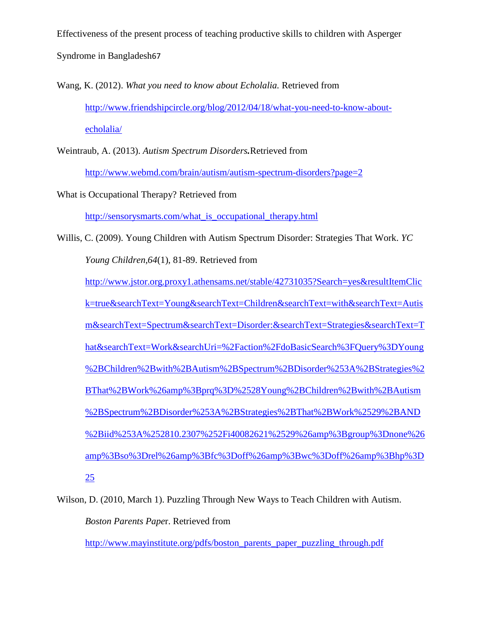Effectiveness of the present process of teaching productive skills to children with Asperger Syndrome in Bangladesh67

Wang, K. (2012). *What you need to know about Echolalia.* Retrieved from [http://www.friendshipcircle.org/blog/2012/04/18/what-you-need-to-know-about](http://www.friendshipcircle.org/blog/2012/04/18/what-you-need-to-know-about-echolalia/)[echolalia/](http://www.friendshipcircle.org/blog/2012/04/18/what-you-need-to-know-about-echolalia/)

Weintraub, A. (2013). *Autism Spectrum Disorders.*Retrieved from

<http://www.webmd.com/brain/autism/autism-spectrum-disorders?page=2>

What is Occupational Therapy? Retrieved from

[http://sensorysmarts.com/what\\_is\\_occupational\\_therapy.html](http://sensorysmarts.com/what_is_occupational_therapy.html)

Willis, C. (2009). Young Children with Autism Spectrum Disorder: Strategies That Work. *YC Young Children,64*(1), 81-89. Retrieved from [http://www.jstor.org.proxy1.athensams.net/stable/42731035?Search=yes&resultItemClic](http://www.jstor.org.proxy1.athensams.net/stable/42731035?Search=yes&resultItemClick=true&searchText=Young&searchText=Children&searchText=with&searchText=Autism&searchText=Spectrum&searchText=Disorder:&searchText=Strategies&searchText=That&searchText=Work&searchUri=%2Faction%2FdoBasicSearch%3FQuery%3DYoung%2BChildren%2Bwith%2BAutism%2BSpectrum%2BDisorder%253A%2BStrategies%2BThat%2BWork%26amp%3Bprq%3D%2528Young%2BChildren%2Bwith%2BAutism%2BSpectrum%2BDisorder%253A%2BStrategies%2BThat%2BWork%2529%2BAND%2Biid%253A%252810.2307%252Fi40082621%2529%26amp%3Bgroup%3Dnone%26amp%3Bso%3Drel%26amp%3Bfc%3Doff%26amp%3Bwc%3Doff%26amp%3Bhp%3D25)

[k=true&searchText=Young&searchText=Children&searchText=with&searchText=Autis](http://www.jstor.org.proxy1.athensams.net/stable/42731035?Search=yes&resultItemClick=true&searchText=Young&searchText=Children&searchText=with&searchText=Autism&searchText=Spectrum&searchText=Disorder:&searchText=Strategies&searchText=That&searchText=Work&searchUri=%2Faction%2FdoBasicSearch%3FQuery%3DYoung%2BChildren%2Bwith%2BAutism%2BSpectrum%2BDisorder%253A%2BStrategies%2BThat%2BWork%26amp%3Bprq%3D%2528Young%2BChildren%2Bwith%2BAutism%2BSpectrum%2BDisorder%253A%2BStrategies%2BThat%2BWork%2529%2BAND%2Biid%253A%252810.2307%252Fi40082621%2529%26amp%3Bgroup%3Dnone%26amp%3Bso%3Drel%26amp%3Bfc%3Doff%26amp%3Bwc%3Doff%26amp%3Bhp%3D25)

[m&searchText=Spectrum&searchText=Disorder:&searchText=Strategies&searchText=T](http://www.jstor.org.proxy1.athensams.net/stable/42731035?Search=yes&resultItemClick=true&searchText=Young&searchText=Children&searchText=with&searchText=Autism&searchText=Spectrum&searchText=Disorder:&searchText=Strategies&searchText=That&searchText=Work&searchUri=%2Faction%2FdoBasicSearch%3FQuery%3DYoung%2BChildren%2Bwith%2BAutism%2BSpectrum%2BDisorder%253A%2BStrategies%2BThat%2BWork%26amp%3Bprq%3D%2528Young%2BChildren%2Bwith%2BAutism%2BSpectrum%2BDisorder%253A%2BStrategies%2BThat%2BWork%2529%2BAND%2Biid%253A%252810.2307%252Fi40082621%2529%26amp%3Bgroup%3Dnone%26amp%3Bso%3Drel%26amp%3Bfc%3Doff%26amp%3Bwc%3Doff%26amp%3Bhp%3D25)

[hat&searchText=Work&searchUri=%2Faction%2FdoBasicSearch%3FQuery%3DYoung](http://www.jstor.org.proxy1.athensams.net/stable/42731035?Search=yes&resultItemClick=true&searchText=Young&searchText=Children&searchText=with&searchText=Autism&searchText=Spectrum&searchText=Disorder:&searchText=Strategies&searchText=That&searchText=Work&searchUri=%2Faction%2FdoBasicSearch%3FQuery%3DYoung%2BChildren%2Bwith%2BAutism%2BSpectrum%2BDisorder%253A%2BStrategies%2BThat%2BWork%26amp%3Bprq%3D%2528Young%2BChildren%2Bwith%2BAutism%2BSpectrum%2BDisorder%253A%2BStrategies%2BThat%2BWork%2529%2BAND%2Biid%253A%252810.2307%252Fi40082621%2529%26amp%3Bgroup%3Dnone%26amp%3Bso%3Drel%26amp%3Bfc%3Doff%26amp%3Bwc%3Doff%26amp%3Bhp%3D25)

[%2BChildren%2Bwith%2BAutism%2BSpectrum%2BDisorder%253A%2BStrategies%2](http://www.jstor.org.proxy1.athensams.net/stable/42731035?Search=yes&resultItemClick=true&searchText=Young&searchText=Children&searchText=with&searchText=Autism&searchText=Spectrum&searchText=Disorder:&searchText=Strategies&searchText=That&searchText=Work&searchUri=%2Faction%2FdoBasicSearch%3FQuery%3DYoung%2BChildren%2Bwith%2BAutism%2BSpectrum%2BDisorder%253A%2BStrategies%2BThat%2BWork%26amp%3Bprq%3D%2528Young%2BChildren%2Bwith%2BAutism%2BSpectrum%2BDisorder%253A%2BStrategies%2BThat%2BWork%2529%2BAND%2Biid%253A%252810.2307%252Fi40082621%2529%26amp%3Bgroup%3Dnone%26amp%3Bso%3Drel%26amp%3Bfc%3Doff%26amp%3Bwc%3Doff%26amp%3Bhp%3D25)

[BThat%2BWork%26amp%3Bprq%3D%2528Young%2BChildren%2Bwith%2BAutism](http://www.jstor.org.proxy1.athensams.net/stable/42731035?Search=yes&resultItemClick=true&searchText=Young&searchText=Children&searchText=with&searchText=Autism&searchText=Spectrum&searchText=Disorder:&searchText=Strategies&searchText=That&searchText=Work&searchUri=%2Faction%2FdoBasicSearch%3FQuery%3DYoung%2BChildren%2Bwith%2BAutism%2BSpectrum%2BDisorder%253A%2BStrategies%2BThat%2BWork%26amp%3Bprq%3D%2528Young%2BChildren%2Bwith%2BAutism%2BSpectrum%2BDisorder%253A%2BStrategies%2BThat%2BWork%2529%2BAND%2Biid%253A%252810.2307%252Fi40082621%2529%26amp%3Bgroup%3Dnone%26amp%3Bso%3Drel%26amp%3Bfc%3Doff%26amp%3Bwc%3Doff%26amp%3Bhp%3D25)

[%2BSpectrum%2BDisorder%253A%2BStrategies%2BThat%2BWork%2529%2BAND](http://www.jstor.org.proxy1.athensams.net/stable/42731035?Search=yes&resultItemClick=true&searchText=Young&searchText=Children&searchText=with&searchText=Autism&searchText=Spectrum&searchText=Disorder:&searchText=Strategies&searchText=That&searchText=Work&searchUri=%2Faction%2FdoBasicSearch%3FQuery%3DYoung%2BChildren%2Bwith%2BAutism%2BSpectrum%2BDisorder%253A%2BStrategies%2BThat%2BWork%26amp%3Bprq%3D%2528Young%2BChildren%2Bwith%2BAutism%2BSpectrum%2BDisorder%253A%2BStrategies%2BThat%2BWork%2529%2BAND%2Biid%253A%252810.2307%252Fi40082621%2529%26amp%3Bgroup%3Dnone%26amp%3Bso%3Drel%26amp%3Bfc%3Doff%26amp%3Bwc%3Doff%26amp%3Bhp%3D25)

[%2Biid%253A%252810.2307%252Fi40082621%2529%26amp%3Bgroup%3Dnone%26](http://www.jstor.org.proxy1.athensams.net/stable/42731035?Search=yes&resultItemClick=true&searchText=Young&searchText=Children&searchText=with&searchText=Autism&searchText=Spectrum&searchText=Disorder:&searchText=Strategies&searchText=That&searchText=Work&searchUri=%2Faction%2FdoBasicSearch%3FQuery%3DYoung%2BChildren%2Bwith%2BAutism%2BSpectrum%2BDisorder%253A%2BStrategies%2BThat%2BWork%26amp%3Bprq%3D%2528Young%2BChildren%2Bwith%2BAutism%2BSpectrum%2BDisorder%253A%2BStrategies%2BThat%2BWork%2529%2BAND%2Biid%253A%252810.2307%252Fi40082621%2529%26amp%3Bgroup%3Dnone%26amp%3Bso%3Drel%26amp%3Bfc%3Doff%26amp%3Bwc%3Doff%26amp%3Bhp%3D25)

[amp%3Bso%3Drel%26amp%3Bfc%3Doff%26amp%3Bwc%3Doff%26amp%3Bhp%3D](http://www.jstor.org.proxy1.athensams.net/stable/42731035?Search=yes&resultItemClick=true&searchText=Young&searchText=Children&searchText=with&searchText=Autism&searchText=Spectrum&searchText=Disorder:&searchText=Strategies&searchText=That&searchText=Work&searchUri=%2Faction%2FdoBasicSearch%3FQuery%3DYoung%2BChildren%2Bwith%2BAutism%2BSpectrum%2BDisorder%253A%2BStrategies%2BThat%2BWork%26amp%3Bprq%3D%2528Young%2BChildren%2Bwith%2BAutism%2BSpectrum%2BDisorder%253A%2BStrategies%2BThat%2BWork%2529%2BAND%2Biid%253A%252810.2307%252Fi40082621%2529%26amp%3Bgroup%3Dnone%26amp%3Bso%3Drel%26amp%3Bfc%3Doff%26amp%3Bwc%3Doff%26amp%3Bhp%3D25)

[25](http://www.jstor.org.proxy1.athensams.net/stable/42731035?Search=yes&resultItemClick=true&searchText=Young&searchText=Children&searchText=with&searchText=Autism&searchText=Spectrum&searchText=Disorder:&searchText=Strategies&searchText=That&searchText=Work&searchUri=%2Faction%2FdoBasicSearch%3FQuery%3DYoung%2BChildren%2Bwith%2BAutism%2BSpectrum%2BDisorder%253A%2BStrategies%2BThat%2BWork%26amp%3Bprq%3D%2528Young%2BChildren%2Bwith%2BAutism%2BSpectrum%2BDisorder%253A%2BStrategies%2BThat%2BWork%2529%2BAND%2Biid%253A%252810.2307%252Fi40082621%2529%26amp%3Bgroup%3Dnone%26amp%3Bso%3Drel%26amp%3Bfc%3Doff%26amp%3Bwc%3Doff%26amp%3Bhp%3D25)

Wilson, D. (2010, March 1). Puzzling Through New Ways to Teach Children with Autism. *Boston Parents Pape*r. Retrieved from

[http://www.mayinstitute.org/pdfs/boston\\_parents\\_paper\\_puzzling\\_through.pdf](http://www.mayinstitute.org/pdfs/boston_parents_paper_puzzling_through.pdf)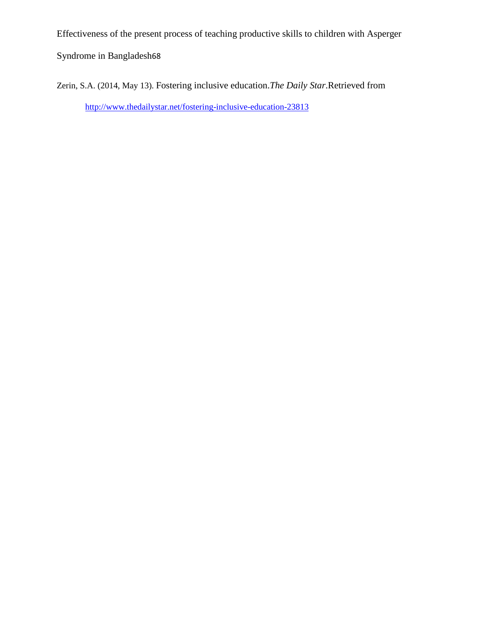Syndrome in Bangladesh68

Zerin, S.A. (2014, May 13). Fostering inclusive education.*The Daily Star*.Retrieved from <http://www.thedailystar.net/fostering-inclusive-education-23813>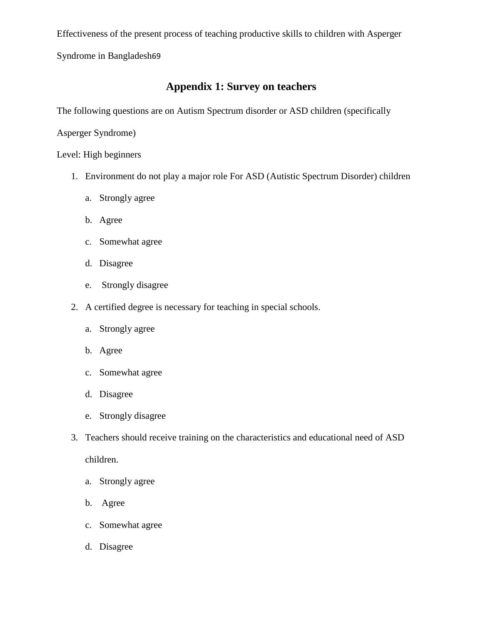Syndrome in Bangladesh69

## **Appendix 1: Survey on teachers**

The following questions are on Autism Spectrum disorder or ASD children (specifically

Asperger Syndrome)

Level: High beginners

- 1. Environment do not play a major role For ASD (Autistic Spectrum Disorder) children
	- a. Strongly agree
	- b. Agree
	- c. Somewhat agree
	- d. Disagree
	- e. Strongly disagree
- 2. A certified degree is necessary for teaching in special schools.
	- a. Strongly agree
	- b. Agree
	- c. Somewhat agree
	- d. Disagree
	- e. Strongly disagree
- 3. Teachers should receive training on the characteristics and educational need of ASD

children.

- a. Strongly agree
- b. Agree
- c. Somewhat agree
- d. Disagree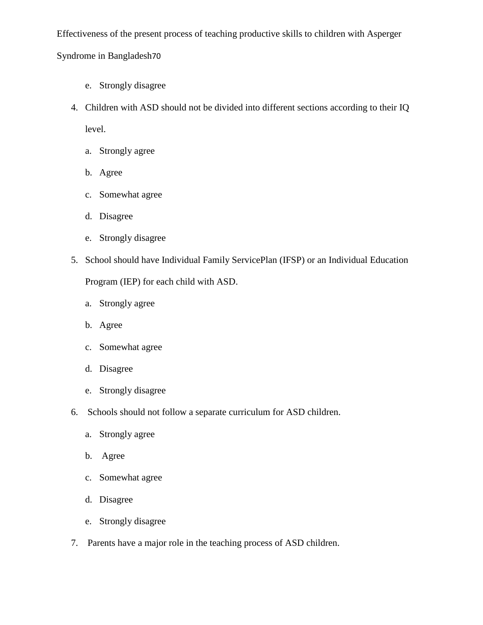## Syndrome in Bangladesh70

- e. Strongly disagree
- 4. Children with ASD should not be divided into different sections according to their IQ level.
	- a. Strongly agree
	- b. Agree
	- c. Somewhat agree
	- d. Disagree
	- e. Strongly disagree
- 5. School should have Individual Family ServicePlan (IFSP) or an Individual Education

Program (IEP) for each child with ASD.

- a. Strongly agree
- b. Agree
- c. Somewhat agree
- d. Disagree
- e. Strongly disagree
- 6. Schools should not follow a separate curriculum for ASD children.
	- a. Strongly agree
	- b. Agree
	- c. Somewhat agree
	- d. Disagree
	- e. Strongly disagree
- 7. Parents have a major role in the teaching process of ASD children.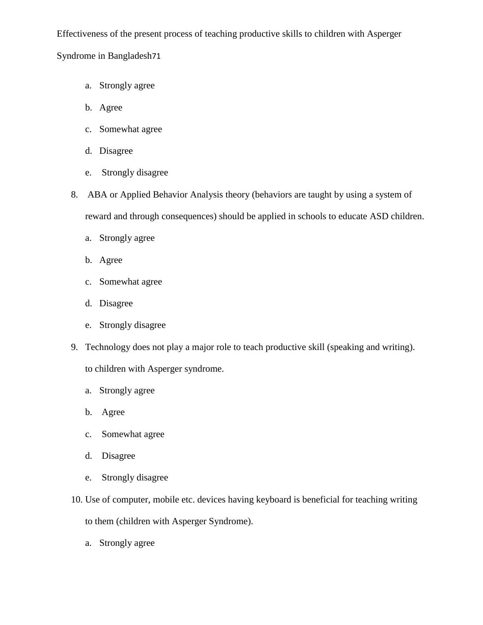Syndrome in Bangladesh71

- a. Strongly agree
- b. Agree
- c. Somewhat agree
- d. Disagree
- e. Strongly disagree
- 8. ABA or Applied Behavior Analysis theory (behaviors are taught by using a system of reward and through consequences) should be applied in schools to educate ASD children.
	- a. Strongly agree
	- b. Agree
	- c. Somewhat agree
	- d. Disagree
	- e. Strongly disagree
- 9. Technology does not play a major role to teach productive skill (speaking and writing).

to children with Asperger syndrome.

- a. Strongly agree
- b. Agree
- c. Somewhat agree
- d. Disagree
- e. Strongly disagree
- 10. Use of computer, mobile etc. devices having keyboard is beneficial for teaching writing to them (children with Asperger Syndrome).
	- a. Strongly agree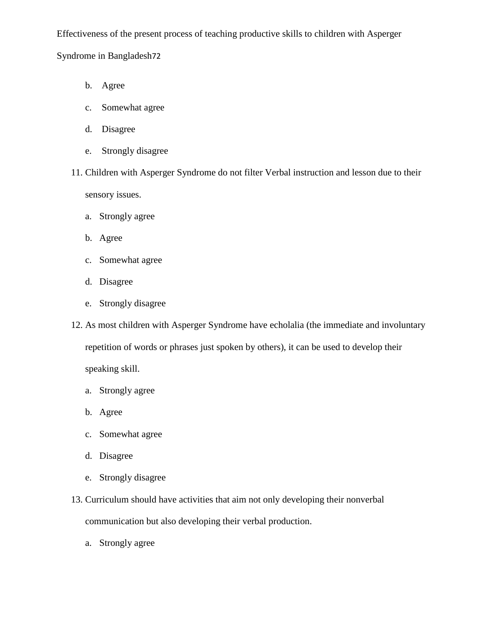Syndrome in Bangladesh72

- b. Agree
- c. Somewhat agree
- d. Disagree
- e. Strongly disagree
- 11. Children with Asperger Syndrome do not filter Verbal instruction and lesson due to their sensory issues.
	- a. Strongly agree
	- b. Agree
	- c. Somewhat agree
	- d. Disagree
	- e. Strongly disagree
- 12. As most children with Asperger Syndrome have echolalia (the immediate and involuntary repetition of words or phrases just spoken by others), it can be used to develop their speaking skill.
	- a. Strongly agree
	- b. Agree
	- c. Somewhat agree
	- d. Disagree
	- e. Strongly disagree
- 13. Curriculum should have activities that aim not only developing their nonverbal communication but also developing their verbal production.
	- a. Strongly agree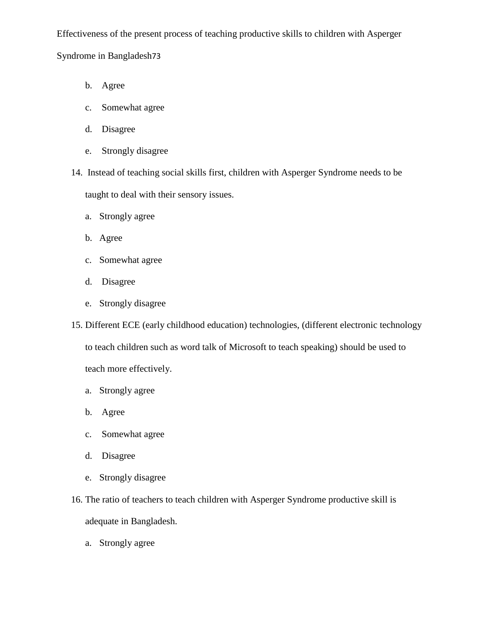Syndrome in Bangladesh73

- b. Agree
- c. Somewhat agree
- d. Disagree
- e. Strongly disagree
- 14. Instead of teaching social skills first, children with Asperger Syndrome needs to be taught to deal with their sensory issues.
	- a. Strongly agree
	- b. Agree
	- c. Somewhat agree
	- d. Disagree
	- e. Strongly disagree
- 15. Different ECE (early childhood education) technologies, (different electronic technology to teach children such as word talk of Microsoft to teach speaking) should be used to teach more effectively.
	- a. Strongly agree
	- b. Agree
	- c. Somewhat agree
	- d. Disagree
	- e. Strongly disagree
- 16. The ratio of teachers to teach children with Asperger Syndrome productive skill is adequate in Bangladesh.
	- a. Strongly agree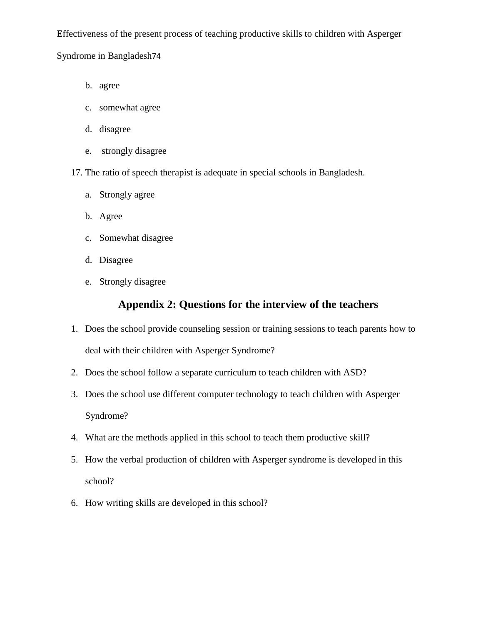Syndrome in Bangladesh74

- b. agree
- c. somewhat agree
- d. disagree
- e. strongly disagree
- 17. The ratio of speech therapist is adequate in special schools in Bangladesh.
	- a. Strongly agree
	- b. Agree
	- c. Somewhat disagree
	- d. Disagree
	- e. Strongly disagree

## **Appendix 2: Questions for the interview of the teachers**

- 1. Does the school provide counseling session or training sessions to teach parents how to deal with their children with Asperger Syndrome?
- 2. Does the school follow a separate curriculum to teach children with ASD?
- 3. Does the school use different computer technology to teach children with Asperger Syndrome?
- 4. What are the methods applied in this school to teach them productive skill?
- 5. How the verbal production of children with Asperger syndrome is developed in this school?
- 6. How writing skills are developed in this school?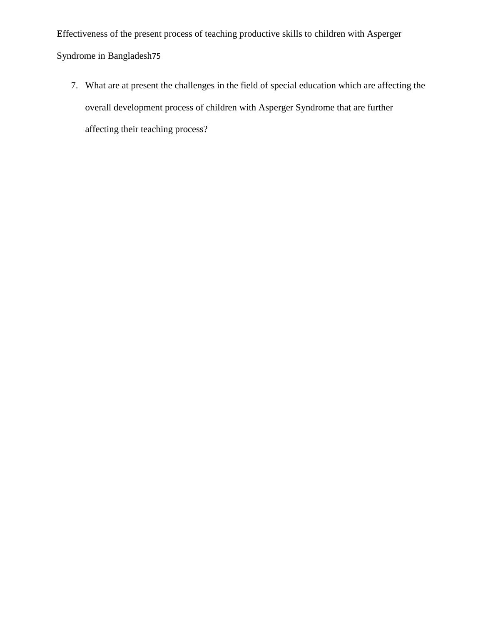Effectiveness of the present process of teaching productive skills to children with Asperger Syndrome in Bangladesh75

7. What are at present the challenges in the field of special education which are affecting the overall development process of children with Asperger Syndrome that are further affecting their teaching process?